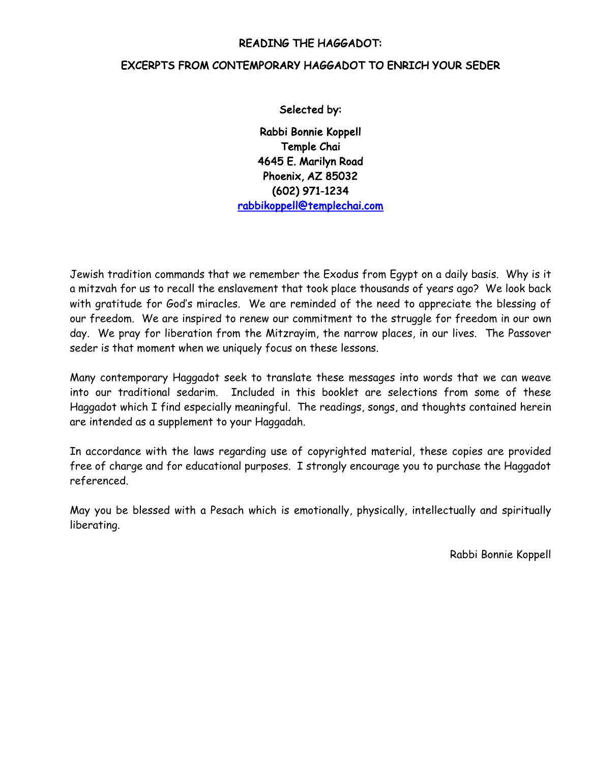# READING THE HAGGADOT:

### EXCERPTS FROM CONTEMPORARY HAGGADOT TO ENRICH YOUR SEDER

Selected by:

Rabbi Bonnie Koppell Temple Chai 4645 E. Marilyn Road Phoenix, AZ 85032 (602) 971-1234 rabbikoppell@templechai.com

Jewish tradition commands that we remember the Exodus from Egypt on a daily basis. Why is it a mitzvah for us to recall the enslavement that took place thousands of years ago? We look back with gratitude for God's miracles. We are reminded of the need to appreciate the blessing of our freedom. We are inspired to renew our commitment to the struggle for freedom in our own day. We pray for liberation from the Mitzrayim, the narrow places, in our lives. The Passover seder is that moment when we uniquely focus on these lessons.

Many contemporary Haggadot seek to translate these messages into words that we can weave into our traditional sedarim. Included in this booklet are selections from some of these Haggadot which I find especially meaningful. The readings, songs, and thoughts contained herein are intended as a supplement to your Haggadah.

In accordance with the laws regarding use of copyrighted material, these copies are provided free of charge and for educational purposes. I strongly encourage you to purchase the Haggadot referenced.

May you be blessed with a Pesach which is emotionally, physically, intellectually and spiritually liberating.

Rabbi Bonnie Koppell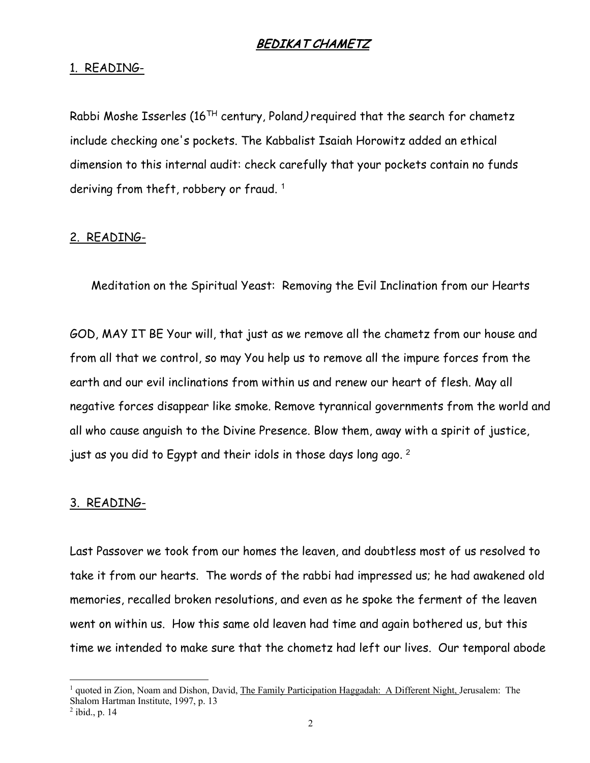# BEDIKAT CHAMETZ

# 1. READING-

Rabbi Moshe Isserles (16<sup>TH</sup> century, Poland) required that the search for chametz include checking one's pockets. The Kabbalist Isaiah Horowitz added an ethical dimension to this internal audit: check carefully that your pockets contain no funds deriving from theft, robbery or fraud. <sup>1</sup>

# 2. READING-

Meditation on the Spiritual Yeast: Removing the Evil Inclination from our Hearts

GOD, MAY IT BE Your will, that just as we remove all the chametz from our house and from all that we control, so may You help us to remove all the impure forces from the earth and our evil inclinations from within us and renew our heart of flesh. May all negative forces disappear like smoke. Remove tyrannical governments from the world and all who cause anguish to the Divine Presence. Blow them, away with a spirit of justice, just as you did to Egypt and their idols in those days long ago. <sup>2</sup>

#### 3. READING-

Last Passover we took from our homes the leaven, and doubtless most of us resolved to take it from our hearts. The words of the rabbi had impressed us; he had awakened old memories, recalled broken resolutions, and even as he spoke the ferment of the leaven went on within us. How this same old leaven had time and again bothered us, but this time we intended to make sure that the chometz had left our lives. Our temporal abode

<sup>1</sup> quoted in Zion, Noam and Dishon, David, The Family Participation Haggadah: A Different Night, Jerusalem: The Shalom Hartman Institute, 1997, p. 13

 $^{2}$  ibid., p. 14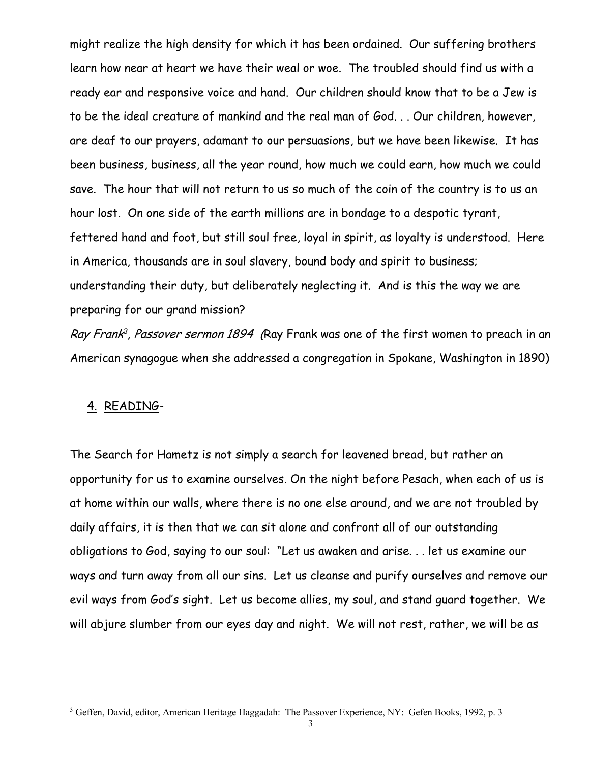might realize the high density for which it has been ordained. Our suffering brothers learn how near at heart we have their weal or woe. The troubled should find us with a ready ear and responsive voice and hand. Our children should know that to be a Jew is to be the ideal creature of mankind and the real man of God. . . Our children, however, are deaf to our prayers, adamant to our persuasions, but we have been likewise. It has been business, business, all the year round, how much we could earn, how much we could save. The hour that will not return to us so much of the coin of the country is to us an hour lost. On one side of the earth millions are in bondage to a despotic tyrant, fettered hand and foot, but still soul free, loyal in spirit, as loyalty is understood. Here in America, thousands are in soul slavery, bound body and spirit to business; understanding their duty, but deliberately neglecting it. And is this the way we are preparing for our grand mission?

Ray Frank*<sup>3</sup>*, Passover sermon 1894 (Ray Frank was one of the first women to preach in an American synagogue when she addressed a congregation in Spokane, Washington in 1890)

#### 4. READING-

The Search for Hametz is not simply a search for leavened bread, but rather an opportunity for us to examine ourselves. On the night before Pesach, when each of us is at home within our walls, where there is no one else around, and we are not troubled by daily affairs, it is then that we can sit alone and confront all of our outstanding obligations to God, saying to our soul: "Let us awaken and arise. . . let us examine our ways and turn away from all our sins. Let us cleanse and purify ourselves and remove our evil ways from God's sight. Let us become allies, my soul, and stand guard together. We will abjure slumber from our eyes day and night. We will not rest, rather, we will be as

<sup>3</sup> Geffen, David, editor, American Heritage Haggadah: The Passover Experience, NY: Gefen Books, 1992, p. 3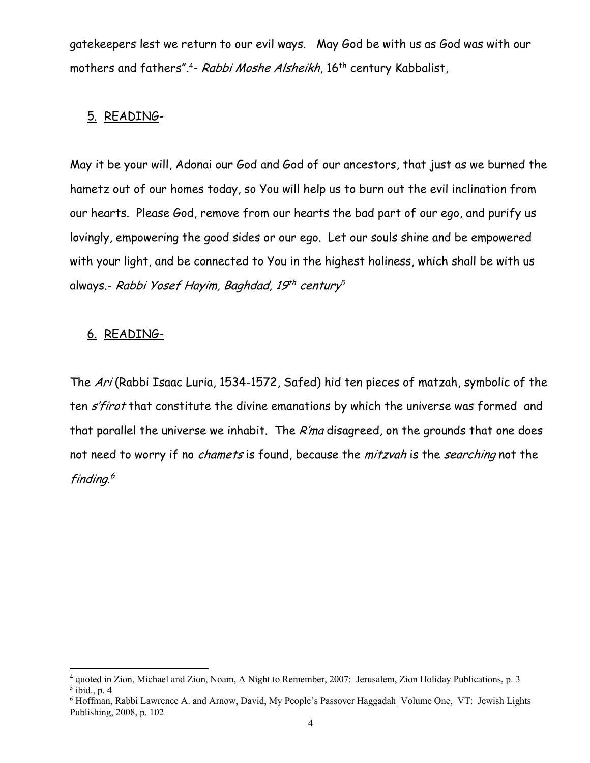gatekeepers lest we return to our evil ways. May God be with us as God was with our mothers and fathers".<sup>4</sup>- Rabbi Moshe Alsheikh, 16<sup>th</sup> century Kabbalist,

# 5. READING-

May it be your will, Adonai our God and God of our ancestors, that just as we burned the hametz out of our homes today, so You will help us to burn out the evil inclination from our hearts. Please God, remove from our hearts the bad part of our ego, and purify us lovingly, empowering the good sides or our ego. Let our souls shine and be empowered with your light, and be connected to You in the highest holiness, which shall be with us always.- Rabbi Yosef Hayim, Baghdad, 19th century*<sup>5</sup>*

# 6. READING-

The Ari (Rabbi Isaac Luria, 1534-1572, Safed) hid ten pieces of matzah, symbolic of the ten *s'firot* that constitute the divine emanations by which the universe was formed and that parallel the universe we inhabit. The  $R'ma$  disagreed, on the grounds that one does not need to worry if no *chamets* is found, because the *mitzvah* is the *searching* not the finding.<sup>6</sup>

<sup>&</sup>lt;sup>4</sup> quoted in Zion, Michael and Zion, Noam, <u>A Night to Remember</u>, 2007: Jerusalem, Zion Holiday Publications, p. 3  $<sup>5</sup>$  ibid., p. 4</sup>

<sup>6</sup> Hoffman, Rabbi Lawrence A. and Arnow, David, My People's Passover Haggadah Volume One, VT: Jewish Lights Publishing, 2008, p. 102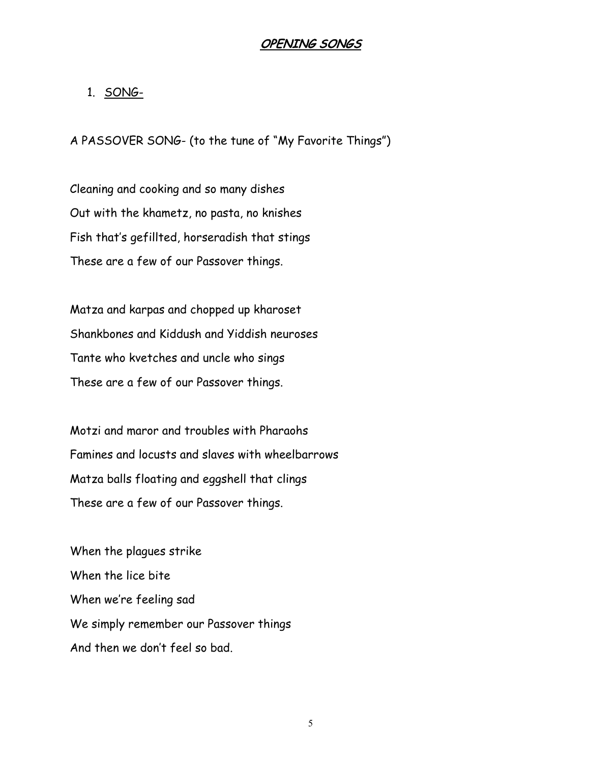# OPENING SONGS

### 1. SONG-

A PASSOVER SONG- (to the tune of "My Favorite Things")

Cleaning and cooking and so many dishes Out with the khametz, no pasta, no knishes Fish that's gefillted, horseradish that stings These are a few of our Passover things.

Matza and karpas and chopped up kharoset Shankbones and Kiddush and Yiddish neuroses Tante who kvetches and uncle who sings These are a few of our Passover things.

Motzi and maror and troubles with Pharaohs Famines and locusts and slaves with wheelbarrows Matza balls floating and eggshell that clings These are a few of our Passover things.

When the plagues strike When the lice bite When we're feeling sad We simply remember our Passover things And then we don't feel so bad.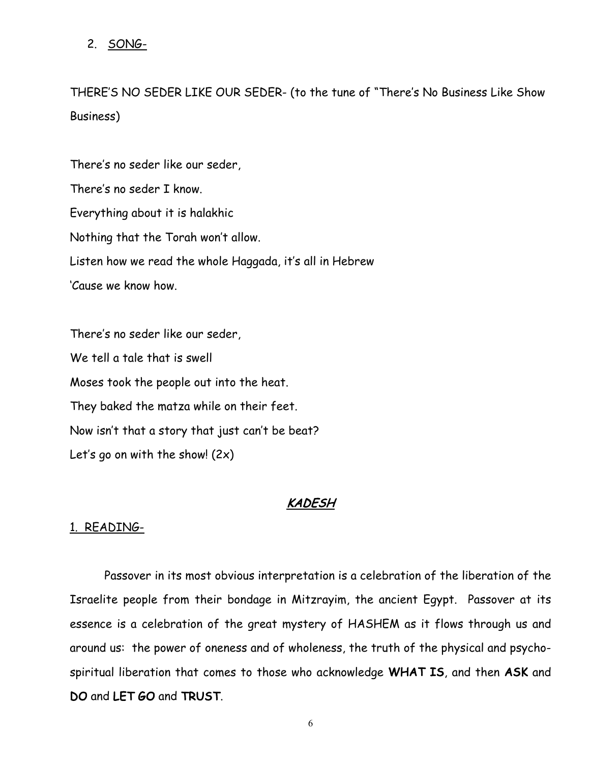2. SONG-

THERE'S NO SEDER LIKE OUR SEDER- (to the tune of "There's No Business Like Show Business)

There's no seder like our seder, There's no seder I know. Everything about it is halakhic Nothing that the Torah won't allow. Listen how we read the whole Haggada, it's all in Hebrew 'Cause we know how.

There's no seder like our seder, We tell a tale that is swell Moses took the people out into the heat. They baked the matza while on their feet. Now isn't that a story that just can't be beat? Let's go on with the show!  $(2x)$ 

# KADESH

# 1. READING-

Passover in its most obvious interpretation is a celebration of the liberation of the Israelite people from their bondage in Mitzrayim, the ancient Egypt. Passover at its essence is a celebration of the great mystery of HASHEM as it flows through us and around us: the power of oneness and of wholeness, the truth of the physical and psychospiritual liberation that comes to those who acknowledge WHAT IS, and then ASK and DO and LET GO and TRUST.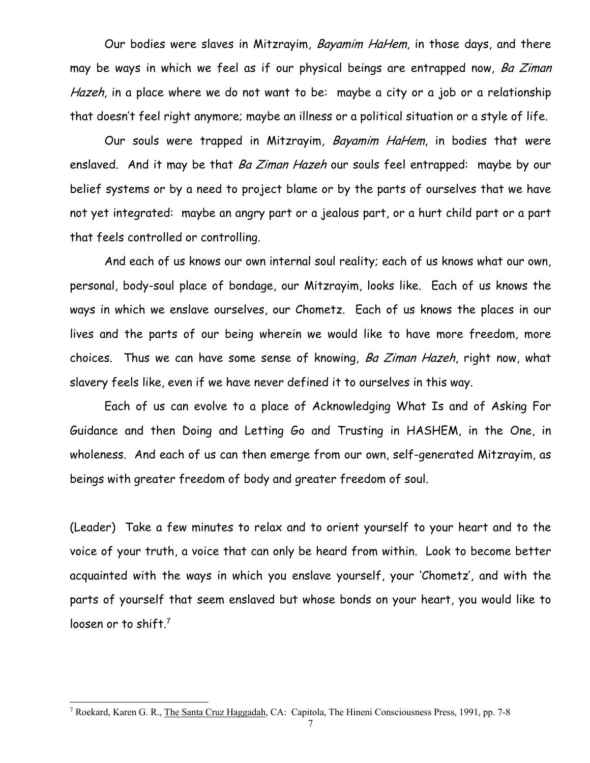Our bodies were slaves in Mitzrayim, Bayamim HaHem, in those days, and there may be ways in which we feel as if our physical beings are entrapped now, Ba Ziman Hazeh, in a place where we do not want to be: maybe a city or a job or a relationship that doesn't feel right anymore; maybe an illness or a political situation or a style of life.

Our souls were trapped in Mitzrayim, Bayamim HaHem, in bodies that were enslaved. And it may be that Ba Ziman Hazeh our souls feel entrapped: maybe by our belief systems or by a need to project blame or by the parts of ourselves that we have not yet integrated: maybe an angry part or a jealous part, or a hurt child part or a part that feels controlled or controlling.

And each of us knows our own internal soul reality; each of us knows what our own, personal, body-soul place of bondage, our Mitzrayim, looks like. Each of us knows the ways in which we enslave ourselves, our Chometz. Each of us knows the places in our lives and the parts of our being wherein we would like to have more freedom, more choices. Thus we can have some sense of knowing, Ba Ziman Hazeh, right now, what slavery feels like, even if we have never defined it to ourselves in this way.

Each of us can evolve to a place of Acknowledging What Is and of Asking For Guidance and then Doing and Letting Go and Trusting in HASHEM, in the One, in wholeness. And each of us can then emerge from our own, self-generated Mitzrayim, as beings with greater freedom of body and greater freedom of soul.

(Leader) Take a few minutes to relax and to orient yourself to your heart and to the voice of your truth, a voice that can only be heard from within. Look to become better acquainted with the ways in which you enslave yourself, your 'Chometz', and with the parts of yourself that seem enslaved but whose bonds on your heart, you would like to loosen or to shift.<sup>7</sup>

<sup>7</sup> Roekard, Karen G. R., The Santa Cruz Haggadah, CA: Capitola, The Hineni Consciousness Press, 1991, pp. 7-8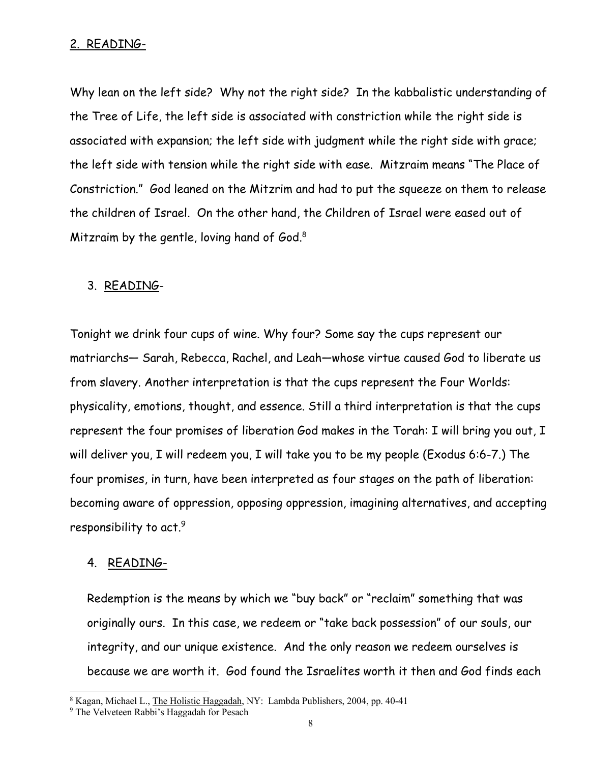Why lean on the left side? Why not the right side? In the kabbalistic understanding of the Tree of Life, the left side is associated with constriction while the right side is associated with expansion; the left side with judgment while the right side with grace; the left side with tension while the right side with ease. Mitzraim means "The Place of Constriction." God leaned on the Mitzrim and had to put the squeeze on them to release the children of Israel. On the other hand, the Children of Israel were eased out of Mitzraim by the gentle, loving hand of God.<sup>8</sup>

#### 3. READING-

Tonight we drink four cups of wine. Why four? Some say the cups represent our matriarchs— Sarah, Rebecca, Rachel, and Leah—whose virtue caused God to liberate us from slavery. Another interpretation is that the cups represent the Four Worlds: physicality, emotions, thought, and essence. Still a third interpretation is that the cups represent the four promises of liberation God makes in the Torah: I will bring you out, I will deliver you, I will redeem you, I will take you to be my people (Exodus 6:6-7.) The four promises, in turn, have been interpreted as four stages on the path of liberation: becoming aware of oppression, opposing oppression, imagining alternatives, and accepting responsibility to act.<sup>9</sup>

#### 4. READING-

Redemption is the means by which we "buy back" or "reclaim" something that was originally ours. In this case, we redeem or "take back possession" of our souls, our integrity, and our unique existence. And the only reason we redeem ourselves is because we are worth it. God found the Israelites worth it then and God finds each

<sup>8</sup> Kagan, Michael L., The Holistic Haggadah, NY: Lambda Publishers, 2004, pp. 40-41

<sup>&</sup>lt;sup>9</sup> The Velveteen Rabbi's Haggadah for Pesach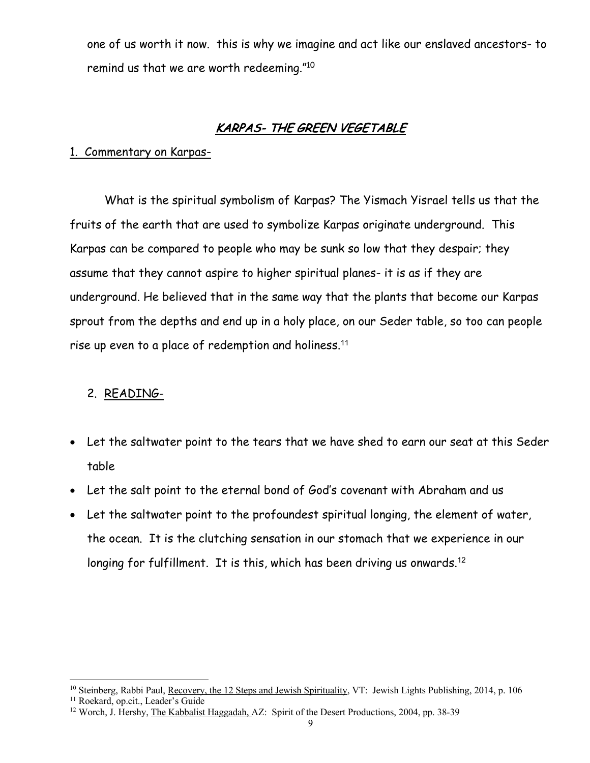one of us worth it now. this is why we imagine and act like our enslaved ancestors- to remind us that we are worth redeeming."<sup>10</sup>

# KARPAS- THE GREEN VEGETABLE

### 1. Commentary on Karpas-

What is the spiritual symbolism of Karpas? The Yismach Yisrael tells us that the fruits of the earth that are used to symbolize Karpas originate underground. This Karpas can be compared to people who may be sunk so low that they despair; they assume that they cannot aspire to higher spiritual planes- it is as if they are underground. He believed that in the same way that the plants that become our Karpas sprout from the depths and end up in a holy place, on our Seder table, so too can people rise up even to a place of redemption and holiness.<sup>11</sup>

# 2. READING-

- Let the saltwater point to the tears that we have shed to earn our seat at this Seder table
- Let the salt point to the eternal bond of God's covenant with Abraham and us
- Let the saltwater point to the profoundest spiritual longing, the element of water, the ocean. It is the clutching sensation in our stomach that we experience in our longing for fulfillment. It is this, which has been driving us onwards.<sup>12</sup>

<sup>&</sup>lt;sup>10</sup> Steinberg, Rabbi Paul, Recovery, the 12 Steps and Jewish Spirituality, VT: Jewish Lights Publishing, 2014, p. 106 <sup>11</sup> Roekard, op.cit., Leader's Guide

<sup>&</sup>lt;sup>12</sup> Worch, J. Hershy, The Kabbalist Haggadah, AZ: Spirit of the Desert Productions, 2004, pp. 38-39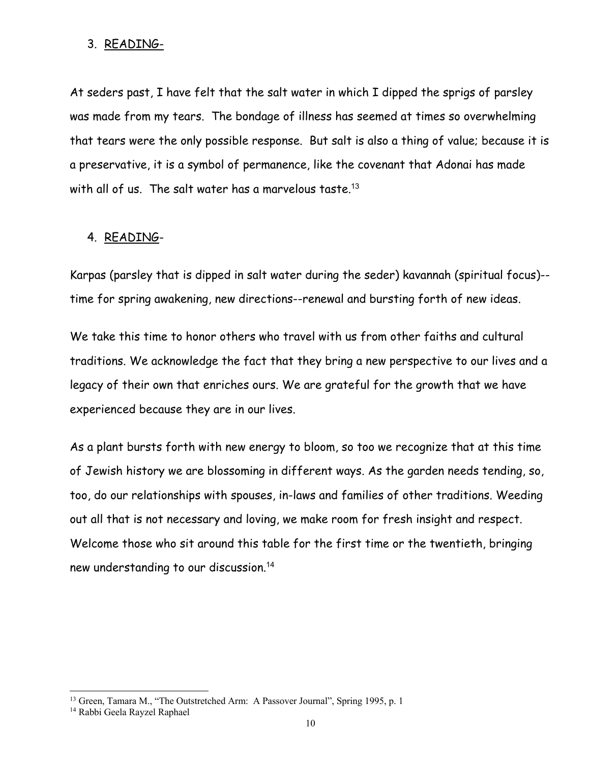At seders past, I have felt that the salt water in which I dipped the sprigs of parsley was made from my tears. The bondage of illness has seemed at times so overwhelming that tears were the only possible response. But salt is also a thing of value; because it is a preservative, it is a symbol of permanence, like the covenant that Adonai has made with all of us. The salt water has a marvelous taste.<sup>13</sup>

# 4. READING-

Karpas (parsley that is dipped in salt water during the seder) kavannah (spiritual focus)- time for spring awakening, new directions--renewal and bursting forth of new ideas.

We take this time to honor others who travel with us from other faiths and cultural traditions. We acknowledge the fact that they bring a new perspective to our lives and a legacy of their own that enriches ours. We are grateful for the growth that we have experienced because they are in our lives.

As a plant bursts forth with new energy to bloom, so too we recognize that at this time of Jewish history we are blossoming in different ways. As the garden needs tending, so, too, do our relationships with spouses, in-laws and families of other traditions. Weeding out all that is not necessary and loving, we make room for fresh insight and respect. Welcome those who sit around this table for the first time or the twentieth, bringing new understanding to our discussion.<sup>14</sup>

<sup>&</sup>lt;sup>13</sup> Green, Tamara M., "The Outstretched Arm: A Passover Journal", Spring 1995, p. 1

<sup>&</sup>lt;sup>14</sup> Rabbi Geela Rayzel Raphael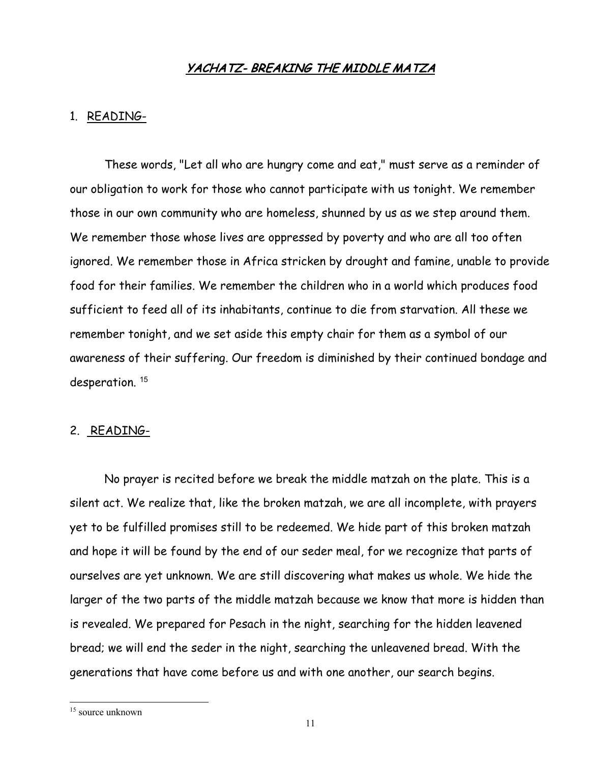# YACHATZ- BREAKING THE MIDDLE MATZA

#### 1. READING-

These words, "Let all who are hungry come and eat," must serve as a reminder of our obligation to work for those who cannot participate with us tonight. We remember those in our own community who are homeless, shunned by us as we step around them. We remember those whose lives are oppressed by poverty and who are all too often ignored. We remember those in Africa stricken by drought and famine, unable to provide food for their families. We remember the children who in a world which produces food sufficient to feed all of its inhabitants, continue to die from starvation. All these we remember tonight, and we set aside this empty chair for them as a symbol of our awareness of their suffering. Our freedom is diminished by their continued bondage and desperation. <sup>15</sup>

#### 2. READING-

No prayer is recited before we break the middle matzah on the plate. This is a silent act. We realize that, like the broken matzah, we are all incomplete, with prayers yet to be fulfilled promises still to be redeemed. We hide part of this broken matzah and hope it will be found by the end of our seder meal, for we recognize that parts of ourselves are yet unknown. We are still discovering what makes us whole. We hide the larger of the two parts of the middle matzah because we know that more is hidden than is revealed. We prepared for Pesach in the night, searching for the hidden leavened bread; we will end the seder in the night, searching the unleavened bread. With the generations that have come before us and with one another, our search begins.

<sup>15</sup> source unknown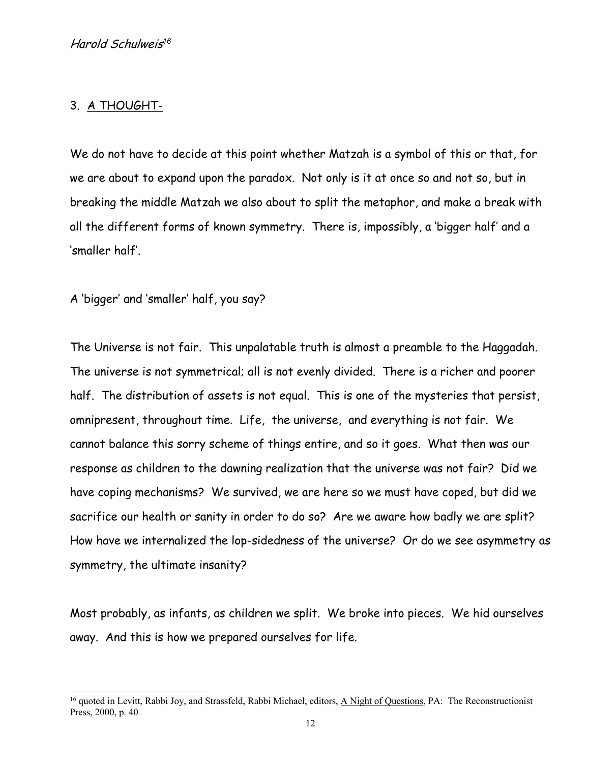# 3. A THOUGHT-

We do not have to decide at this point whether Matzah is a symbol of this or that, for we are about to expand upon the paradox. Not only is it at once so and not so, but in breaking the middle Matzah we also about to split the metaphor, and make a break with all the different forms of known symmetry. There is, impossibly, a 'bigger half' and a 'smaller half'.

A 'bigger' and 'smaller' half, you say?

The Universe is not fair. This unpalatable truth is almost a preamble to the Haggadah. The universe is not symmetrical; all is not evenly divided. There is a richer and poorer half. The distribution of assets is not equal. This is one of the mysteries that persist, omnipresent, throughout time. Life, the universe, and everything is not fair. We cannot balance this sorry scheme of things entire, and so it goes. What then was our response as children to the dawning realization that the universe was not fair? Did we have coping mechanisms? We survived, we are here so we must have coped, but did we sacrifice our health or sanity in order to do so? Are we aware how badly we are split? How have we internalized the lop-sidedness of the universe? Or do we see asymmetry as symmetry, the ultimate insanity?

Most probably, as infants, as children we split. We broke into pieces. We hid ourselves away. And this is how we prepared ourselves for life.

<sup>&</sup>lt;sup>16</sup> quoted in Levitt, Rabbi Joy, and Strassfeld, Rabbi Michael, editors, A Night of Questions, PA: The Reconstructionist Press, 2000, p. 40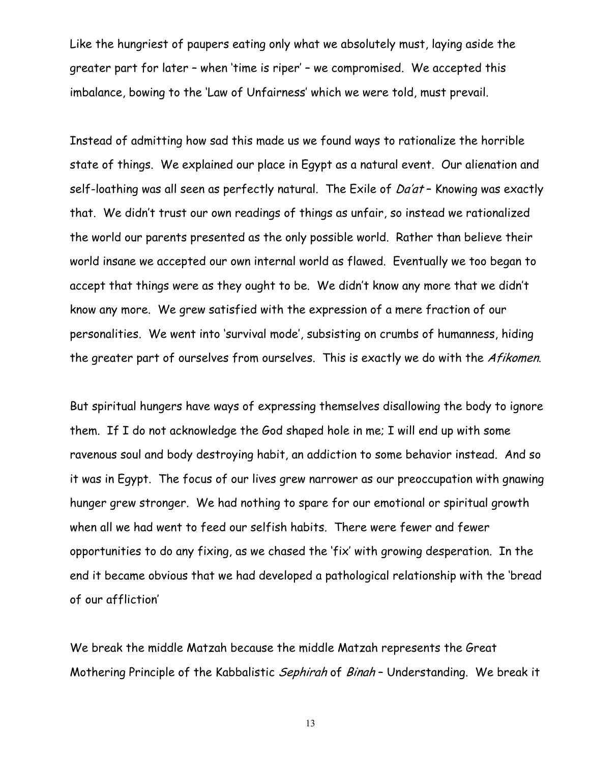Like the hungriest of paupers eating only what we absolutely must, laying aside the greater part for later – when 'time is riper' – we compromised. We accepted this imbalance, bowing to the 'Law of Unfairness' which we were told, must prevail.

Instead of admitting how sad this made us we found ways to rationalize the horrible state of things. We explained our place in Egypt as a natural event. Our alienation and self-loathing was all seen as perfectly natural. The Exile of Da'at - Knowing was exactly that. We didn't trust our own readings of things as unfair, so instead we rationalized the world our parents presented as the only possible world. Rather than believe their world insane we accepted our own internal world as flawed. Eventually we too began to accept that things were as they ought to be. We didn't know any more that we didn't know any more. We grew satisfied with the expression of a mere fraction of our personalities. We went into 'survival mode', subsisting on crumbs of humanness, hiding the greater part of ourselves from ourselves. This is exactly we do with the Afikomen.

But spiritual hungers have ways of expressing themselves disallowing the body to ignore them. If I do not acknowledge the God shaped hole in me; I will end up with some ravenous soul and body destroying habit, an addiction to some behavior instead. And so it was in Egypt. The focus of our lives grew narrower as our preoccupation with gnawing hunger grew stronger. We had nothing to spare for our emotional or spiritual growth when all we had went to feed our selfish habits. There were fewer and fewer opportunities to do any fixing, as we chased the 'fix' with growing desperation. In the end it became obvious that we had developed a pathological relationship with the 'bread of our affliction'

We break the middle Matzah because the middle Matzah represents the Great Mothering Principle of the Kabbalistic Sephirah of Binah – Understanding. We break it

13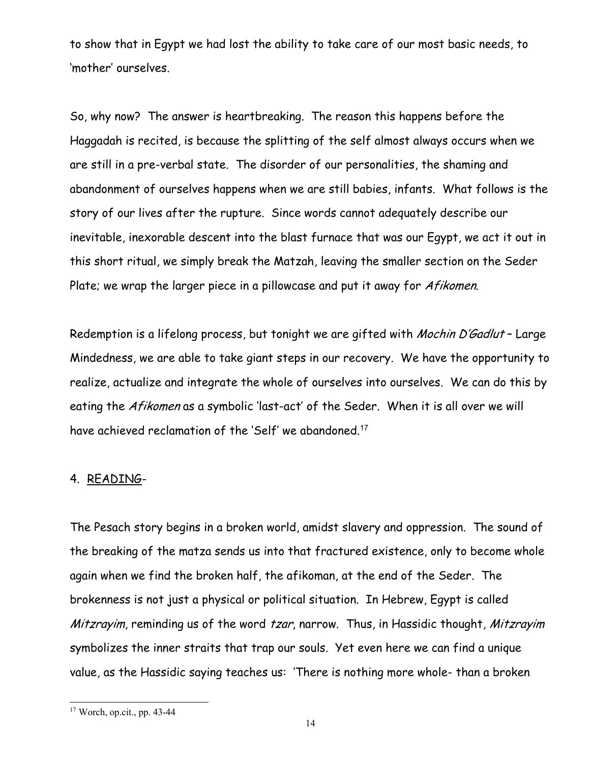to show that in Egypt we had lost the ability to take care of our most basic needs, to 'mother' ourselves.

So, why now? The answer is heartbreaking. The reason this happens before the Haggadah is recited, is because the splitting of the self almost always occurs when we are still in a pre-verbal state. The disorder of our personalities, the shaming and abandonment of ourselves happens when we are still babies, infants. What follows is the story of our lives after the rupture. Since words cannot adequately describe our inevitable, inexorable descent into the blast furnace that was our Egypt, we act it out in this short ritual, we simply break the Matzah, leaving the smaller section on the Seder Plate; we wrap the larger piece in a pillowcase and put it away for Afikomen.

Redemption is a lifelong process, but tonight we are gifted with *Mochin D'Gadlut* - Large Mindedness, we are able to take giant steps in our recovery. We have the opportunity to realize, actualize and integrate the whole of ourselves into ourselves. We can do this by eating the Afikomen as a symbolic 'last-act' of the Seder. When it is all over we will have achieved reclamation of the 'Self' we abandoned.<sup>17</sup>

# 4. READING-

The Pesach story begins in a broken world, amidst slavery and oppression. The sound of the breaking of the matza sends us into that fractured existence, only to become whole again when we find the broken half, the afikoman, at the end of the Seder. The brokenness is not just a physical or political situation. In Hebrew, Egypt is called Mitzrayim, reminding us of the word tzar, narrow. Thus, in Hassidic thought, Mitzrayim symbolizes the inner straits that trap our souls. Yet even here we can find a unique value, as the Hassidic saying teaches us: 'There is nothing more whole- than a broken

 $17$  Worch, op.cit., pp. 43-44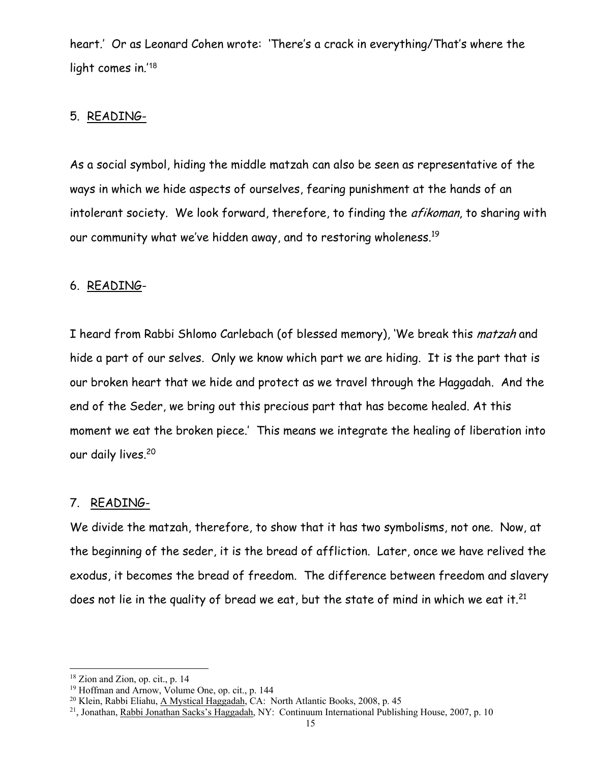heart.' Or as Leonard Cohen wrote: 'There's a crack in everything/That's where the light comes in.'<sup>18</sup>

# 5. READING-

As a social symbol, hiding the middle matzah can also be seen as representative of the ways in which we hide aspects of ourselves, fearing punishment at the hands of an intolerant society. We look forward, therefore, to finding the *afikoman*, to sharing with our community what we've hidden away, and to restoring wholeness.<sup>19</sup>

# 6. READING-

I heard from Rabbi Shlomo Carlebach (of blessed memory), 'We break this matzah and hide a part of our selves. Only we know which part we are hiding. It is the part that is our broken heart that we hide and protect as we travel through the Haggadah. And the end of the Seder, we bring out this precious part that has become healed. At this moment we eat the broken piece.' This means we integrate the healing of liberation into our daily lives.<sup>20</sup>

# 7. READING-

We divide the matzah, therefore, to show that it has two symbolisms, not one. Now, at the beginning of the seder, it is the bread of affliction. Later, once we have relived the exodus, it becomes the bread of freedom. The difference between freedom and slavery does not lie in the quality of bread we eat, but the state of mind in which we eat it.<sup>21</sup>

<sup>&</sup>lt;sup>18</sup> Zion and Zion, op. cit., p. 14

<sup>19</sup> Hoffman and Arnow, Volume One, op. cit., p. 144

<sup>20</sup> Klein, Rabbi Eliahu, A Mystical Haggadah, CA: North Atlantic Books, 2008, p. 45

<sup>21,</sup> Jonathan, Rabbi Jonathan Sacks's Haggadah, NY: Continuum International Publishing House, 2007, p. 10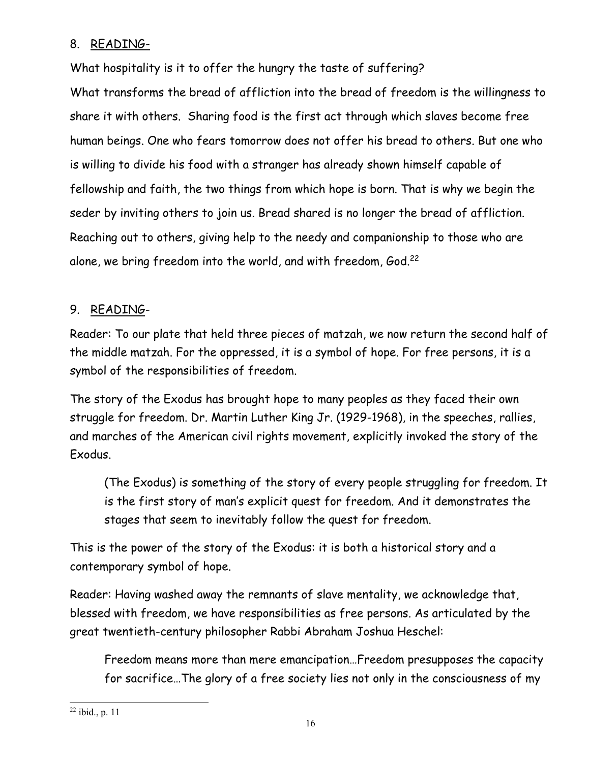What hospitality is it to offer the hungry the taste of suffering?

What transforms the bread of affliction into the bread of freedom is the willingness to share it with others. Sharing food is the first act through which slaves become free human beings. One who fears tomorrow does not offer his bread to others. But one who is willing to divide his food with a stranger has already shown himself capable of fellowship and faith, the two things from which hope is born. That is why we begin the seder by inviting others to join us. Bread shared is no longer the bread of affliction. Reaching out to others, giving help to the needy and companionship to those who are alone, we bring freedom into the world, and with freedom, God.<sup>22</sup>

# 9. READING-

Reader: To our plate that held three pieces of matzah, we now return the second half of the middle matzah. For the oppressed, it is a symbol of hope. For free persons, it is a symbol of the responsibilities of freedom.

The story of the Exodus has brought hope to many peoples as they faced their own struggle for freedom. Dr. Martin Luther King Jr. (1929-1968), in the speeches, rallies, and marches of the American civil rights movement, explicitly invoked the story of the Exodus.

(The Exodus) is something of the story of every people struggling for freedom. It is the first story of man's explicit quest for freedom. And it demonstrates the stages that seem to inevitably follow the quest for freedom.

This is the power of the story of the Exodus: it is both a historical story and a contemporary symbol of hope.

Reader: Having washed away the remnants of slave mentality, we acknowledge that, blessed with freedom, we have responsibilities as free persons. As articulated by the great twentieth-century philosopher Rabbi Abraham Joshua Heschel:

Freedom means more than mere emancipation…Freedom presupposes the capacity for sacrifice…The glory of a free society lies not only in the consciousness of my

 $22$  ibid., p. 11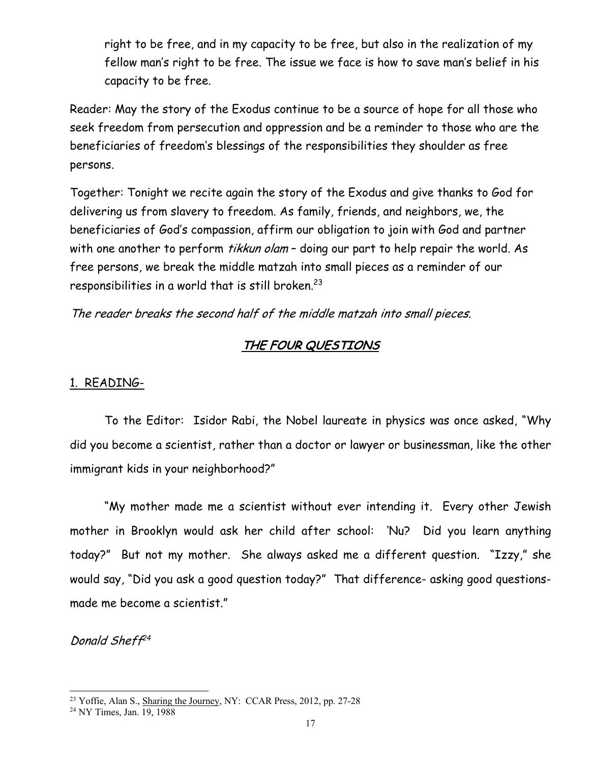right to be free, and in my capacity to be free, but also in the realization of my fellow man's right to be free. The issue we face is how to save man's belief in his capacity to be free.

Reader: May the story of the Exodus continue to be a source of hope for all those who seek freedom from persecution and oppression and be a reminder to those who are the beneficiaries of freedom's blessings of the responsibilities they shoulder as free persons.

Together: Tonight we recite again the story of the Exodus and give thanks to God for delivering us from slavery to freedom. As family, friends, and neighbors, we, the beneficiaries of God's compassion, affirm our obligation to join with God and partner with one another to perform tikkun olam - doing our part to help repair the world. As free persons, we break the middle matzah into small pieces as a reminder of our responsibilities in a world that is still broken.<sup>23</sup>

The reader breaks the second half of the middle matzah into small pieces.

# THE FOUR QUESTIONS

# 1. READING-

To the Editor: Isidor Rabi, the Nobel laureate in physics was once asked, "Why did you become a scientist, rather than a doctor or lawyer or businessman, like the other immigrant kids in your neighborhood?"

"My mother made me a scientist without ever intending it. Every other Jewish mother in Brooklyn would ask her child after school: 'Nu? Did you learn anything today?" But not my mother. She always asked me a different question. "Izzy," she would say, "Did you ask a good question today?" That difference- asking good questionsmade me become a scientist."

Donald Sheff*<sup>24</sup>*

<sup>&</sup>lt;sup>23</sup> Yoffie, Alan S., Sharing the Journey, NY: CCAR Press, 2012, pp. 27-28

<sup>24</sup> NY Times, Jan. 19, 1988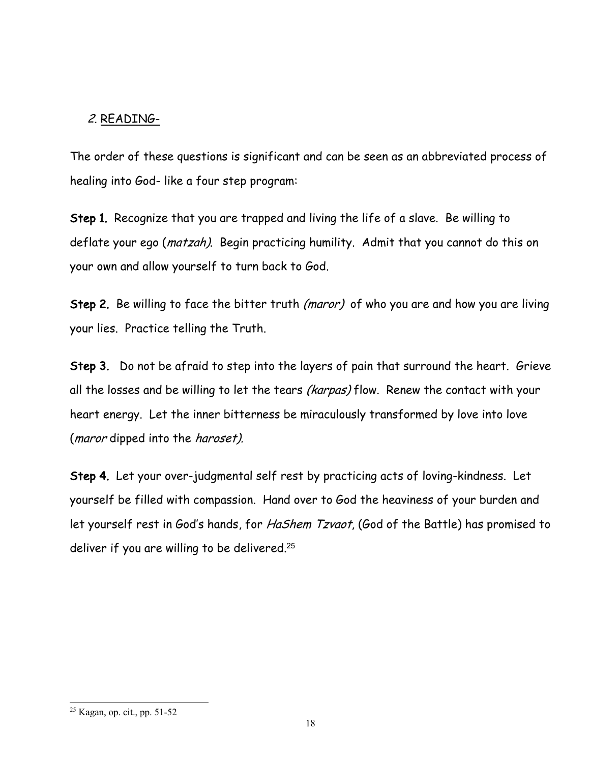The order of these questions is significant and can be seen as an abbreviated process of healing into God- like a four step program:

Step 1. Recognize that you are trapped and living the life of a slave. Be willing to deflate your ego (*matzah)*. Begin practicing humility. Admit that you cannot do this on your own and allow yourself to turn back to God.

Step 2. Be willing to face the bitter truth *(maror)* of who you are and how you are living your lies. Practice telling the Truth.

Step 3. Do not be afraid to step into the layers of pain that surround the heart. Grieve all the losses and be willing to let the tears *(karpas)* flow. Renew the contact with your heart energy. Let the inner bitterness be miraculously transformed by love into love (maror dipped into the haroset).

Step 4. Let your over-judgmental self rest by practicing acts of loving-kindness. Let yourself be filled with compassion. Hand over to God the heaviness of your burden and let yourself rest in God's hands, for HaShem Tzvaot, (God of the Battle) has promised to deliver if you are willing to be delivered.<sup>25</sup>

 $25$  Kagan, op. cit., pp. 51-52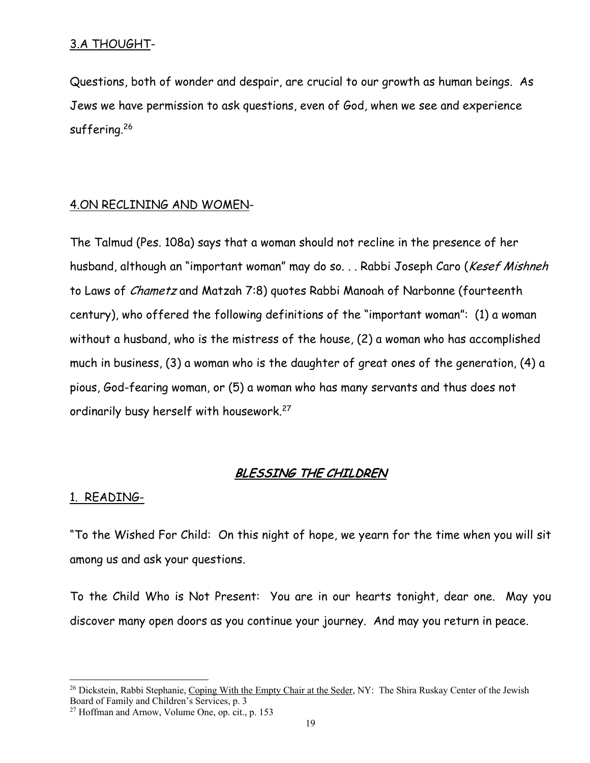# 3.A THOUGHT-

Questions, both of wonder and despair, are crucial to our growth as human beings. As Jews we have permission to ask questions, even of God, when we see and experience suffering.<sup>26</sup>

# 4.ON RECLINING AND WOMEN-

The Talmud (Pes. 108a) says that a woman should not recline in the presence of her husband, although an "important woman" may do so. . . Rabbi Joseph Caro (Kesef Mishneh to Laws of Chametz and Matzah 7:8) quotes Rabbi Manoah of Narbonne (fourteenth century), who offered the following definitions of the "important woman": (1) a woman without a husband, who is the mistress of the house, (2) a woman who has accomplished much in business, (3) a woman who is the daughter of great ones of the generation, (4) a pious, God-fearing woman, or (5) a woman who has many servants and thus does not ordinarily busy herself with housework.<sup>27</sup>

# BLESSING THE CHILDREN

# 1. READING-

"To the Wished For Child: On this night of hope, we yearn for the time when you will sit among us and ask your questions.

To the Child Who is Not Present: You are in our hearts tonight, dear one. May you discover many open doors as you continue your journey. And may you return in peace.

<sup>&</sup>lt;sup>26</sup> Dickstein, Rabbi Stephanie, Coping With the Empty Chair at the Seder, NY: The Shira Ruskay Center of the Jewish Board of Family and Children's Services, p. 3

 $27$  Hoffman and Arnow, Volume One, op. cit., p. 153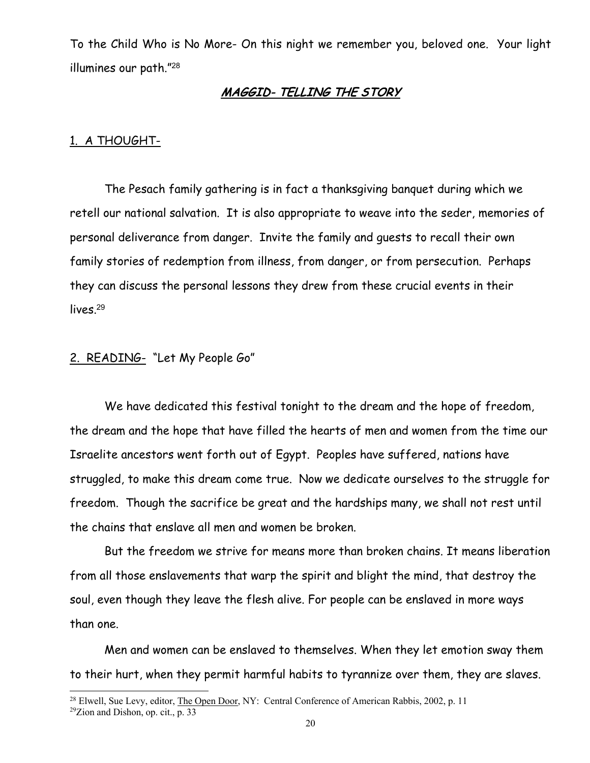To the Child Who is No More- On this night we remember you, beloved one. Your light illumines our path."<sup>28</sup>

### MAGGID- TELLING THE STORY

#### 1. A THOUGHT-

The Pesach family gathering is in fact a thanksgiving banquet during which we retell our national salvation. It is also appropriate to weave into the seder, memories of personal deliverance from danger. Invite the family and guests to recall their own family stories of redemption from illness, from danger, or from persecution. Perhaps they can discuss the personal lessons they drew from these crucial events in their lives.<sup>29</sup>

#### 2. READING- "Let My People Go"

We have dedicated this festival tonight to the dream and the hope of freedom, the dream and the hope that have filled the hearts of men and women from the time our Israelite ancestors went forth out of Egypt. Peoples have suffered, nations have struggled, to make this dream come true. Now we dedicate ourselves to the struggle for freedom. Though the sacrifice be great and the hardships many, we shall not rest until the chains that enslave all men and women be broken.

But the freedom we strive for means more than broken chains. It means liberation from all those enslavements that warp the spirit and blight the mind, that destroy the soul, even though they leave the flesh alive. For people can be enslaved in more ways than one.

Men and women can be enslaved to themselves. When they let emotion sway them to their hurt, when they permit harmful habits to tyrannize over them, they are slaves.

<sup>&</sup>lt;sup>28</sup> Elwell, Sue Levy, editor, The Open Door, NY: Central Conference of American Rabbis, 2002, p. 11

 $29Z$ ion and Dishon, op. cit., p. 33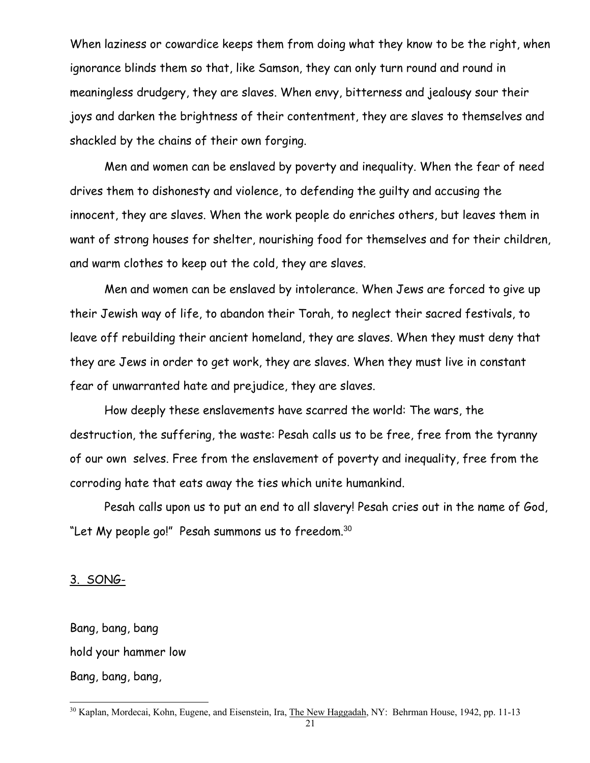When laziness or cowardice keeps them from doing what they know to be the right, when ignorance blinds them so that, like Samson, they can only turn round and round in meaningless drudgery, they are slaves. When envy, bitterness and jealousy sour their joys and darken the brightness of their contentment, they are slaves to themselves and shackled by the chains of their own forging.

Men and women can be enslaved by poverty and inequality. When the fear of need drives them to dishonesty and violence, to defending the guilty and accusing the innocent, they are slaves. When the work people do enriches others, but leaves them in want of strong houses for shelter, nourishing food for themselves and for their children, and warm clothes to keep out the cold, they are slaves.

Men and women can be enslaved by intolerance. When Jews are forced to give up their Jewish way of life, to abandon their Torah, to neglect their sacred festivals, to leave off rebuilding their ancient homeland, they are slaves. When they must deny that they are Jews in order to get work, they are slaves. When they must live in constant fear of unwarranted hate and prejudice, they are slaves.

How deeply these enslavements have scarred the world: The wars, the destruction, the suffering, the waste: Pesah calls us to be free, free from the tyranny of our own selves. Free from the enslavement of poverty and inequality, free from the corroding hate that eats away the ties which unite humankind.

Pesah calls upon us to put an end to all slavery! Pesah cries out in the name of God, "Let My people go!" Pesah summons us to freedom.<sup>30</sup>

#### 3. SONG-

Bang, bang, bang hold your hammer low Bang, bang, bang,

<sup>&</sup>lt;sup>30</sup> Kaplan, Mordecai, Kohn, Eugene, and Eisenstein, Ira, The New Haggadah, NY: Behrman House, 1942, pp. 11-13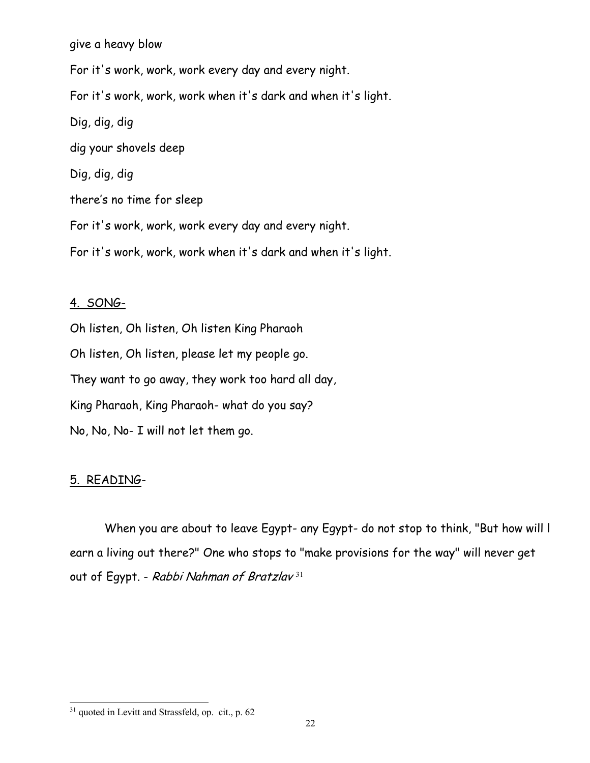give a heavy blow For it's work, work, work every day and every night. For it's work, work, work when it's dark and when it's light. Dig, dig, dig dig your shovels deep Dig, dig, dig there's no time for sleep For it's work, work, work every day and every night. For it's work, work, work when it's dark and when it's light.

### 4. SONG-

Oh listen, Oh listen, Oh listen King Pharaoh Oh listen, Oh listen, please let my people go. They want to go away, they work too hard all day, King Pharaoh, King Pharaoh- what do you say? No, No, No- I will not let them go.

# 5. READING-

When you are about to leave Egypt- any Egypt- do not stop to think, "But how will l earn a living out there?" One who stops to "make provisions for the way" will never get out of Egypt. - Rabbi Nahman of Bratzlav<sup>31</sup>

<sup>&</sup>lt;sup>31</sup> quoted in Levitt and Strassfeld, op. cit., p. 62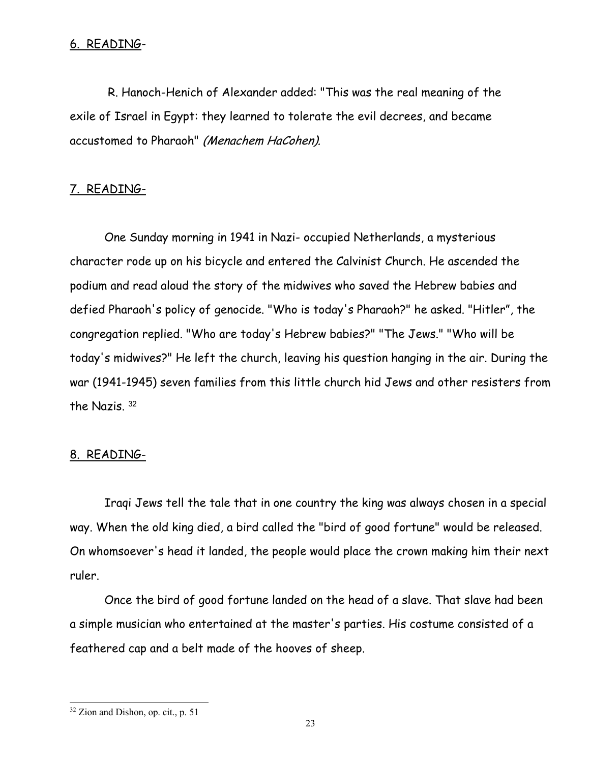R. Hanoch-Henich of Alexander added: "This was the real meaning of the exile of Israel in Egypt: they learned to tolerate the evil decrees, and became accustomed to Pharaoh" (Menachem HaCohen).

# 7. READING-

One Sunday morning in 1941 in Nazi- occupied Netherlands, a mysterious character rode up on his bicycle and entered the Calvinist Church. He ascended the podium and read aloud the story of the midwives who saved the Hebrew babies and defied Pharaoh's policy of genocide. "Who is today's Pharaoh?" he asked. "Hitler", the congregation replied. "Who are today's Hebrew babies?" "The Jews." "Who will be today's midwives?" He left the church, leaving his question hanging in the air. During the war (1941-1945) seven families from this little church hid Jews and other resisters from the Nazis. <sup>32</sup>

# 8. READING-

Iraqi Jews tell the tale that in one country the king was always chosen in a special way. When the old king died, a bird called the "bird of good fortune" would be released. On whomsoever's head it landed, the people would place the crown making him their next ruler.

Once the bird of good fortune landed on the head of a slave. That slave had been a simple musician who entertained at the master's parties. His costume consisted of a feathered cap and a belt made of the hooves of sheep.

 $32$  Zion and Dishon, op. cit., p. 51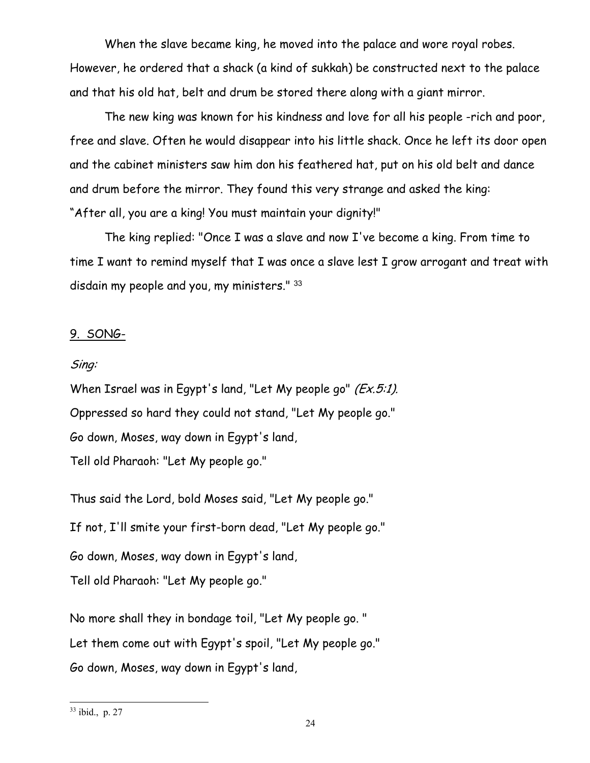When the slave became king, he moved into the palace and wore royal robes. However, he ordered that a shack (a kind of sukkah) be constructed next to the palace and that his old hat, belt and drum be stored there along with a giant mirror.

The new king was known for his kindness and love for all his people -rich and poor, free and slave. Often he would disappear into his little shack. Once he left its door open and the cabinet ministers saw him don his feathered hat, put on his old belt and dance and drum before the mirror. They found this very strange and asked the king: "After all, you are a king! You must maintain your dignity!"

The king replied: "Once I was a slave and now I've become a king. From time to time I want to remind myself that I was once a slave lest I grow arrogant and treat with disdain my people and you, my ministers." 33

# 9. SONG-

# Sing:

When Israel was in Egypt's land, "Let My people go"  $(Fx.5:1)$ . Oppressed so hard they could not stand, "Let My people go." Go down, Moses, way down in Egypt's land, Tell old Pharaoh: "Let My people go."

Thus said the Lord, bold Moses said, "Let My people go."

If not, I'll smite your first-born dead, "Let My people go."

Go down, Moses, way down in Egypt's land,

Tell old Pharaoh: "Let My people go."

No more shall they in bondage toil, "Let My people go. "

Let them come out with Egypt's spoil, "Let My people go."

Go down, Moses, way down in Egypt's land,

 $33$  ibid., p. 27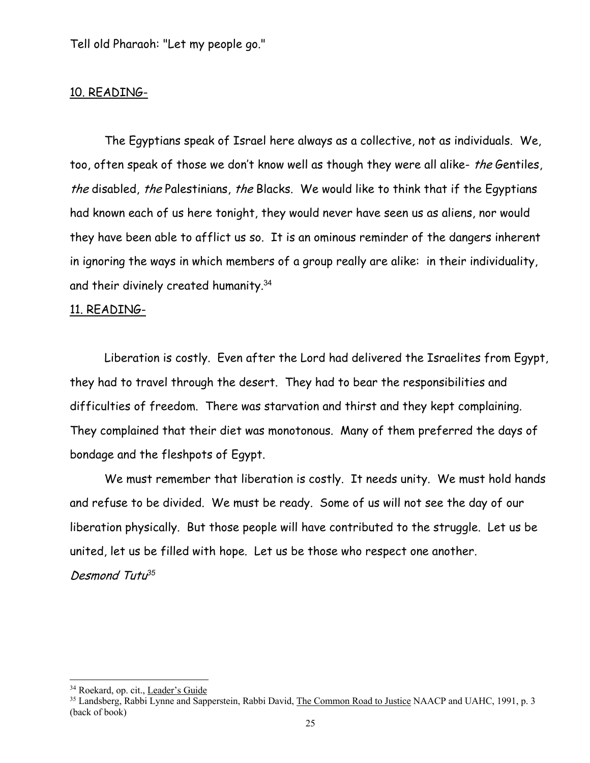Tell old Pharaoh: "Let my people go."

#### 10. READING-

The Egyptians speak of Israel here always as a collective, not as individuals. We, too, often speak of those we don't know well as though they were all alike- the Gentiles, the disabled, the Palestinians, the Blacks. We would like to think that if the Egyptians had known each of us here tonight, they would never have seen us as aliens, nor would they have been able to afflict us so. It is an ominous reminder of the dangers inherent in ignoring the ways in which members of a group really are alike: in their individuality, and their divinely created humanity.<sup>34</sup>

#### 11. READING-

Liberation is costly. Even after the Lord had delivered the Israelites from Egypt, they had to travel through the desert. They had to bear the responsibilities and difficulties of freedom. There was starvation and thirst and they kept complaining. They complained that their diet was monotonous. Many of them preferred the days of bondage and the fleshpots of Egypt.

We must remember that liberation is costly. It needs unity. We must hold hands and refuse to be divided. We must be ready. Some of us will not see the day of our liberation physically. But those people will have contributed to the struggle. Let us be united, let us be filled with hope. Let us be those who respect one another. Desmond Tutu*35*

<sup>34</sup> Roekard, op. cit., Leader's Guide

<sup>&</sup>lt;sup>35</sup> Landsberg, Rabbi Lynne and Sapperstein, Rabbi David, The Common Road to Justice NAACP and UAHC, 1991, p. 3 (back of book)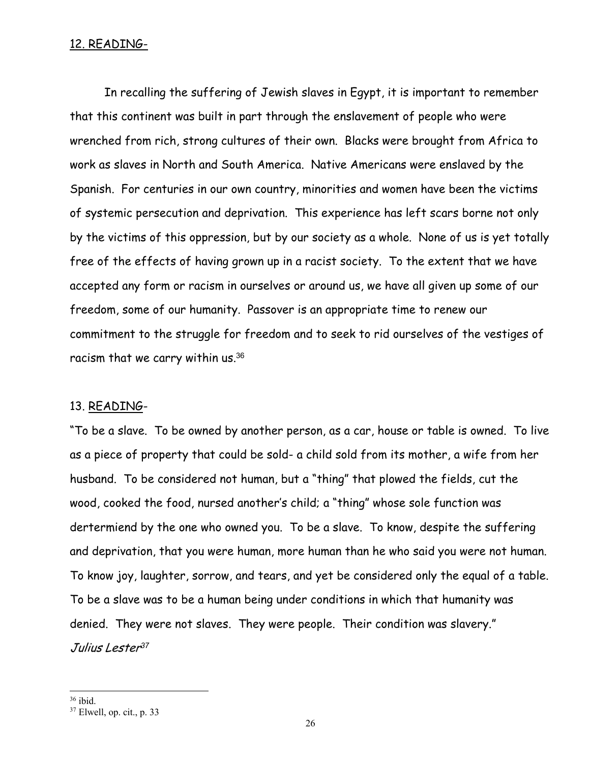In recalling the suffering of Jewish slaves in Egypt, it is important to remember that this continent was built in part through the enslavement of people who were wrenched from rich, strong cultures of their own. Blacks were brought from Africa to work as slaves in North and South America. Native Americans were enslaved by the Spanish. For centuries in our own country, minorities and women have been the victims of systemic persecution and deprivation. This experience has left scars borne not only by the victims of this oppression, but by our society as a whole. None of us is yet totally free of the effects of having grown up in a racist society. To the extent that we have accepted any form or racism in ourselves or around us, we have all given up some of our freedom, some of our humanity. Passover is an appropriate time to renew our commitment to the struggle for freedom and to seek to rid ourselves of the vestiges of racism that we carry within us.<sup>36</sup>

#### 13. READING-

"To be a slave. To be owned by another person, as a car, house or table is owned. To live as a piece of property that could be sold- a child sold from its mother, a wife from her husband. To be considered not human, but a "thing" that plowed the fields, cut the wood, cooked the food, nursed another's child; a "thing" whose sole function was dertermiend by the one who owned you. To be a slave. To know, despite the suffering and deprivation, that you were human, more human than he who said you were not human. To know joy, laughter, sorrow, and tears, and yet be considered only the equal of a table. To be a slave was to be a human being under conditions in which that humanity was denied. They were not slaves. They were people. Their condition was slavery." Julius Lester*37*

<sup>36</sup> ibid.

 $37$  Elwell, op. cit., p. 33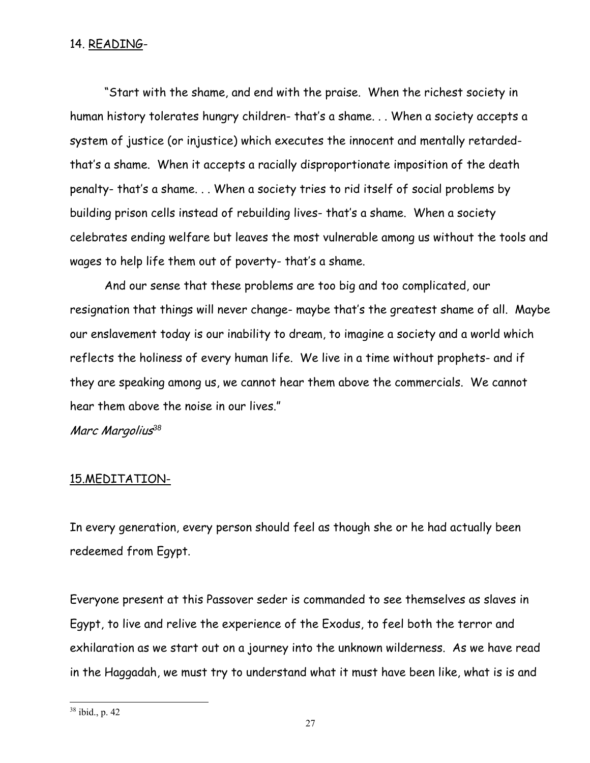"Start with the shame, and end with the praise. When the richest society in human history tolerates hungry children- that's a shame. . . When a society accepts a system of justice (or injustice) which executes the innocent and mentally retardedthat's a shame. When it accepts a racially disproportionate imposition of the death penalty- that's a shame. . . When a society tries to rid itself of social problems by building prison cells instead of rebuilding lives- that's a shame. When a society celebrates ending welfare but leaves the most vulnerable among us without the tools and wages to help life them out of poverty- that's a shame.

And our sense that these problems are too big and too complicated, our resignation that things will never change- maybe that's the greatest shame of all. Maybe our enslavement today is our inability to dream, to imagine a society and a world which reflects the holiness of every human life. We live in a time without prophets- and if they are speaking among us, we cannot hear them above the commercials. We cannot hear them above the noise in our lives."

Marc Margolius*<sup>38</sup>*

# 15.MEDITATION-

In every generation, every person should feel as though she or he had actually been redeemed from Egypt.

Everyone present at this Passover seder is commanded to see themselves as slaves in Egypt, to live and relive the experience of the Exodus, to feel both the terror and exhilaration as we start out on a journey into the unknown wilderness. As we have read in the Haggadah, we must try to understand what it must have been like, what is is and

<sup>38</sup> ibid., p. 42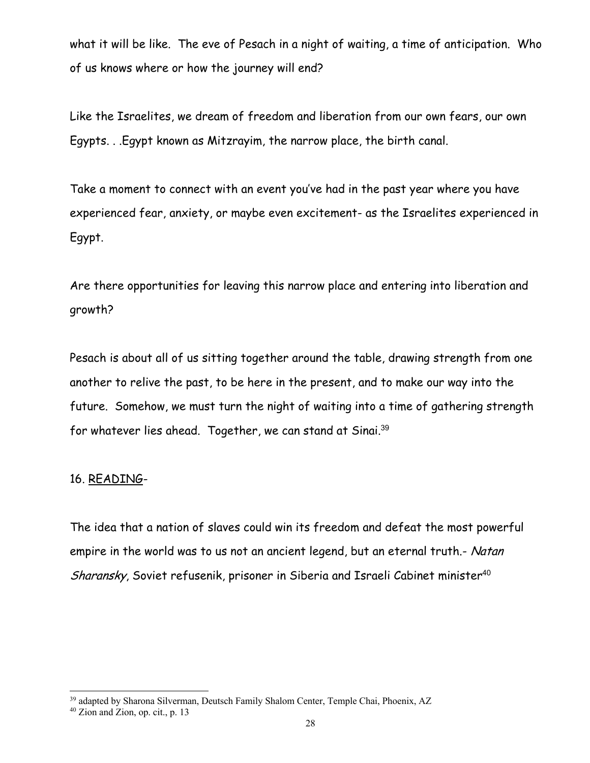what it will be like. The eve of Pesach in a night of waiting, a time of anticipation. Who of us knows where or how the journey will end?

Like the Israelites, we dream of freedom and liberation from our own fears, our own Egypts. . .Egypt known as Mitzrayim, the narrow place, the birth canal.

Take a moment to connect with an event you've had in the past year where you have experienced fear, anxiety, or maybe even excitement- as the Israelites experienced in Egypt.

Are there opportunities for leaving this narrow place and entering into liberation and growth?

Pesach is about all of us sitting together around the table, drawing strength from one another to relive the past, to be here in the present, and to make our way into the future. Somehow, we must turn the night of waiting into a time of gathering strength for whatever lies ahead. Together, we can stand at Sinai.<sup>39</sup>

# 16. READING-

The idea that a nation of slaves could win its freedom and defeat the most powerful empire in the world was to us not an ancient legend, but an eternal truth.- Natan Sharansky, Soviet refusenik, prisoner in Siberia and Israeli Cabinet minister<sup>40</sup>

<sup>&</sup>lt;sup>39</sup> adapted by Sharona Silverman, Deutsch Family Shalom Center, Temple Chai, Phoenix, AZ

 $40$  Zion and Zion, op. cit., p. 13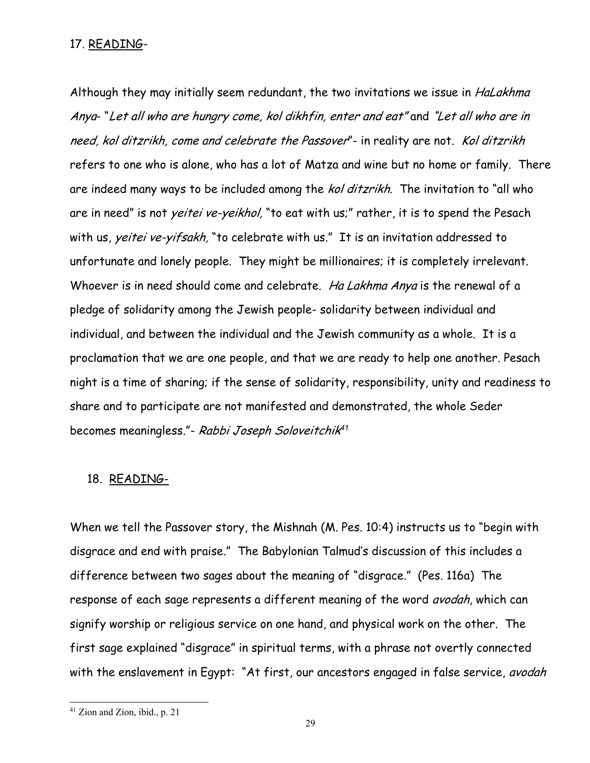Although they may initially seem redundant, the two invitations we issue in HaLakhma Anya- "Let all who are hungry come, kol dikhfin, enter and eat" and "Let all who are in need, kol ditzrikh, come and celebrate the Passover"- in reality are not. Kol ditzrikh refers to one who is alone, who has a lot of Matza and wine but no home or family. There are indeed many ways to be included among the kol ditzrikh. The invitation to "all who are in need" is not *yeitei ve-yeikhol*, "to eat with us;" rather, it is to spend the Pesach with us, yeitei ve-yifsakh, "to celebrate with us." It is an invitation addressed to unfortunate and lonely people. They might be millionaires; it is completely irrelevant. Whoever is in need should come and celebrate. Ha Lakhma Anya is the renewal of a pledge of solidarity among the Jewish people- solidarity between individual and individual, and between the individual and the Jewish community as a whole. It is a proclamation that we are one people, and that we are ready to help one another. Pesach night is a time of sharing; if the sense of solidarity, responsibility, unity and readiness to share and to participate are not manifested and demonstrated, the whole Seder becomes meaningless."- Rabbi Joseph Soloveitchik*<sup>41</sup>*

# 18. READING-

When we tell the Passover story, the Mishnah (M. Pes. 10:4) instructs us to "begin with disgrace and end with praise." The Babylonian Talmud's discussion of this includes a difference between two sages about the meaning of "disgrace." (Pes. 116a) The response of each sage represents a different meaning of the word avodah, which can signify worship or religious service on one hand, and physical work on the other. The first sage explained "disgrace" in spiritual terms, with a phrase not overtly connected with the enslavement in Egypt: "At first, our ancestors engaged in false service, avodah

<sup>41</sup> Zion and Zion, ibid., p. 21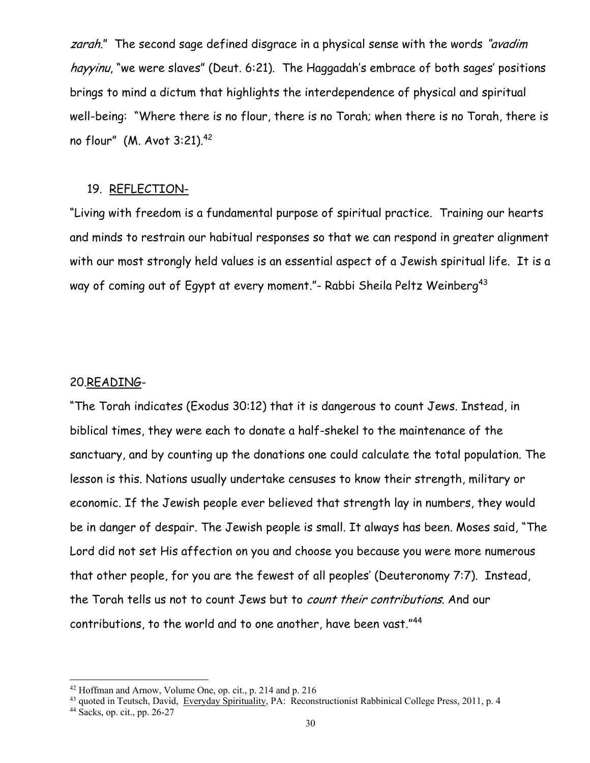zarah." The second sage defined disgrace in a physical sense with the words "avadim hayyinu, "we were slaves" (Deut. 6:21). The Haggadah's embrace of both sages' positions brings to mind a dictum that highlights the interdependence of physical and spiritual well-being: "Where there is no flour, there is no Torah; when there is no Torah, there is no flour" (M. Avot 3:21).42

#### 19. REFLECTION-

"Living with freedom is a fundamental purpose of spiritual practice. Training our hearts and minds to restrain our habitual responses so that we can respond in greater alignment with our most strongly held values is an essential aspect of a Jewish spiritual life. It is a way of coming out of Egypt at every moment."- Rabbi Sheila Peltz Weinberg<sup>43</sup>

#### 20.READING-

"The Torah indicates (Exodus 30:12) that it is dangerous to count Jews. Instead, in biblical times, they were each to donate a half-shekel to the maintenance of the sanctuary, and by counting up the donations one could calculate the total population. The lesson is this. Nations usually undertake censuses to know their strength, military or economic. If the Jewish people ever believed that strength lay in numbers, they would be in danger of despair. The Jewish people is small. It always has been. Moses said, "The Lord did not set His affection on you and choose you because you were more numerous that other people, for you are the fewest of all peoples' (Deuteronomy 7:7). Instead, the Torah tells us not to count Jews but to *count their contributions*. And our contributions, to the world and to one another, have been vast."<sup>44</sup>

<sup>43</sup> quoted in Teutsch, David, Everyday Spirituality, PA: Reconstructionist Rabbinical College Press, 2011, p. 4

<sup>42</sup> Hoffman and Arnow, Volume One, op. cit., p. 214 and p. 216

<sup>44</sup> Sacks, op. cit., pp. 26-27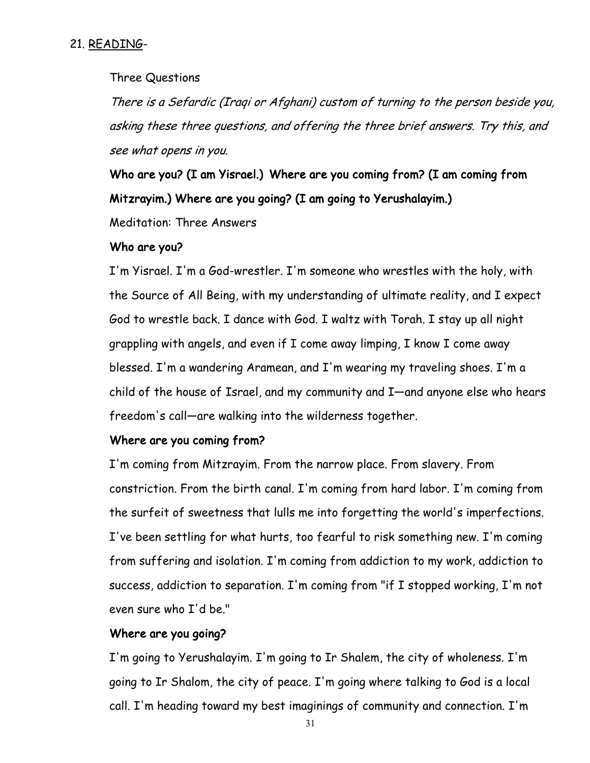### Three Questions

There is a Sefardic (Iraqi or Afghani) custom of turning to the person beside you, asking these three questions, and offering the three brief answers. Try this, and see what opens in you.

Who are you? (I am Yisrael.) Where are you coming from? (I am coming from Mitzrayim.) Where are you going? (I am going to Yerushalayim.)

Meditation: Three Answers

### Who are you?

I'm Yisrael. I'm a God-wrestler. I'm someone who wrestles with the holy, with the Source of All Being, with my understanding of ultimate reality, and I expect God to wrestle back. I dance with God. I waltz with Torah. I stay up all night grappling with angels, and even if I come away limping, I know I come away blessed. I'm a wandering Aramean, and I'm wearing my traveling shoes. I'm a child of the house of Israel, and my community and I—and anyone else who hears freedom's call—are walking into the wilderness together.

# Where are you coming from?

I'm coming from Mitzrayim. From the narrow place. From slavery. From constriction. From the birth canal. I'm coming from hard labor. I'm coming from the surfeit of sweetness that lulls me into forgetting the world's imperfections. I've been settling for what hurts, too fearful to risk something new. I'm coming from suffering and isolation. I'm coming from addiction to my work, addiction to success, addiction to separation. I'm coming from "if I stopped working, I'm not even sure who I'd be."

# Where are you going?

I'm going to Yerushalayim. I'm going to Ir Shalem, the city of wholeness. I'm going to Ir Shalom, the city of peace. I'm going where talking to God is a local call. I'm heading toward my best imaginings of community and connection. I'm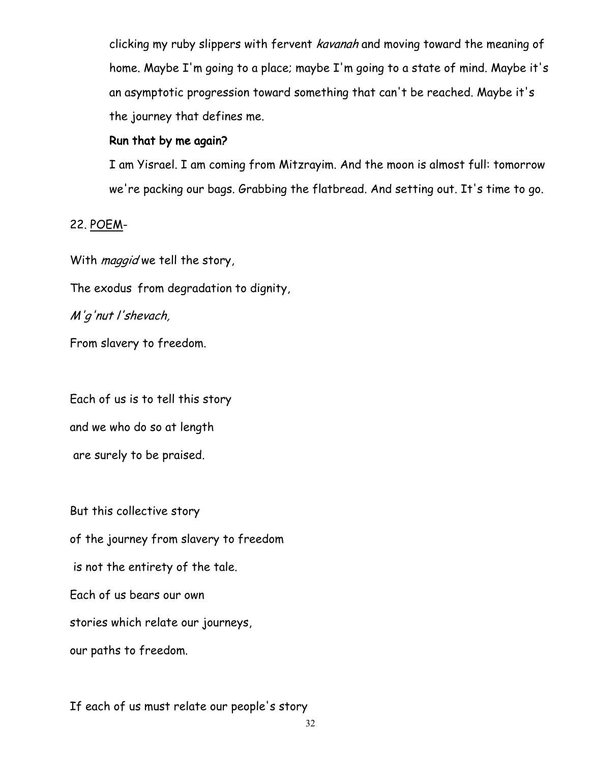clicking my ruby slippers with fervent kavanah and moving toward the meaning of home. Maybe I'm going to a place; maybe I'm going to a state of mind. Maybe it's an asymptotic progression toward something that can't be reached. Maybe it's the journey that defines me.

# Run that by me again?

I am Yisrael. I am coming from Mitzrayim. And the moon is almost full: tomorrow we're packing our bags. Grabbing the flatbread. And setting out. It's time to go.

# 22. POEM-

With *maggid* we tell the story,

The exodus from degradation to dignity,

M'g'nut l'shevach,

From slavery to freedom.

Each of us is to tell this story and we who do so at length are surely to be praised.

But this collective story of the journey from slavery to freedom is not the entirety of the tale. Each of us bears our own stories which relate our journeys, our paths to freedom.

If each of us must relate our people's story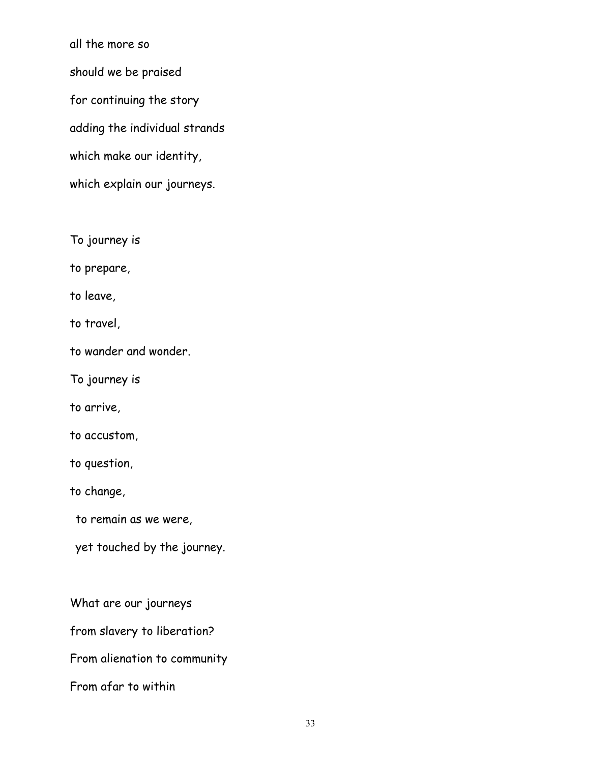all the more so should we be praised for continuing the story adding the individual strands which make our identity, which explain our journeys.

To journey is

to prepare,

to leave,

to travel,

to wander and wonder.

To journey is

to arrive,

to accustom,

to question,

to change,

to remain as we were,

yet touched by the journey.

What are our journeys

from slavery to liberation?

From alienation to community

From afar to within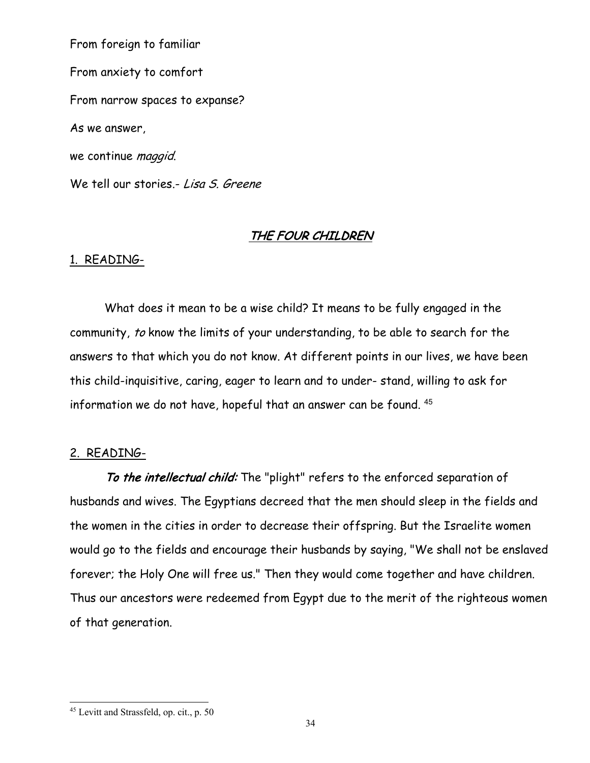From foreign to familiar

From anxiety to comfort

From narrow spaces to expanse?

As we answer,

we continue maggid.

We tell our stories.- Lisa S. Greene

# THE FOUR CHILDREN

# 1. READING-

What does it mean to be a wise child? It means to be fully engaged in the community, to know the limits of your understanding, to be able to search for the answers to that which you do not know. At different points in our lives, we have been this child-inquisitive, caring, eager to learn and to under- stand, willing to ask for information we do not have, hopeful that an answer can be found. <sup>45</sup>

# 2. READING-

To the intellectual child: The "plight" refers to the enforced separation of husbands and wives. The Egyptians decreed that the men should sleep in the fields and the women in the cities in order to decrease their offspring. But the Israelite women would go to the fields and encourage their husbands by saying, "We shall not be enslaved forever; the Holy One will free us." Then they would come together and have children. Thus our ancestors were redeemed from Egypt due to the merit of the righteous women of that generation.

<sup>45</sup> Levitt and Strassfeld, op. cit., p. 50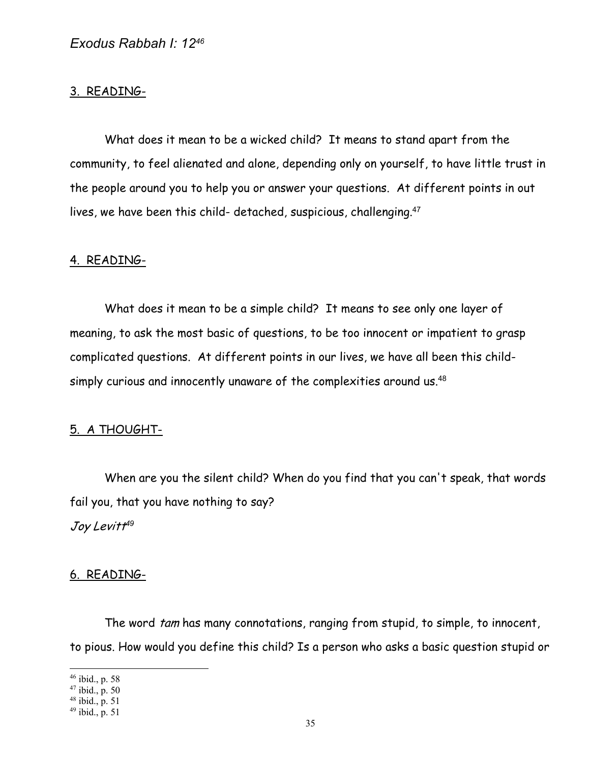What does it mean to be a wicked child? It means to stand apart from the community, to feel alienated and alone, depending only on yourself, to have little trust in the people around you to help you or answer your questions. At different points in out lives, we have been this child- detached, suspicious, challenging.<sup>47</sup>

# 4. READING-

What does it mean to be a simple child? It means to see only one layer of meaning, to ask the most basic of questions, to be too innocent or impatient to grasp complicated questions. At different points in our lives, we have all been this childsimply curious and innocently unaware of the complexities around us.<sup>48</sup>

# 5. A THOUGHT-

When are you the silent child? When do you find that you can't speak, that words fail you, that you have nothing to say? Joy Levitt*<sup>49</sup>*

# 6. READING-

The word tam has many connotations, ranging from stupid, to simple, to innocent, to pious. How would you define this child? Is a person who asks a basic question stupid or

<sup>46</sup> ibid., p. 58

<sup>47</sup> ibid., p. 50

 $48$  ibid., p. 51

 $49$  ibid., p. 51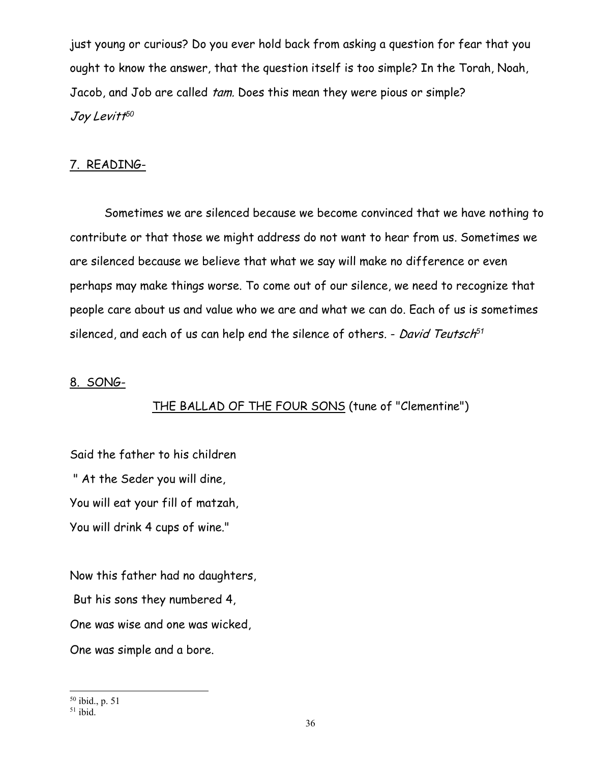just young or curious? Do you ever hold back from asking a question for fear that you ought to know the answer, that the question itself is too simple? In the Torah, Noah, Jacob, and Job are called tam. Does this mean they were pious or simple? Joy Levitt*<sup>50</sup>*

# 7. READING-

Sometimes we are silenced because we become convinced that we have nothing to contribute or that those we might address do not want to hear from us. Sometimes we are silenced because we believe that what we say will make no difference or even perhaps may make things worse. To come out of our silence, we need to recognize that people care about us and value who we are and what we can do. Each of us is sometimes silenced, and each of us can help end the silence of others. - David Teutsch*<sup>51</sup>*

### 8. SONG-

# THE BALLAD OF THE FOUR SONS (tune of "Clementine")

Said the father to his children

" At the Seder you will dine,

You will eat your fill of matzah,

You will drink 4 cups of wine."

Now this father had no daughters,

But his sons they numbered 4,

One was wise and one was wicked,

One was simple and a bore.

<sup>50</sup> ibid., p. 51

 $51$  ibid.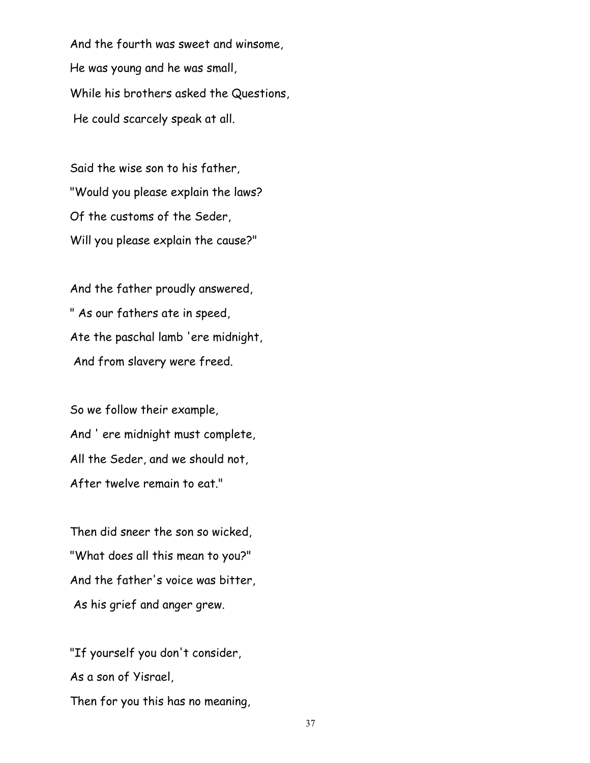And the fourth was sweet and winsome, He was young and he was small, While his brothers asked the Questions, He could scarcely speak at all.

Said the wise son to his father, "Would you please explain the laws? Of the customs of the Seder, Will you please explain the cause?"

And the father proudly answered, " As our fathers ate in speed, Ate the paschal lamb 'ere midnight, And from slavery were freed.

So we follow their example, And ' ere midnight must complete, All the Seder, and we should not, After twelve remain to eat."

Then did sneer the son so wicked, "What does all this mean to you?" And the father's voice was bitter, As his grief and anger grew.

"If yourself you don't consider, As a son of Yisrael, Then for you this has no meaning,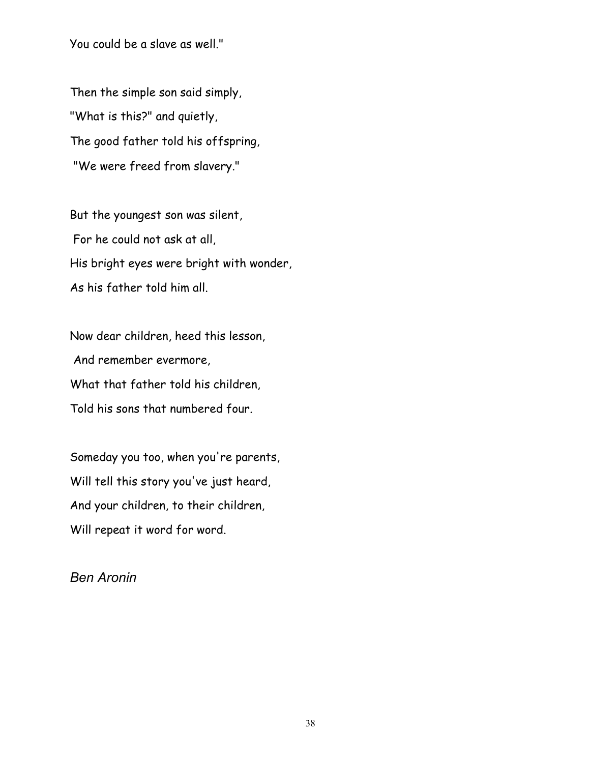You could be a slave as well."

Then the simple son said simply, "What is this?" and quietly, The good father told his offspring, "We were freed from slavery."

But the youngest son was silent, For he could not ask at all, His bright eyes were bright with wonder, As his father told him all.

Now dear children, heed this lesson, And remember evermore, What that father told his children, Told his sons that numbered four.

Someday you too, when you're parents, Will tell this story you've just heard, And your children, to their children, Will repeat it word for word.

*Ben Aronin*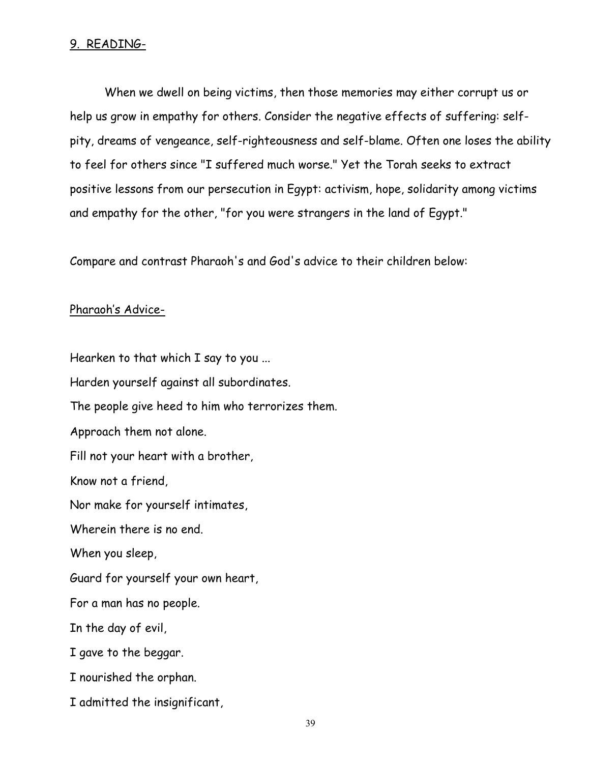## 9. READING-

When we dwell on being victims, then those memories may either corrupt us or help us grow in empathy for others. Consider the negative effects of suffering: selfpity, dreams of vengeance, self-righteousness and self-blame. Often one loses the ability to feel for others since "I suffered much worse." Yet the Torah seeks to extract positive lessons from our persecution in Egypt: activism, hope, solidarity among victims and empathy for the other, "for you were strangers in the land of Egypt."

Compare and contrast Pharaoh's and God's advice to their children below:

## Pharaoh's Advice-

Hearken to that which I say to you ... Harden yourself against all subordinates. The people give heed to him who terrorizes them. Approach them not alone. Fill not your heart with a brother, Know not a friend, Nor make for yourself intimates, Wherein there is no end. When you sleep, Guard for yourself your own heart, For a man has no people. In the day of evil, I gave to the beggar. I nourished the orphan. I admitted the insignificant,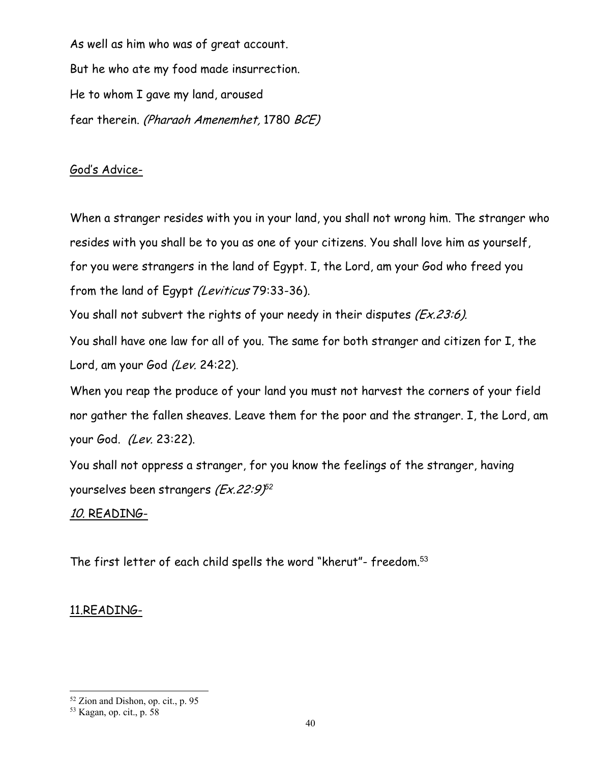As well as him who was of great account. But he who ate my food made insurrection. He to whom I gave my land, aroused fear therein. (Pharaoh Amenemhet, 1780 BCE)

# God's Advice-

When a stranger resides with you in your land, you shall not wrong him. The stranger who resides with you shall be to you as one of your citizens. You shall love him as yourself, for you were strangers in the land of Egypt. I, the Lord, am your God who freed you from the land of Egypt (Leviticus 79:33-36).

You shall not subvert the rights of your needy in their disputes (Ex.23:6).

You shall have one law for all of you. The same for both stranger and citizen for I, the Lord, am your God (Lev. 24:22).

When you reap the produce of your land you must not harvest the corners of your field nor gather the fallen sheaves. Leave them for the poor and the stranger. I, the Lord, am your God. (Lev. 23:22).

You shall not oppress a stranger, for you know the feelings of the stranger, having yourselves been strangers (Ex.22:9)*<sup>52</sup>*

# 10. READING-

The first letter of each child spells the word "kherut"- freedom.<sup>53</sup>

# 11.READING-

<sup>52</sup> Zion and Dishon, op. cit., p. 95

<sup>53</sup> Kagan, op. cit., p. 58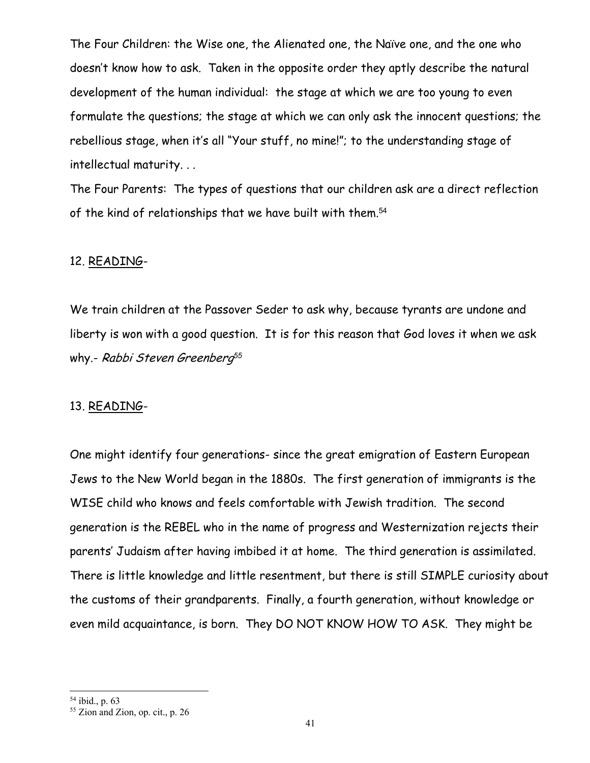The Four Children: the Wise one, the Alienated one, the Naïve one, and the one who doesn't know how to ask. Taken in the opposite order they aptly describe the natural development of the human individual: the stage at which we are too young to even formulate the questions; the stage at which we can only ask the innocent questions; the rebellious stage, when it's all "Your stuff, no mine!"; to the understanding stage of intellectual maturity. . .

The Four Parents: The types of questions that our children ask are a direct reflection of the kind of relationships that we have built with them.<sup>54</sup>

## 12. READING-

We train children at the Passover Seder to ask why, because tyrants are undone and liberty is won with a good question. It is for this reason that God loves it when we ask why.- Rabbi Steven Greenberg*<sup>55</sup>*

#### 13. READING-

One might identify four generations- since the great emigration of Eastern European Jews to the New World began in the 1880s. The first generation of immigrants is the WISE child who knows and feels comfortable with Jewish tradition. The second generation is the REBEL who in the name of progress and Westernization rejects their parents' Judaism after having imbibed it at home. The third generation is assimilated. There is little knowledge and little resentment, but there is still SIMPLE curiosity about the customs of their grandparents. Finally, a fourth generation, without knowledge or even mild acquaintance, is born. They DO NOT KNOW HOW TO ASK. They might be

<sup>54</sup> ibid., p. 63

<sup>55</sup> Zion and Zion, op. cit., p. 26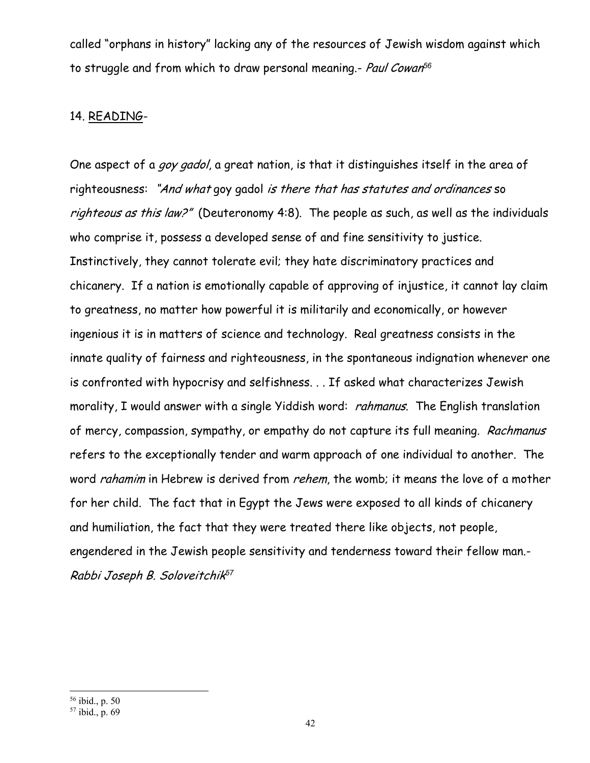called "orphans in history" lacking any of the resources of Jewish wisdom against which to struggle and from which to draw personal meaning.- Paul Cowan*<sup>56</sup>*

## 14. READING-

One aspect of a *goy gadol*, a great nation, is that it distinguishes itself in the area of righteousness: "And what goy gadol is there that has statutes and ordinances so righteous as this law?" (Deuteronomy 4:8). The people as such, as well as the individuals who comprise it, possess a developed sense of and fine sensitivity to justice. Instinctively, they cannot tolerate evil; they hate discriminatory practices and chicanery. If a nation is emotionally capable of approving of injustice, it cannot lay claim to greatness, no matter how powerful it is militarily and economically, or however ingenious it is in matters of science and technology. Real greatness consists in the innate quality of fairness and righteousness, in the spontaneous indignation whenever one is confronted with hypocrisy and selfishness. . . If asked what characterizes Jewish morality, I would answer with a single Yiddish word: rahmanus. The English translation of mercy, compassion, sympathy, or empathy do not capture its full meaning. Rachmanus refers to the exceptionally tender and warm approach of one individual to another. The word *rahamim* in Hebrew is derived from *rehem*, the womb; it means the love of a mother for her child. The fact that in Egypt the Jews were exposed to all kinds of chicanery and humiliation, the fact that they were treated there like objects, not people, engendered in the Jewish people sensitivity and tenderness toward their fellow man.- Rabbi Joseph B. Soloveitchik*<sup>57</sup>*

<sup>56</sup> ibid., p. 50

 $57$  ibid., p. 69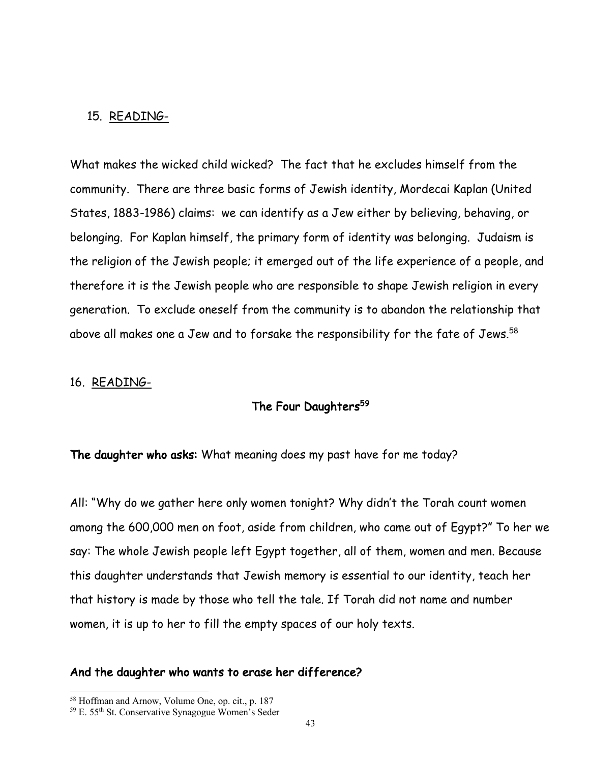#### 15. READING-

What makes the wicked child wicked? The fact that he excludes himself from the community. There are three basic forms of Jewish identity, Mordecai Kaplan (United States, 1883-1986) claims: we can identify as a Jew either by believing, behaving, or belonging. For Kaplan himself, the primary form of identity was belonging. Judaism is the religion of the Jewish people; it emerged out of the life experience of a people, and therefore it is the Jewish people who are responsible to shape Jewish religion in every generation. To exclude oneself from the community is to abandon the relationship that above all makes one a Jew and to forsake the responsibility for the fate of Jews.<sup>58</sup>

#### 16. READING-

## The Four Daughters<sup>59</sup>

The daughter who asks: What meaning does my past have for me today?

All: "Why do we gather here only women tonight? Why didn't the Torah count women among the 600,000 men on foot, aside from children, who came out of Egypt?" To her we say: The whole Jewish people left Egypt together, all of them, women and men. Because this daughter understands that Jewish memory is essential to our identity, teach her that history is made by those who tell the tale. If Torah did not name and number women, it is up to her to fill the empty spaces of our holy texts.

#### And the daughter who wants to erase her difference?

<sup>58</sup> Hoffman and Arnow, Volume One, op. cit., p. 187

 $59$  E.  $55<sup>th</sup>$  St. Conservative Synagogue Women's Seder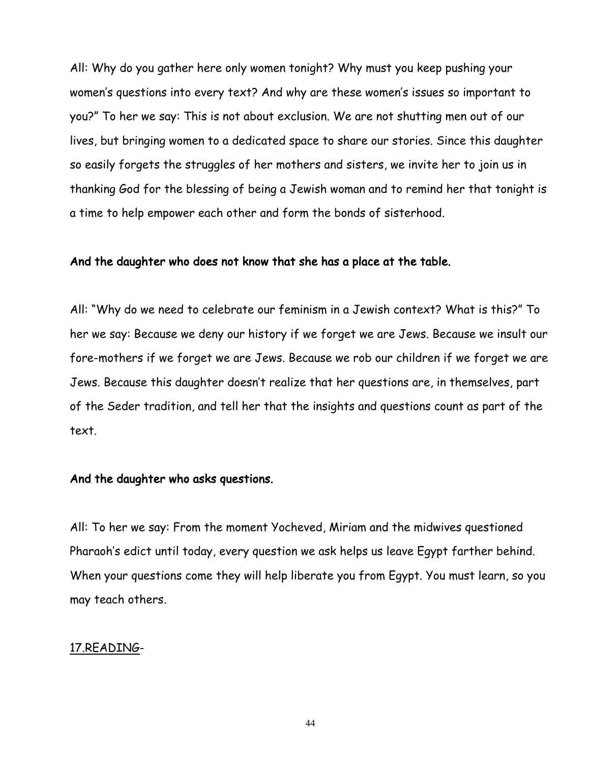All: Why do you gather here only women tonight? Why must you keep pushing your women's questions into every text? And why are these women's issues so important to you?" To her we say: This is not about exclusion. We are not shutting men out of our lives, but bringing women to a dedicated space to share our stories. Since this daughter so easily forgets the struggles of her mothers and sisters, we invite her to join us in thanking God for the blessing of being a Jewish woman and to remind her that tonight is a time to help empower each other and form the bonds of sisterhood.

#### And the daughter who does not know that she has a place at the table.

All: "Why do we need to celebrate our feminism in a Jewish context? What is this?" To her we say: Because we deny our history if we forget we are Jews. Because we insult our fore-mothers if we forget we are Jews. Because we rob our children if we forget we are Jews. Because this daughter doesn't realize that her questions are, in themselves, part of the Seder tradition, and tell her that the insights and questions count as part of the text.

#### And the daughter who asks questions.

All: To her we say: From the moment Yocheved, Miriam and the midwives questioned Pharaoh's edict until today, every question we ask helps us leave Egypt farther behind. When your questions come they will help liberate you from Egypt. You must learn, so you may teach others.

#### 17.READING-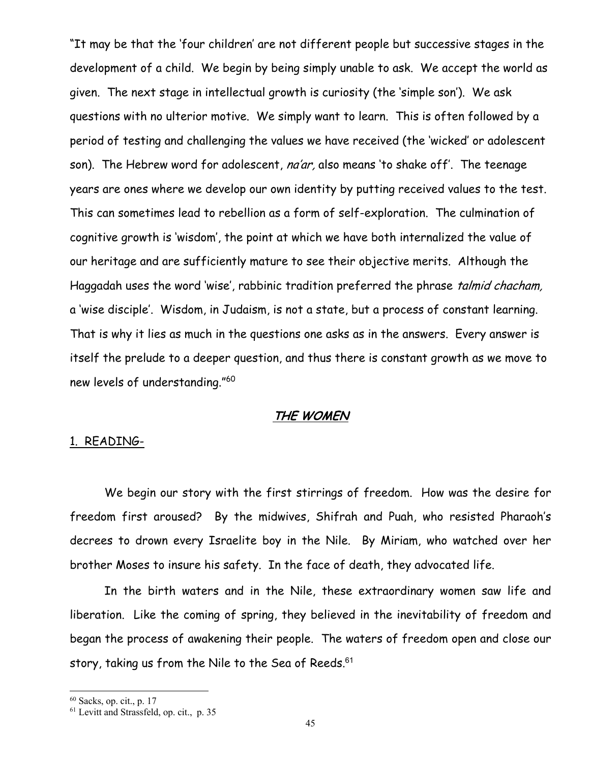"It may be that the 'four children' are not different people but successive stages in the development of a child. We begin by being simply unable to ask. We accept the world as given. The next stage in intellectual growth is curiosity (the 'simple son'). We ask questions with no ulterior motive. We simply want to learn. This is often followed by a period of testing and challenging the values we have received (the 'wicked' or adolescent son). The Hebrew word for adolescent, na'ar, also means 'to shake off'. The teenage years are ones where we develop our own identity by putting received values to the test. This can sometimes lead to rebellion as a form of self-exploration. The culmination of cognitive growth is 'wisdom', the point at which we have both internalized the value of our heritage and are sufficiently mature to see their objective merits. Although the Haggadah uses the word 'wise', rabbinic tradition preferred the phrase talmid chacham, a 'wise disciple'. Wisdom, in Judaism, is not a state, but a process of constant learning. That is why it lies as much in the questions one asks as in the answers. Every answer is itself the prelude to a deeper question, and thus there is constant growth as we move to new levels of understanding."<sup>60</sup>

## THE WOMEN

#### 1. READING-

We begin our story with the first stirrings of freedom. How was the desire for freedom first aroused? By the midwives, Shifrah and Puah, who resisted Pharaoh's decrees to drown every Israelite boy in the Nile. By Miriam, who watched over her brother Moses to insure his safety. In the face of death, they advocated life.

In the birth waters and in the Nile, these extraordinary women saw life and liberation. Like the coming of spring, they believed in the inevitability of freedom and began the process of awakening their people. The waters of freedom open and close our story, taking us from the Nile to the Sea of Reeds.<sup>61</sup>

<sup>60</sup> Sacks, op. cit., p. 17

<sup>61</sup> Levitt and Strassfeld, op. cit., p. 35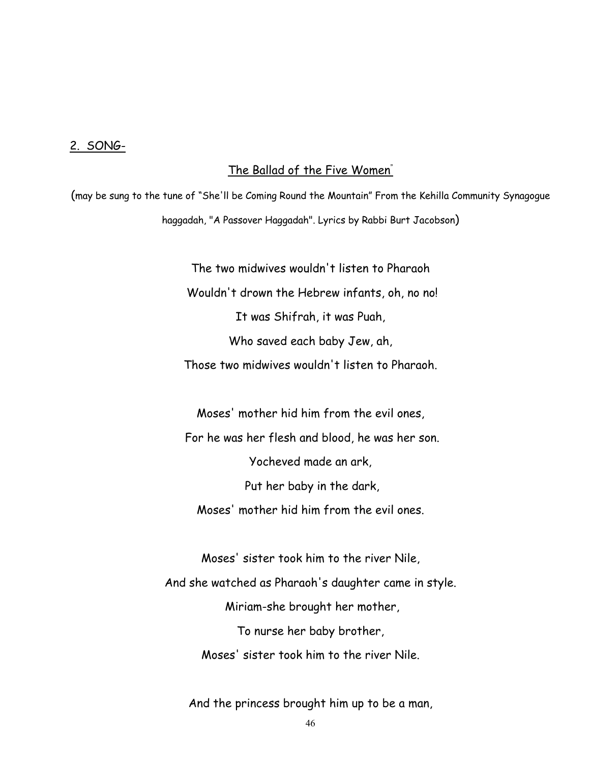#### 2. SONG-

## The Ballad of the Five Women"

(may be sung to the tune of "She'll be Coming Round the Mountain" From the Kehilla Community Synagogue haggadah, "A Passover Haggadah". Lyrics by Rabbi Burt Jacobson)

> The two midwives wouldn't listen to Pharaoh Wouldn't drown the Hebrew infants, oh, no no! It was Shifrah, it was Puah, Who saved each baby Jew, ah, Those two midwives wouldn't listen to Pharaoh.

> Moses' mother hid him from the evil ones, For he was her flesh and blood, he was her son. Yocheved made an ark, Put her baby in the dark, Moses' mother hid him from the evil ones.

Moses' sister took him to the river Nile, And she watched as Pharaoh's daughter came in style. Miriam-she brought her mother, To nurse her baby brother, Moses' sister took him to the river Nile.

And the princess brought him up to be a man,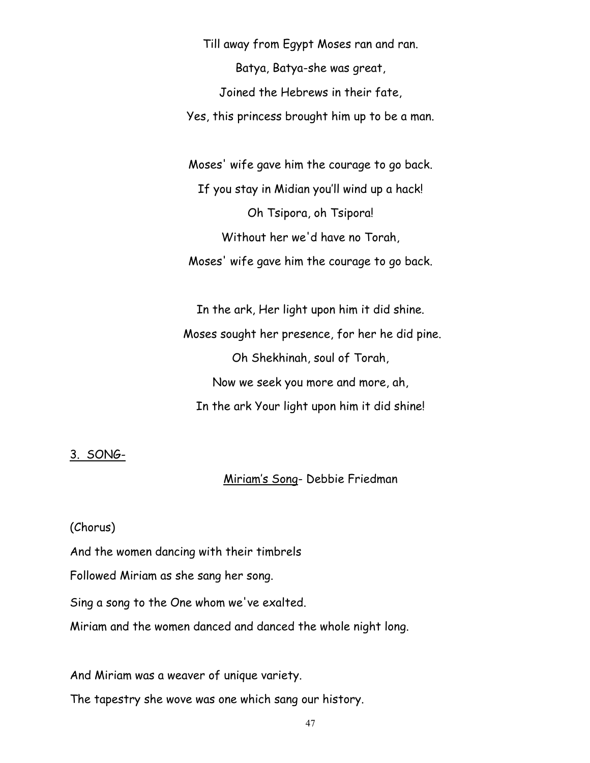Till away from Egypt Moses ran and ran. Batya, Batya-she was great, Joined the Hebrews in their fate, Yes, this princess brought him up to be a man.

Moses' wife gave him the courage to go back. If you stay in Midian you'll wind up a hack! Oh Tsipora, oh Tsipora! Without her we'd have no Torah, Moses' wife gave him the courage to go back.

In the ark, Her light upon him it did shine. Moses sought her presence, for her he did pine. Oh Shekhinah, soul of Torah, Now we seek you more and more, ah, In the ark Your light upon him it did shine!

#### 3. SONG-

#### Miriam's Song- Debbie Friedman

(Chorus)

And the women dancing with their timbrels

Followed Miriam as she sang her song.

Sing a song to the One whom we've exalted.

Miriam and the women danced and danced the whole night long.

And Miriam was a weaver of unique variety.

The tapestry she wove was one which sang our history.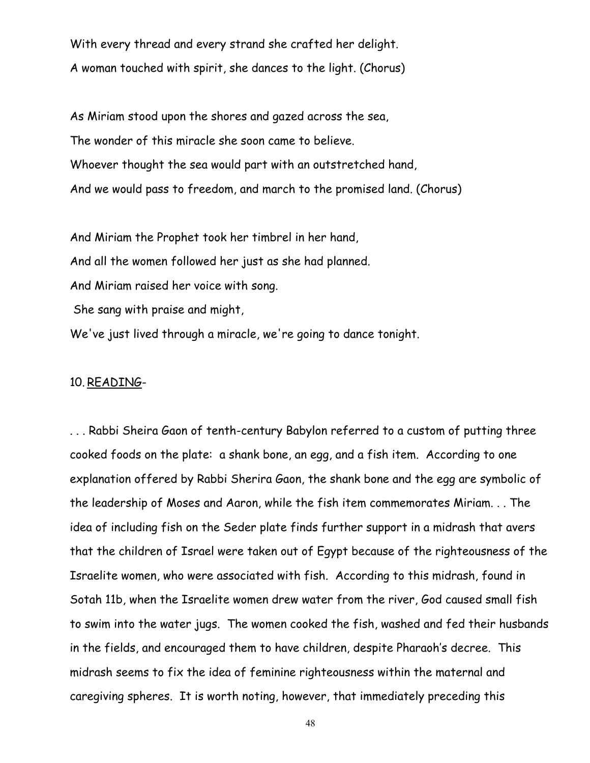With every thread and every strand she crafted her delight. A woman touched with spirit, she dances to the light. (Chorus)

As Miriam stood upon the shores and gazed across the sea,

The wonder of this miracle she soon came to believe.

Whoever thought the sea would part with an outstretched hand,

And we would pass to freedom, and march to the promised land. (Chorus)

And Miriam the Prophet took her timbrel in her hand,

And all the women followed her just as she had planned.

And Miriam raised her voice with song.

She sang with praise and might,

We've just lived through a miracle, we're going to dance tonight.

## 10. READING-

. . . Rabbi Sheira Gaon of tenth-century Babylon referred to a custom of putting three cooked foods on the plate: a shank bone, an egg, and a fish item. According to one explanation offered by Rabbi Sherira Gaon, the shank bone and the egg are symbolic of the leadership of Moses and Aaron, while the fish item commemorates Miriam. . . The idea of including fish on the Seder plate finds further support in a midrash that avers that the children of Israel were taken out of Egypt because of the righteousness of the Israelite women, who were associated with fish. According to this midrash, found in Sotah 11b, when the Israelite women drew water from the river, God caused small fish to swim into the water jugs. The women cooked the fish, washed and fed their husbands in the fields, and encouraged them to have children, despite Pharaoh's decree. This midrash seems to fix the idea of feminine righteousness within the maternal and caregiving spheres. It is worth noting, however, that immediately preceding this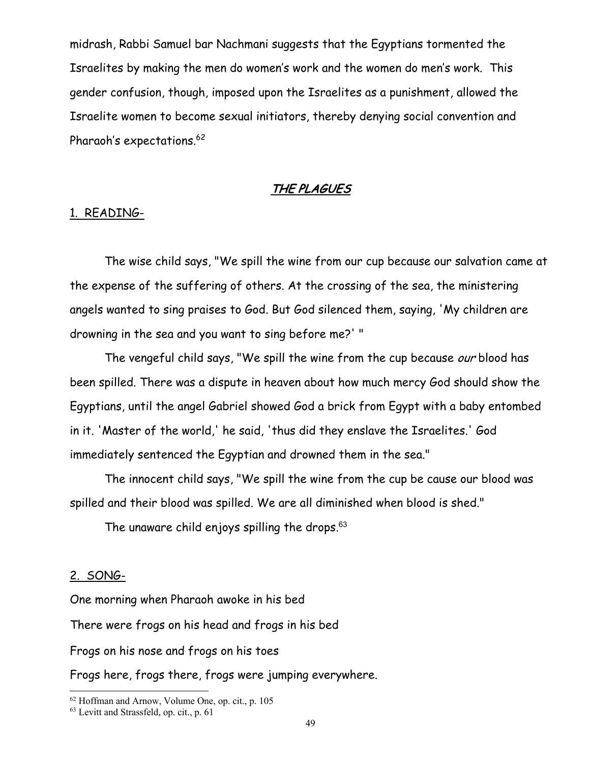midrash, Rabbi Samuel bar Nachmani suggests that the Egyptians tormented the Israelites by making the men do women's work and the women do men's work. This gender confusion, though, imposed upon the Israelites as a punishment, allowed the Israelite women to become sexual initiators, thereby denying social convention and Pharaoh's expectations.<sup>62</sup>

## THE PLAGUES

#### 1. READING-

The wise child says, "We spill the wine from our cup because our salvation came at the expense of the suffering of others. At the crossing of the sea, the ministering angels wanted to sing praises to God. But God silenced them, saying, 'My children are drowning in the sea and you want to sing before me?' "

The vengeful child says, "We spill the wine from the cup because our blood has been spilled. There was a dispute in heaven about how much mercy God should show the Egyptians, until the angel Gabriel showed God a brick from Egypt with a baby entombed in it. 'Master of the world,' he said, 'thus did they enslave the Israelites.' God immediately sentenced the Egyptian and drowned them in the sea."

The innocent child says, "We spill the wine from the cup be cause our blood was spilled and their blood was spilled. We are all diminished when blood is shed."

The unaware child enjoys spilling the drops. $63$ 

2. SONG-

One morning when Pharaoh awoke in his bed

There were frogs on his head and frogs in his bed

Frogs on his nose and frogs on his toes

Frogs here, frogs there, frogs were jumping everywhere.

<sup>62</sup> Hoffman and Arnow, Volume One, op. cit., p. 105

<sup>63</sup> Levitt and Strassfeld, op. cit., p. 61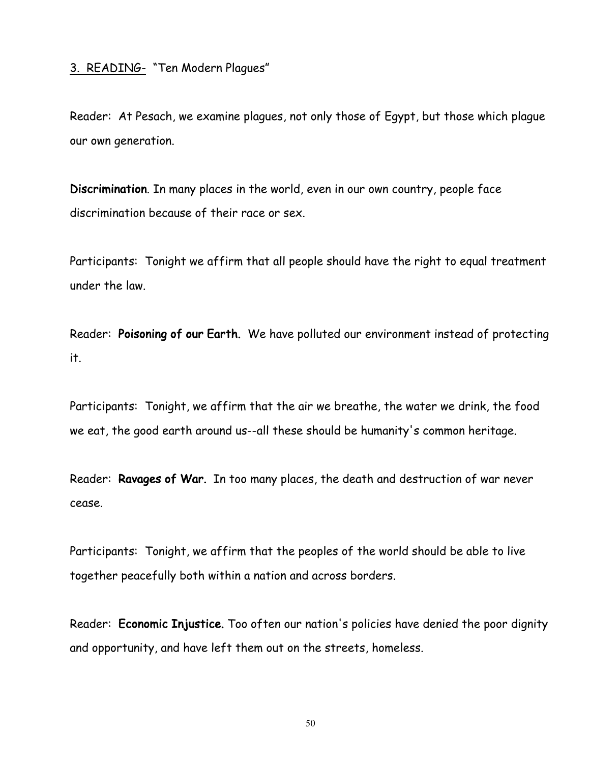#### 3. READING- "Ten Modern Plagues"

Reader: At Pesach, we examine plagues, not only those of Egypt, but those which plague our own generation.

Discrimination. In many places in the world, even in our own country, people face discrimination because of their race or sex.

Participants: Tonight we affirm that all people should have the right to equal treatment under the law.

Reader: Poisoning of our Earth. We have polluted our environment instead of protecting it.

Participants: Tonight, we affirm that the air we breathe, the water we drink, the food we eat, the good earth around us--all these should be humanity's common heritage.

Reader: Ravages of War. In too many places, the death and destruction of war never cease.

Participants: Tonight, we affirm that the peoples of the world should be able to live together peacefully both within a nation and across borders.

Reader: Economic Injustice. Too often our nation's policies have denied the poor dignity and opportunity, and have left them out on the streets, homeless.

50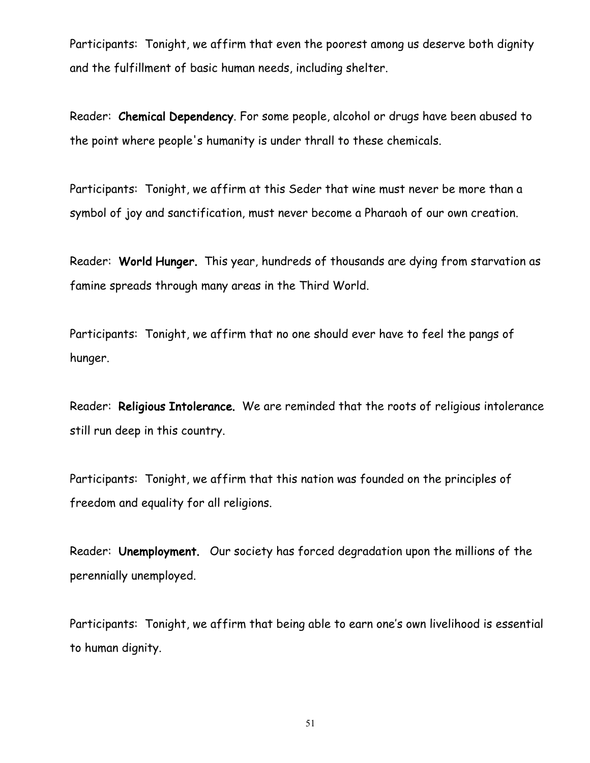Participants: Tonight, we affirm that even the poorest among us deserve both dignity and the fulfillment of basic human needs, including shelter.

Reader: Chemical Dependency. For some people, alcohol or drugs have been abused to the point where people's humanity is under thrall to these chemicals.

Participants: Tonight, we affirm at this Seder that wine must never be more than a symbol of joy and sanctification, must never become a Pharaoh of our own creation.

Reader: World Hunger. This year, hundreds of thousands are dying from starvation as famine spreads through many areas in the Third World.

Participants: Tonight, we affirm that no one should ever have to feel the pangs of hunger.

Reader: Religious Intolerance. We are reminded that the roots of religious intolerance still run deep in this country.

Participants: Tonight, we affirm that this nation was founded on the principles of freedom and equality for all religions.

Reader: Unemployment. Our society has forced degradation upon the millions of the perennially unemployed.

Participants: Tonight, we affirm that being able to earn one's own livelihood is essential to human dignity.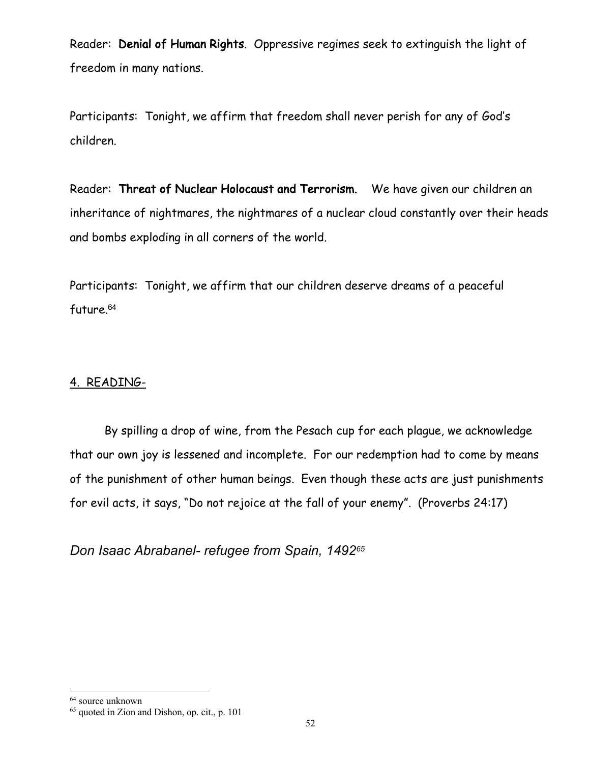Reader: Denial of Human Rights. Oppressive regimes seek to extinguish the light of freedom in many nations.

Participants: Tonight, we affirm that freedom shall never perish for any of God's children.

Reader: Threat of Nuclear Holocaust and Terrorism. We have given our children an inheritance of nightmares, the nightmares of a nuclear cloud constantly over their heads and bombs exploding in all corners of the world.

Participants: Tonight, we affirm that our children deserve dreams of a peaceful future.<sup>64</sup>

# 4. READING-

By spilling a drop of wine, from the Pesach cup for each plague, we acknowledge that our own joy is lessened and incomplete. For our redemption had to come by means of the punishment of other human beings. Even though these acts are just punishments for evil acts, it says, "Do not rejoice at the fall of your enemy". (Proverbs 24:17)

*Don Isaac Abrabanel- refugee from Spain, 149265*

<sup>64</sup> source unknown

 $65$  quoted in Zion and Dishon, op. cit., p. 101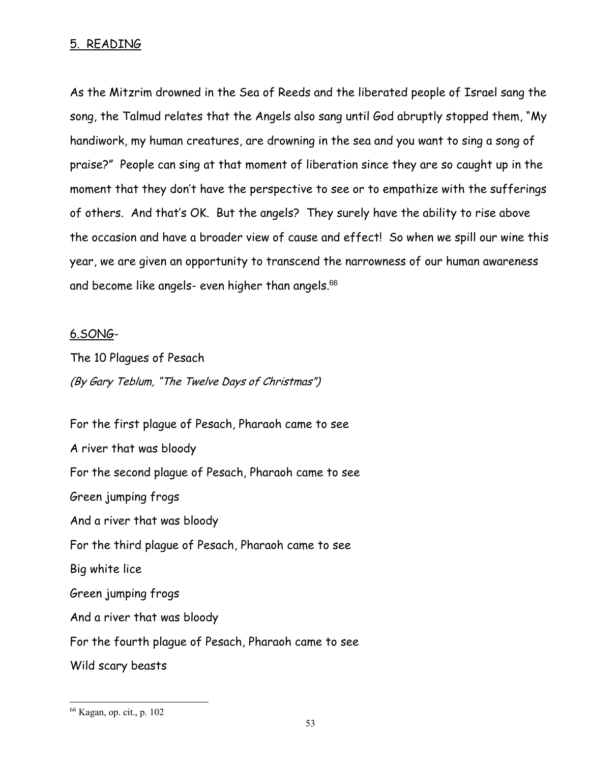## 5. READING

As the Mitzrim drowned in the Sea of Reeds and the liberated people of Israel sang the song, the Talmud relates that the Angels also sang until God abruptly stopped them, "My handiwork, my human creatures, are drowning in the sea and you want to sing a song of praise?" People can sing at that moment of liberation since they are so caught up in the moment that they don't have the perspective to see or to empathize with the sufferings of others. And that's OK. But the angels? They surely have the ability to rise above the occasion and have a broader view of cause and effect! So when we spill our wine this year, we are given an opportunity to transcend the narrowness of our human awareness and become like angels- even higher than angels.<sup>66</sup>

#### 6.SONG-

The 10 Plagues of Pesach (By Gary Teblum, "The Twelve Days of Christmas")

For the first plague of Pesach, Pharaoh came to see A river that was bloody For the second plague of Pesach, Pharaoh came to see Green jumping frogs And a river that was bloody For the third plague of Pesach, Pharaoh came to see Big white lice Green jumping frogs And a river that was bloody For the fourth plague of Pesach, Pharaoh came to see Wild scary beasts

<sup>66</sup> Kagan, op. cit., p. 102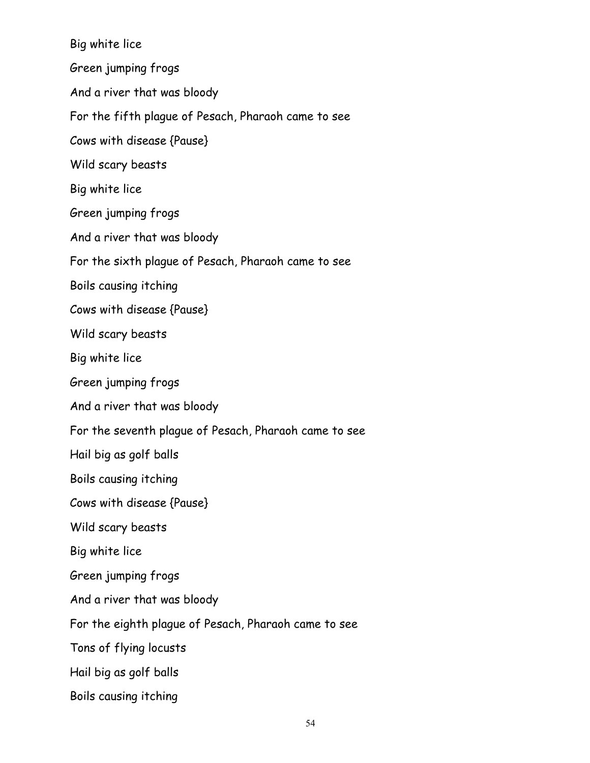Big white lice Green jumping frogs And a river that was bloody For the fifth plague of Pesach, Pharaoh came to see Cows with disease {Pause} Wild scary beasts Big white lice Green jumping frogs And a river that was bloody For the sixth plague of Pesach, Pharaoh came to see Boils causing itching Cows with disease {Pause} Wild scary beasts Big white lice Green jumping frogs And a river that was bloody For the seventh plague of Pesach, Pharaoh came to see Hail big as golf balls Boils causing itching Cows with disease {Pause} Wild scary beasts Big white lice Green jumping frogs And a river that was bloody For the eighth plague of Pesach, Pharaoh came to see Tons of flying locusts Hail big as golf balls Boils causing itching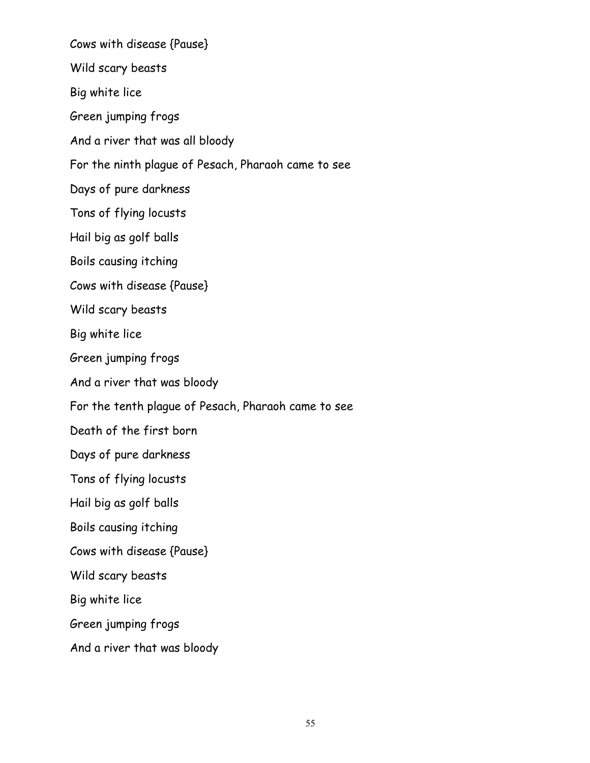Cows with disease {Pause} Wild scary beasts Big white lice Green jumping frogs And a river that was all bloody For the ninth plague of Pesach, Pharaoh came to see Days of pure darkness Tons of flying locusts Hail big as golf balls Boils causing itching Cows with disease {Pause} Wild scary beasts Big white lice Green jumping frogs And a river that was bloody For the tenth plague of Pesach, Pharaoh came to see Death of the first born Days of pure darkness Tons of flying locusts Hail big as golf balls Boils causing itching Cows with disease {Pause} Wild scary beasts Big white lice Green jumping frogs And a river that was bloody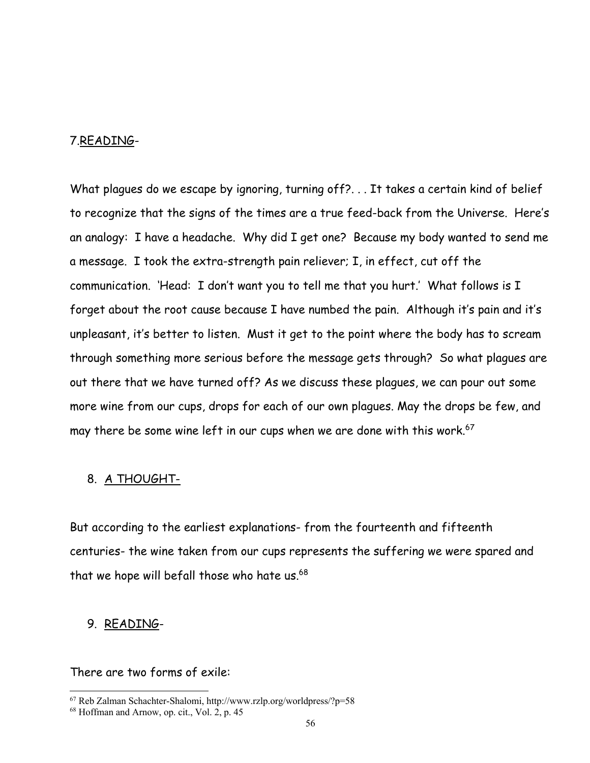#### 7.READING-

What plagues do we escape by ignoring, turning off?... It takes a certain kind of belief to recognize that the signs of the times are a true feed-back from the Universe. Here's an analogy: I have a headache. Why did I get one? Because my body wanted to send me a message. I took the extra-strength pain reliever; I, in effect, cut off the communication. 'Head: I don't want you to tell me that you hurt.' What follows is I forget about the root cause because I have numbed the pain. Although it's pain and it's unpleasant, it's better to listen. Must it get to the point where the body has to scream through something more serious before the message gets through? So what plagues are out there that we have turned off? As we discuss these plagues, we can pour out some more wine from our cups, drops for each of our own plagues. May the drops be few, and may there be some wine left in our cups when we are done with this work.<sup>67</sup>

## 8. A THOUGHT-

But according to the earliest explanations- from the fourteenth and fifteenth centuries- the wine taken from our cups represents the suffering we were spared and that we hope will befall those who hate us.<sup>68</sup>

## 9. READING-

There are two forms of exile:

<sup>67</sup> Reb Zalman Schachter-Shalomi, http://www.rzlp.org/worldpress/?p=58

<sup>68</sup> Hoffman and Arnow, op. cit., Vol. 2, p. 45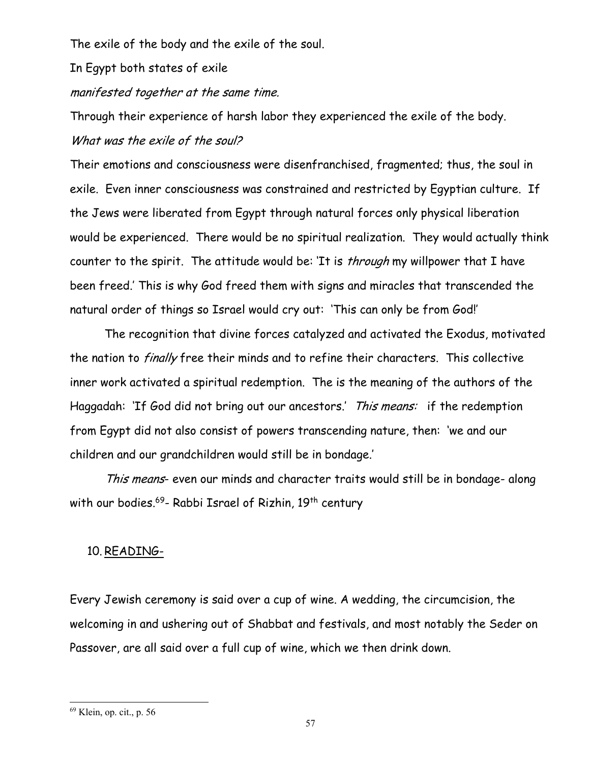The exile of the body and the exile of the soul.

In Egypt both states of exile manifested together at the same time.

Through their experience of harsh labor they experienced the exile of the body. What was the exile of the soul?

Their emotions and consciousness were disenfranchised, fragmented; thus, the soul in exile. Even inner consciousness was constrained and restricted by Egyptian culture. If the Jews were liberated from Egypt through natural forces only physical liberation would be experienced. There would be no spiritual realization. They would actually think counter to the spirit. The attitude would be: 'It is *through* my willpower that I have been freed.' This is why God freed them with signs and miracles that transcended the natural order of things so Israel would cry out: 'This can only be from God!'

The recognition that divine forces catalyzed and activated the Exodus, motivated the nation to finally free their minds and to refine their characters. This collective inner work activated a spiritual redemption. The is the meaning of the authors of the Haggadah: 'If God did not bring out our ancestors.' This means: if the redemption from Egypt did not also consist of powers transcending nature, then: 'we and our children and our grandchildren would still be in bondage.'

This means- even our minds and character traits would still be in bondage- along with our bodies.<sup>69</sup>- Rabbi Israel of Rizhin, 19<sup>th</sup> century

# 10. READING-

Every Jewish ceremony is said over a cup of wine. A wedding, the circumcision, the welcoming in and ushering out of Shabbat and festivals, and most notably the Seder on Passover, are all said over a full cup of wine, which we then drink down.

<sup>69</sup> Klein, op. cit., p. 56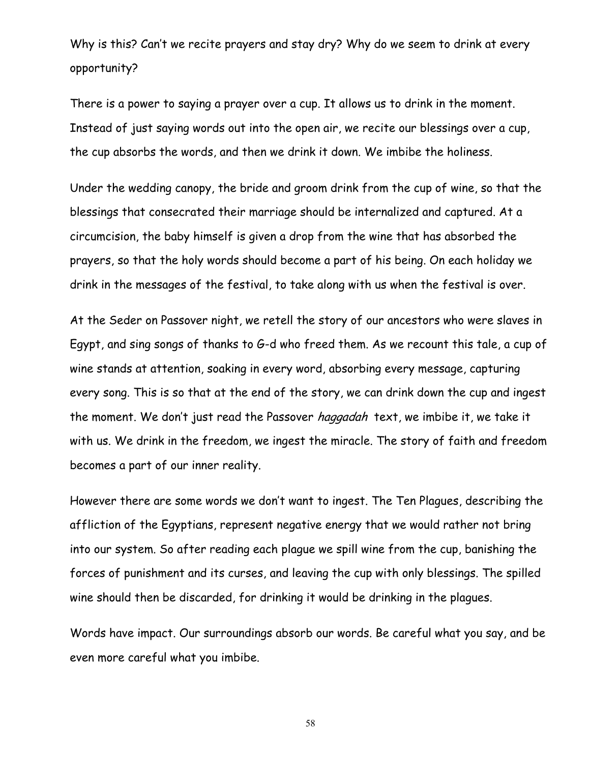Why is this? Can't we recite prayers and stay dry? Why do we seem to drink at every opportunity?

There is a power to saying a prayer over a cup. It allows us to drink in the moment. Instead of just saying words out into the open air, we recite our blessings over a cup, the cup absorbs the words, and then we drink it down. We imbibe the holiness.

Under the wedding canopy, the bride and groom drink from the cup of wine, so that the blessings that consecrated their marriage should be internalized and captured. At a circumcision, the baby himself is given a drop from the wine that has absorbed the prayers, so that the holy words should become a part of his being. On each holiday we drink in the messages of the festival, to take along with us when the festival is over.

At the Seder on Passover night, we retell the story of our ancestors who were slaves in Egypt, and sing songs of thanks to G-d who freed them. As we recount this tale, a cup of wine stands at attention, soaking in every word, absorbing every message, capturing every song. This is so that at the end of the story, we can drink down the cup and ingest the moment. We don't just read the Passover haggadah text, we imbibe it, we take it with us. We drink in the freedom, we ingest the miracle. The story of faith and freedom becomes a part of our inner reality.

However there are some words we don't want to ingest. The Ten Plagues, describing the affliction of the Egyptians, represent negative energy that we would rather not bring into our system. So after reading each plague we spill wine from the cup, banishing the forces of punishment and its curses, and leaving the cup with only blessings. The spilled wine should then be discarded, for drinking it would be drinking in the plagues.

Words have impact. Our surroundings absorb our words. Be careful what you say, and be even more careful what you imbibe.

58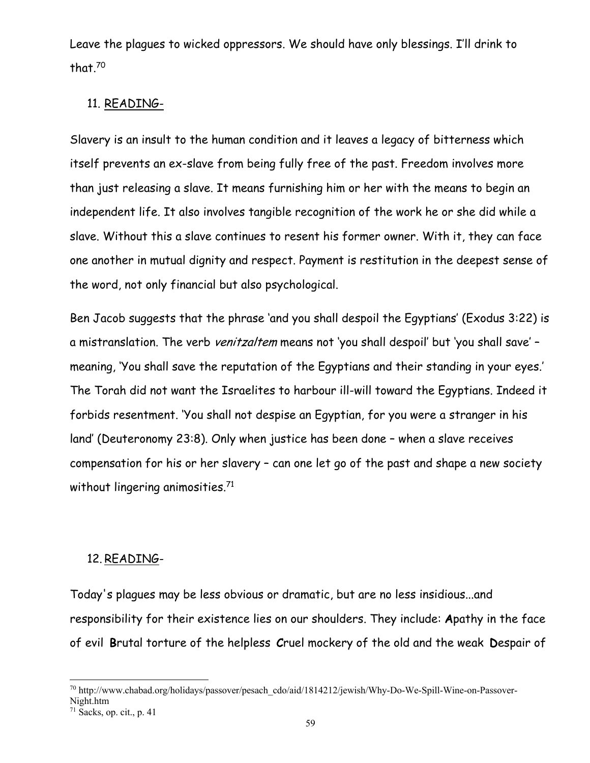Leave the plagues to wicked oppressors. We should have only blessings. I'll drink to that.<sup>70</sup>

#### 11. READING-

Slavery is an insult to the human condition and it leaves a legacy of bitterness which itself prevents an ex-slave from being fully free of the past. Freedom involves more than just releasing a slave. It means furnishing him or her with the means to begin an independent life. It also involves tangible recognition of the work he or she did while a slave. Without this a slave continues to resent his former owner. With it, they can face one another in mutual dignity and respect. Payment is restitution in the deepest sense of the word, not only financial but also psychological.

Ben Jacob suggests that the phrase 'and you shall despoil the Egyptians' (Exodus 3:22) is a mistranslation. The verb venitzaltem means not 'you shall despoil' but 'you shall save' meaning, 'You shall save the reputation of the Egyptians and their standing in your eyes.' The Torah did not want the Israelites to harbour ill-will toward the Egyptians. Indeed it forbids resentment. 'You shall not despise an Egyptian, for you were a stranger in his land' (Deuteronomy 23:8). Only when justice has been done – when a slave receives compensation for his or her slavery – can one let go of the past and shape a new society without lingering animosities. $\mathrm{^{71}}$ 

#### 12. READING-

Today's plagues may be less obvious or dramatic, but are no less insidious...and responsibility for their existence lies on our shoulders. They include: Apathy in the face of evil Brutal torture of the helpless Cruel mockery of the old and the weak Despair of

<sup>70</sup> http://www.chabad.org/holidays/passover/pesach\_cdo/aid/1814212/jewish/Why-Do-We-Spill-Wine-on-Passover-Night.htm

 $71$  Sacks, op. cit., p. 41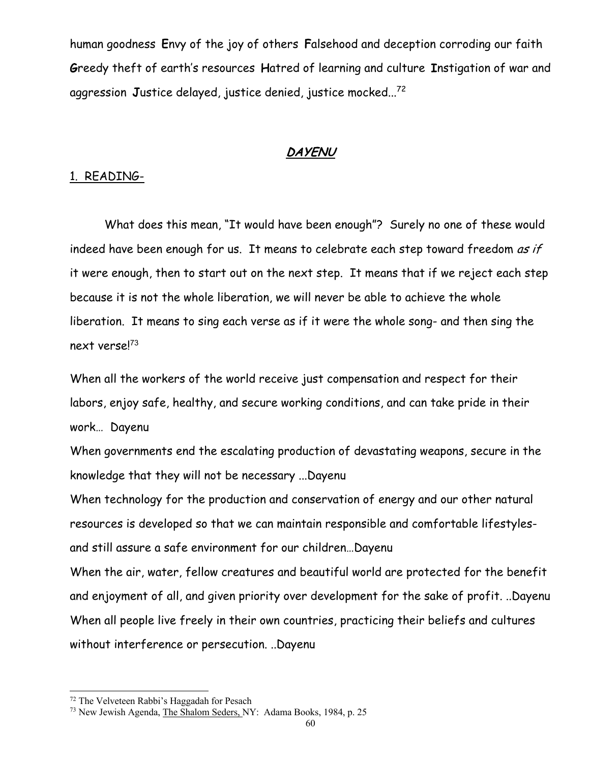human goodness Envy of the joy of others Falsehood and deception corroding our faith Greedy theft of earth's resources Hatred of learning and culture Instigation of war and aggression Justice delayed, justice denied, justice mocked...72

# DAYENU

## 1. READING-

What does this mean, "It would have been enough"? Surely no one of these would indeed have been enough for us. It means to celebrate each step toward freedom as if it were enough, then to start out on the next step. It means that if we reject each step because it is not the whole liberation, we will never be able to achieve the whole liberation. It means to sing each verse as if it were the whole song- and then sing the next verse!<sup>73</sup>

When all the workers of the world receive just compensation and respect for their labors, enjoy safe, healthy, and secure working conditions, and can take pride in their work… Dayenu

When governments end the escalating production of devastating weapons, secure in the knowledge that they will not be necessary ...Dayenu

When technology for the production and conservation of energy and our other natural resources is developed so that we can maintain responsible and comfortable lifestylesand still assure a safe environment for our children…Dayenu

When the air, water, fellow creatures and beautiful world are protected for the benefit and enjoyment of all, and given priority over development for the sake of profit. ..Dayenu When all people live freely in their own countries, practicing their beliefs and cultures without interference or persecution. ..Dayenu

<sup>72</sup> The Velveteen Rabbi's Haggadah for Pesach

<sup>73</sup> New Jewish Agenda, The Shalom Seders, NY: Adama Books, 1984, p. 25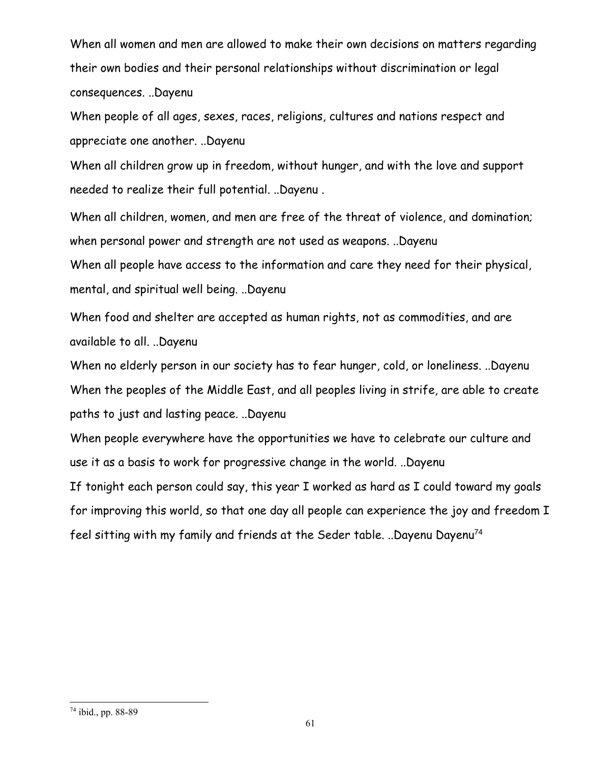When all women and men are allowed to make their own decisions on matters regarding their own bodies and their personal relationships without discrimination or legal consequences. ..Dayenu

When people of all ages, sexes, races, religions, cultures and nations respect and appreciate one another. ..Dayenu

When all children grow up in freedom, without hunger, and with the love and support needed to realize their full potential. ..Dayenu .

When all children, women, and men are free of the threat of violence, and domination; when personal power and strength are not used as weapons. ..Dayenu When all people have access to the information and care they need for their physical, mental, and spiritual well being. ..Dayenu

When food and shelter are accepted as human rights, not as commodities, and are available to all. ..Dayenu

When no elderly person in our society has to fear hunger, cold, or loneliness. ..Dayenu When the peoples of the Middle East, and all peoples living in strife, are able to create paths to just and lasting peace. ..Dayenu

When people everywhere have the opportunities we have to celebrate our culture and use it as a basis to work for progressive change in the world. ..Dayenu

If tonight each person could say, this year I worked as hard as I could toward my goals for improving this world, so that one day all people can experience the joy and freedom I feel sitting with my family and friends at the Seder table. ..Dayenu Dayenu<sup>74</sup>

<sup>74</sup> ibid., pp. 88-89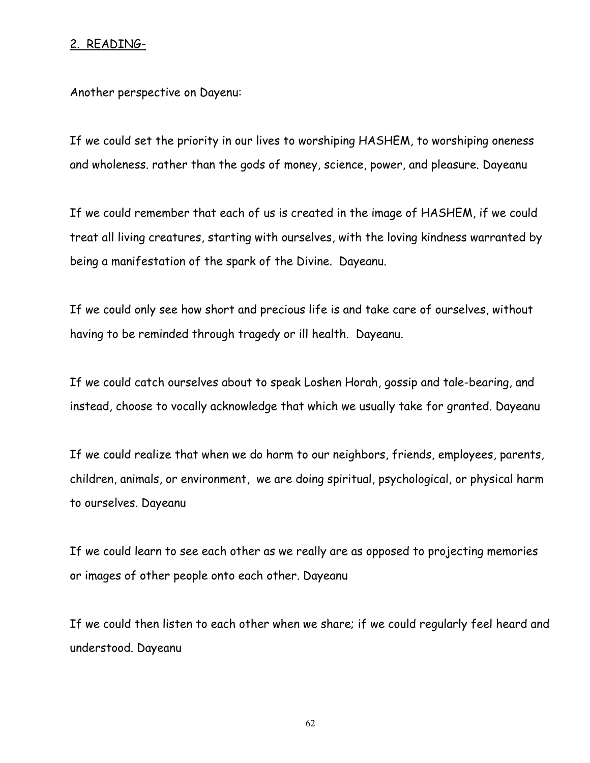#### 2. READING-

Another perspective on Dayenu:

If we could set the priority in our lives to worshiping HASHEM, to worshiping oneness and wholeness. rather than the gods of money, science, power, and pleasure. Dayeanu

If we could remember that each of us is created in the image of HASHEM, if we could treat all living creatures, starting with ourselves, with the loving kindness warranted by being a manifestation of the spark of the Divine. Dayeanu.

If we could only see how short and precious life is and take care of ourselves, without having to be reminded through tragedy or ill health. Dayeanu.

If we could catch ourselves about to speak Loshen Horah, gossip and tale-bearing, and instead, choose to vocally acknowledge that which we usually take for granted. Dayeanu

If we could realize that when we do harm to our neighbors, friends, employees, parents, children, animals, or environment, we are doing spiritual, psychological, or physical harm to ourselves. Dayeanu

If we could learn to see each other as we really are as opposed to projecting memories or images of other people onto each other. Dayeanu

If we could then listen to each other when we share; if we could regularly feel heard and understood. Dayeanu

62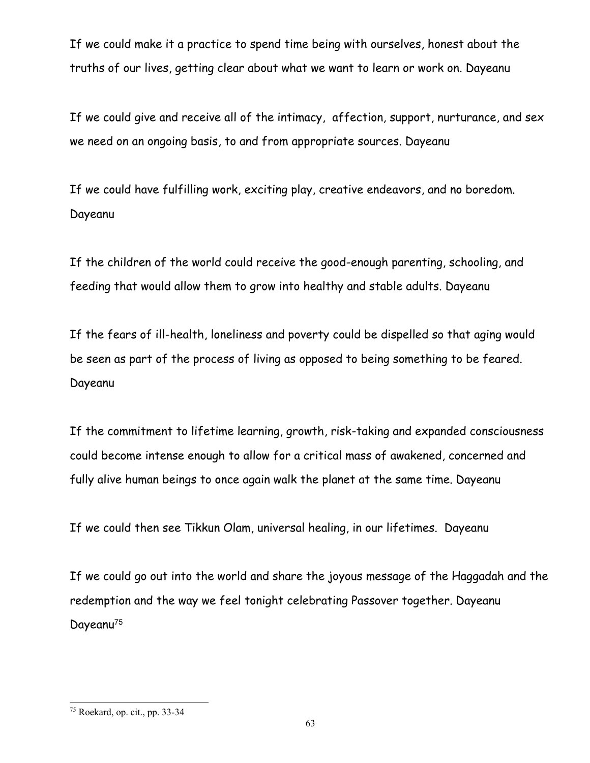If we could make it a practice to spend time being with ourselves, honest about the truths of our lives, getting clear about what we want to learn or work on. Dayeanu

If we could give and receive all of the intimacy, affection, support, nurturance, and sex we need on an ongoing basis, to and from appropriate sources. Dayeanu

If we could have fulfilling work, exciting play, creative endeavors, and no boredom. Dayeanu

If the children of the world could receive the good-enough parenting, schooling, and feeding that would allow them to grow into healthy and stable adults. Dayeanu

If the fears of ill-health, loneliness and poverty could be dispelled so that aging would be seen as part of the process of living as opposed to being something to be feared. Dayeanu

If the commitment to lifetime learning, growth, risk-taking and expanded consciousness could become intense enough to allow for a critical mass of awakened, concerned and fully alive human beings to once again walk the planet at the same time. Dayeanu

If we could then see Tikkun Olam, universal healing, in our lifetimes. Dayeanu

If we could go out into the world and share the joyous message of the Haggadah and the redemption and the way we feel tonight celebrating Passover together. Dayeanu Dayeanu<sup>75</sup>

 $75$  Roekard, op. cit., pp. 33-34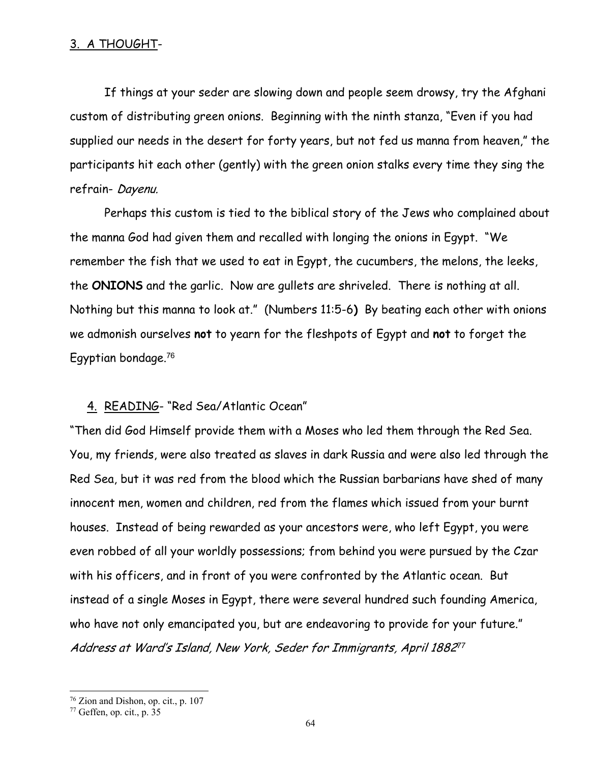## 3. A THOUGHT-

If things at your seder are slowing down and people seem drowsy, try the Afghani custom of distributing green onions. Beginning with the ninth stanza, "Even if you had supplied our needs in the desert for forty years, but not fed us manna from heaven," the participants hit each other (gently) with the green onion stalks every time they sing the refrain- Dayenu.

Perhaps this custom is tied to the biblical story of the Jews who complained about the manna God had given them and recalled with longing the onions in Egypt. "We remember the fish that we used to eat in Egypt, the cucumbers, the melons, the leeks, the ONIONS and the garlic. Now are gullets are shriveled. There is nothing at all. Nothing but this manna to look at." (Numbers 11:5-6) By beating each other with onions we admonish ourselves not to yearn for the fleshpots of Egypt and not to forget the Egyptian bondage.<sup>76</sup>

## 4. READING- "Red Sea/Atlantic Ocean"

"Then did God Himself provide them with a Moses who led them through the Red Sea. You, my friends, were also treated as slaves in dark Russia and were also led through the Red Sea, but it was red from the blood which the Russian barbarians have shed of many innocent men, women and children, red from the flames which issued from your burnt houses. Instead of being rewarded as your ancestors were, who left Egypt, you were even robbed of all your worldly possessions; from behind you were pursued by the Czar with his officers, and in front of you were confronted by the Atlantic ocean. But instead of a single Moses in Egypt, there were several hundred such founding America, who have not only emancipated you, but are endeavoring to provide for your future." Address at Ward's Island, New York, Seder for Immigrants, April 1882*<sup>77</sup>*

 $76$  Zion and Dishon, op. cit., p. 107

 $77$  Geffen, op. cit., p. 35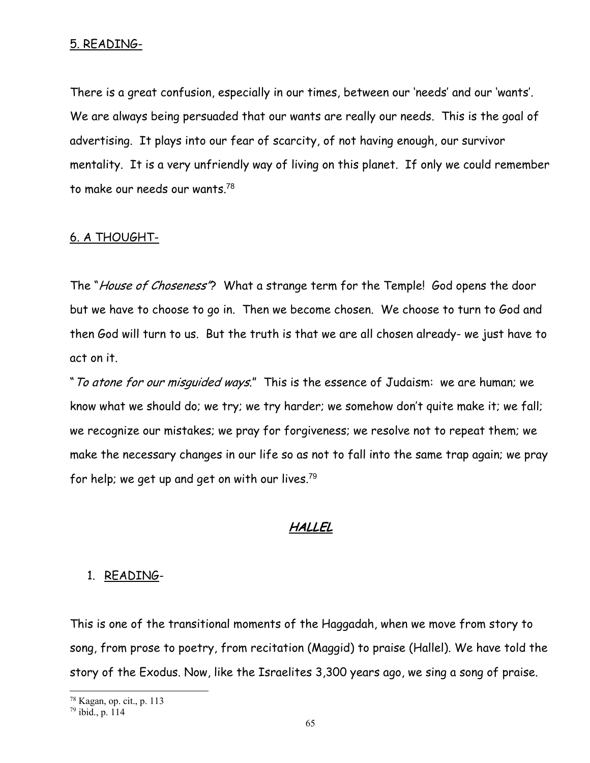## 5. READING-

There is a great confusion, especially in our times, between our 'needs' and our 'wants'. We are always being persuaded that our wants are really our needs. This is the goal of advertising. It plays into our fear of scarcity, of not having enough, our survivor mentality. It is a very unfriendly way of living on this planet. If only we could remember to make our needs our wants.<sup>78</sup>

## 6. A THOUGHT-

The "*House of Choseness"*? What a strange term for the Temple! God opens the door but we have to choose to go in. Then we become chosen. We choose to turn to God and then God will turn to us. But the truth is that we are all chosen already- we just have to act on it.

"To atone for our misguided ways." This is the essence of Judaism: we are human; we know what we should do; we try; we try harder; we somehow don't quite make it; we fall; we recognize our mistakes; we pray for forgiveness; we resolve not to repeat them; we make the necessary changes in our life so as not to fall into the same trap again; we pray for help; we get up and get on with our lives.<sup>79</sup>

# HALLEL

## 1. READING-

This is one of the transitional moments of the Haggadah, when we move from story to song, from prose to poetry, from recitation (Maggid) to praise (Hallel). We have told the story of the Exodus. Now, like the Israelites 3,300 years ago, we sing a song of praise.

<sup>78</sup> Kagan, op. cit., p. 113

 $79$  ibid., p. 114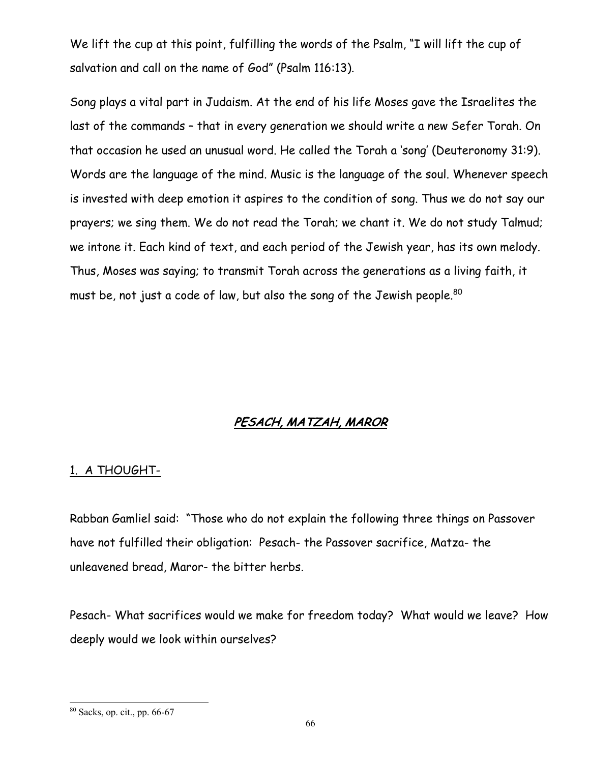We lift the cup at this point, fulfilling the words of the Psalm, "I will lift the cup of salvation and call on the name of God" (Psalm 116:13).

Song plays a vital part in Judaism. At the end of his life Moses gave the Israelites the last of the commands – that in every generation we should write a new Sefer Torah. On that occasion he used an unusual word. He called the Torah a 'song' (Deuteronomy 31:9). Words are the language of the mind. Music is the language of the soul. Whenever speech is invested with deep emotion it aspires to the condition of song. Thus we do not say our prayers; we sing them. We do not read the Torah; we chant it. We do not study Talmud; we intone it. Each kind of text, and each period of the Jewish year, has its own melody. Thus, Moses was saying; to transmit Torah across the generations as a living faith, it must be, not just a code of law, but also the song of the Jewish people.<sup>80</sup>

# PESACH, MATZAH, MAROR

# 1. A THOUGHT-

Rabban Gamliel said: "Those who do not explain the following three things on Passover have not fulfilled their obligation: Pesach- the Passover sacrifice, Matza- the unleavened bread, Maror- the bitter herbs.

Pesach- What sacrifices would we make for freedom today? What would we leave? How deeply would we look within ourselves?

 $80$  Sacks, op. cit., pp. 66-67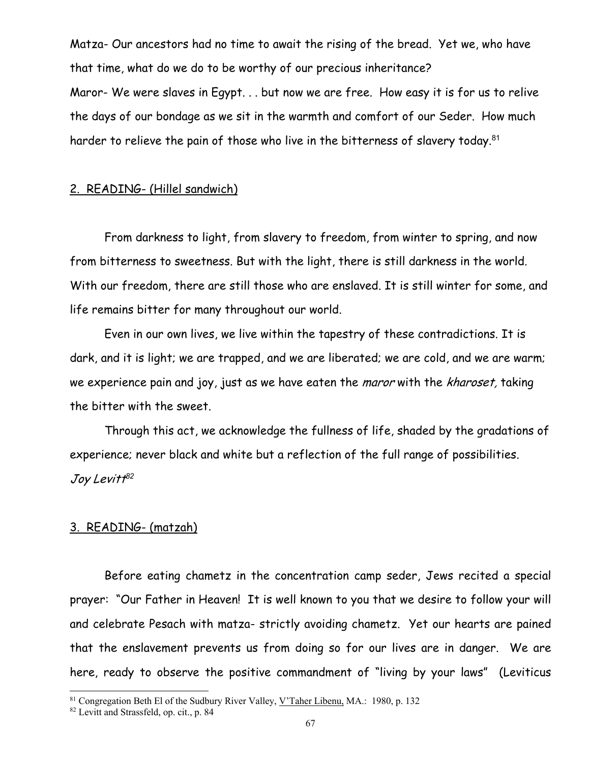Matza- Our ancestors had no time to await the rising of the bread. Yet we, who have that time, what do we do to be worthy of our precious inheritance? Maror- We were slaves in Egypt. . . but now we are free. How easy it is for us to relive the days of our bondage as we sit in the warmth and comfort of our Seder. How much harder to relieve the pain of those who live in the bitterness of slavery today.<sup>81</sup>

#### 2. READING- (Hillel sandwich)

From darkness to light, from slavery to freedom, from winter to spring, and now from bitterness to sweetness. But with the light, there is still darkness in the world. With our freedom, there are still those who are enslaved. It is still winter for some, and life remains bitter for many throughout our world.

Even in our own lives, we live within the tapestry of these contradictions. It is dark, and it is light; we are trapped, and we are liberated; we are cold, and we are warm; we experience pain and joy, just as we have eaten the *maror* with the *kharoset*, taking the bitter with the sweet.

Through this act, we acknowledge the fullness of life, shaded by the gradations of experience; never black and white but a reflection of the full range of possibilities. Joy Levitt*<sup>82</sup>*

#### 3. READING- (matzah)

Before eating chametz in the concentration camp seder, Jews recited a special prayer: "Our Father in Heaven! It is well known to you that we desire to follow your will and celebrate Pesach with matza- strictly avoiding chametz. Yet our hearts are pained that the enslavement prevents us from doing so for our lives are in danger. We are here, ready to observe the positive commandment of "living by your laws" (Leviticus

<sup>81</sup> Congregation Beth El of the Sudbury River Valley, V'Taher Libenu, MA.: 1980, p. 132

<sup>82</sup> Levitt and Strassfeld, op. cit., p. 84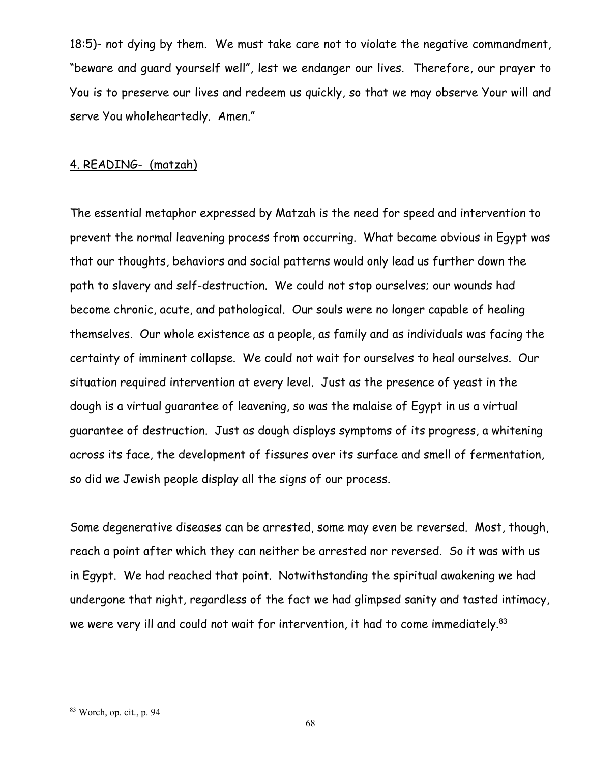18:5)- not dying by them. We must take care not to violate the negative commandment, "beware and guard yourself well", lest we endanger our lives. Therefore, our prayer to You is to preserve our lives and redeem us quickly, so that we may observe Your will and serve You wholeheartedly. Amen."

## 4. READING- (matzah)

The essential metaphor expressed by Matzah is the need for speed and intervention to prevent the normal leavening process from occurring. What became obvious in Egypt was that our thoughts, behaviors and social patterns would only lead us further down the path to slavery and self-destruction. We could not stop ourselves; our wounds had become chronic, acute, and pathological. Our souls were no longer capable of healing themselves. Our whole existence as a people, as family and as individuals was facing the certainty of imminent collapse. We could not wait for ourselves to heal ourselves. Our situation required intervention at every level. Just as the presence of yeast in the dough is a virtual guarantee of leavening, so was the malaise of Egypt in us a virtual guarantee of destruction. Just as dough displays symptoms of its progress, a whitening across its face, the development of fissures over its surface and smell of fermentation, so did we Jewish people display all the signs of our process.

Some degenerative diseases can be arrested, some may even be reversed. Most, though, reach a point after which they can neither be arrested nor reversed. So it was with us in Egypt. We had reached that point. Notwithstanding the spiritual awakening we had undergone that night, regardless of the fact we had glimpsed sanity and tasted intimacy, we were very ill and could not wait for intervention, it had to come immediately.<sup>83</sup>

<sup>83</sup> Worch, op. cit., p. 94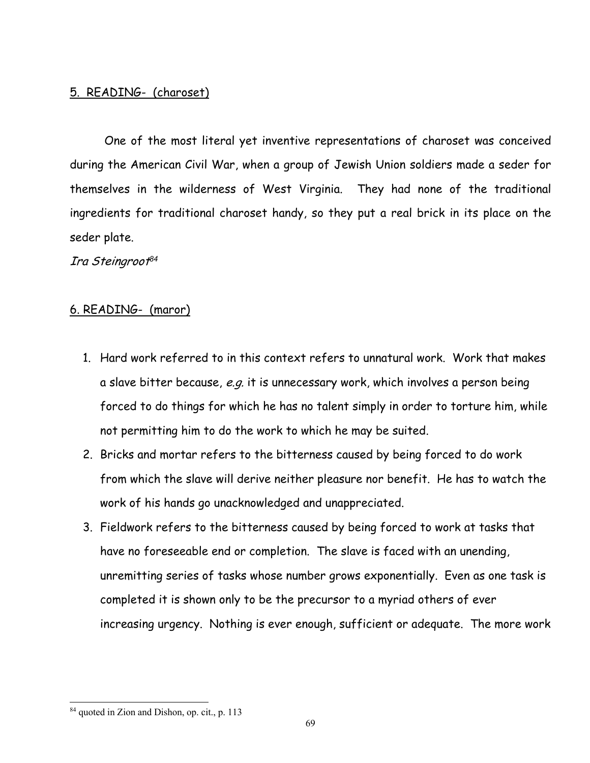## 5. READING- (charoset)

One of the most literal yet inventive representations of charoset was conceived during the American Civil War, when a group of Jewish Union soldiers made a seder for themselves in the wilderness of West Virginia. They had none of the traditional ingredients for traditional charoset handy, so they put a real brick in its place on the seder plate.

## Ira Steingroot*<sup>84</sup>*

## 6. READING- (maror)

- 1. Hard work referred to in this context refers to unnatural work. Work that makes a slave bitter because, e.g. it is unnecessary work, which involves a person being forced to do things for which he has no talent simply in order to torture him, while not permitting him to do the work to which he may be suited.
- 2. Bricks and mortar refers to the bitterness caused by being forced to do work from which the slave will derive neither pleasure nor benefit. He has to watch the work of his hands go unacknowledged and unappreciated.
- 3. Fieldwork refers to the bitterness caused by being forced to work at tasks that have no foreseeable end or completion. The slave is faced with an unending, unremitting series of tasks whose number grows exponentially. Even as one task is completed it is shown only to be the precursor to a myriad others of ever increasing urgency. Nothing is ever enough, sufficient or adequate. The more work

<sup>84</sup> quoted in Zion and Dishon, op. cit., p. 113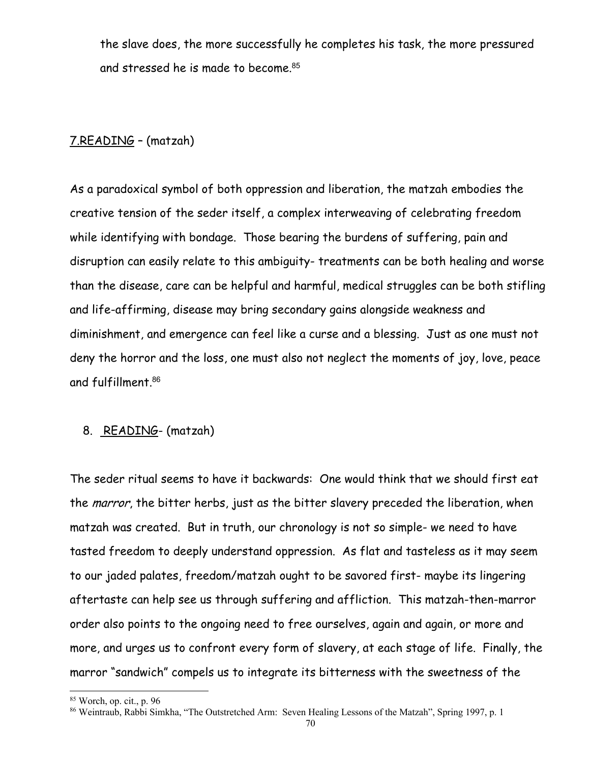the slave does, the more successfully he completes his task, the more pressured and stressed he is made to become.<sup>85</sup>

## 7.READING – (matzah)

As a paradoxical symbol of both oppression and liberation, the matzah embodies the creative tension of the seder itself, a complex interweaving of celebrating freedom while identifying with bondage. Those bearing the burdens of suffering, pain and disruption can easily relate to this ambiguity- treatments can be both healing and worse than the disease, care can be helpful and harmful, medical struggles can be both stifling and life-affirming, disease may bring secondary gains alongside weakness and diminishment, and emergence can feel like a curse and a blessing. Just as one must not deny the horror and the loss, one must also not neglect the moments of joy, love, peace and fulfillment.<sup>86</sup>

## 8. READING- (matzah)

The seder ritual seems to have it backwards: One would think that we should first eat the *marror*, the bitter herbs, just as the bitter slavery preceded the liberation, when matzah was created. But in truth, our chronology is not so simple- we need to have tasted freedom to deeply understand oppression. As flat and tasteless as it may seem to our jaded palates, freedom/matzah ought to be savored first- maybe its lingering aftertaste can help see us through suffering and affliction. This matzah-then-marror order also points to the ongoing need to free ourselves, again and again, or more and more, and urges us to confront every form of slavery, at each stage of life. Finally, the marror "sandwich" compels us to integrate its bitterness with the sweetness of the

<sup>85</sup> Worch, op. cit., p. 96

<sup>86</sup> Weintraub, Rabbi Simkha, "The Outstretched Arm: Seven Healing Lessons of the Matzah", Spring 1997, p. 1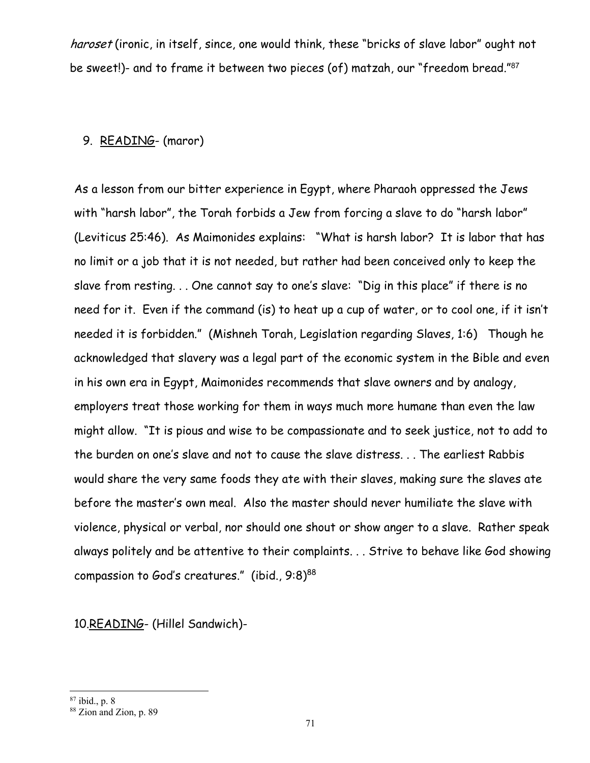haroset (ironic, in itself, since, one would think, these "bricks of slave labor" ought not be sweet!)- and to frame it between two pieces (of) matzah, our "freedom bread."<sup>87</sup>

# 9. READING- (maror)

As a lesson from our bitter experience in Egypt, where Pharaoh oppressed the Jews with "harsh labor", the Torah forbids a Jew from forcing a slave to do "harsh labor" (Leviticus 25:46). As Maimonides explains: "What is harsh labor? It is labor that has no limit or a job that it is not needed, but rather had been conceived only to keep the slave from resting. . . One cannot say to one's slave: "Dig in this place" if there is no need for it. Even if the command (is) to heat up a cup of water, or to cool one, if it isn't needed it is forbidden." (Mishneh Torah, Legislation regarding Slaves, 1:6) Though he acknowledged that slavery was a legal part of the economic system in the Bible and even in his own era in Egypt, Maimonides recommends that slave owners and by analogy, employers treat those working for them in ways much more humane than even the law might allow. "It is pious and wise to be compassionate and to seek justice, not to add to the burden on one's slave and not to cause the slave distress. . . The earliest Rabbis would share the very same foods they ate with their slaves, making sure the slaves ate before the master's own meal. Also the master should never humiliate the slave with violence, physical or verbal, nor should one shout or show anger to a slave. Rather speak always politely and be attentive to their complaints. . . Strive to behave like God showing compassion to God's creatures." (ibid., 9:8)<sup>88</sup>

10.READING- (Hillel Sandwich)-

 $87$  ibid., p. 8

<sup>88</sup> Zion and Zion, p. 89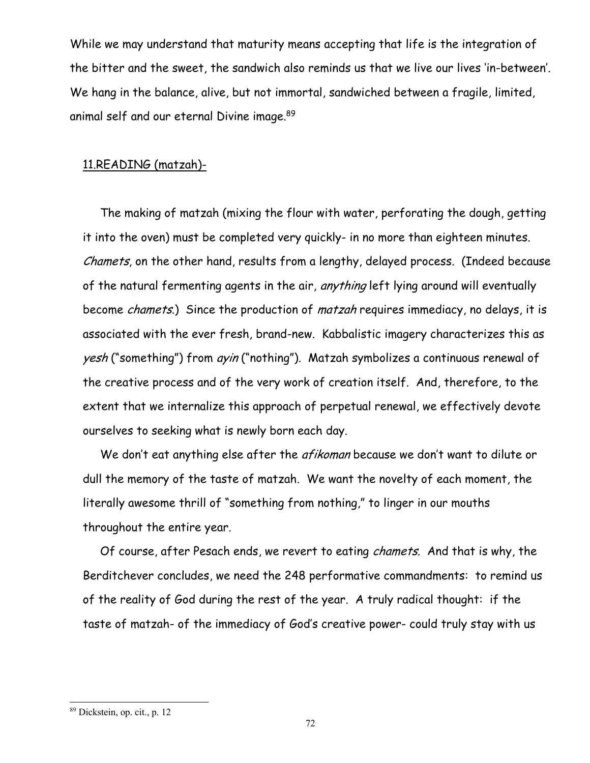While we may understand that maturity means accepting that life is the integration of the bitter and the sweet, the sandwich also reminds us that we live our lives 'in-between'. We hang in the balance, alive, but not immortal, sandwiched between a fragile, limited, animal self and our eternal Divine image.<sup>89</sup>

## 11.READING (matzah)-

The making of matzah (mixing the flour with water, perforating the dough, getting it into the oven) must be completed very quickly- in no more than eighteen minutes. Chamets, on the other hand, results from a lengthy, delayed process. (Indeed because of the natural fermenting agents in the air, anything left lying around will eventually become chamets.) Since the production of matzah requires immediacy, no delays, it is associated with the ever fresh, brand-new. Kabbalistic imagery characterizes this as yesh ("something") from ayin ("nothing"). Matzah symbolizes a continuous renewal of the creative process and of the very work of creation itself. And, therefore, to the extent that we internalize this approach of perpetual renewal, we effectively devote ourselves to seeking what is newly born each day.

We don't eat anything else after the *afikoman* because we don't want to dilute or dull the memory of the taste of matzah. We want the novelty of each moment, the literally awesome thrill of "something from nothing," to linger in our mouths throughout the entire year.

Of course, after Pesach ends, we revert to eating chamets. And that is why, the Berditchever concludes, we need the 248 performative commandments: to remind us of the reality of God during the rest of the year. A truly radical thought: if the taste of matzah- of the immediacy of God's creative power- could truly stay with us

<sup>89</sup> Dickstein, op. cit., p. 12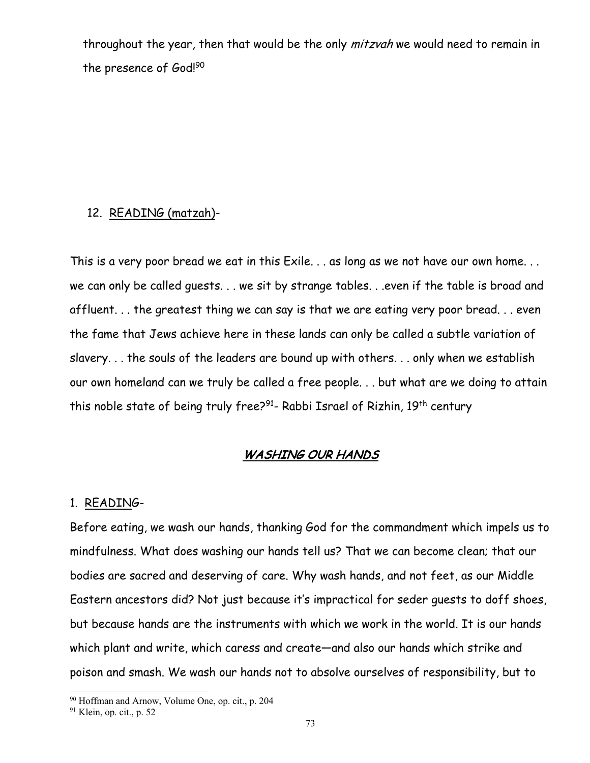throughout the year, then that would be the only *mitzvah* we would need to remain in the presence of God!<sup>90</sup>

# 12. READING (matzah)-

This is a very poor bread we eat in this Exile. . . as long as we not have our own home. . . we can only be called guests. . . we sit by strange tables. . .even if the table is broad and affluent. . . the greatest thing we can say is that we are eating very poor bread. . . even the fame that Jews achieve here in these lands can only be called a subtle variation of slavery. . . the souls of the leaders are bound up with others. . . only when we establish our own homeland can we truly be called a free people. . . but what are we doing to attain this noble state of being truly free?<sup>91</sup>- Rabbi Israel of Rizhin, 19<sup>th</sup> century

### WASHING OUR HANDS

### 1. READING-

Before eating, we wash our hands, thanking God for the commandment which impels us to mindfulness. What does washing our hands tell us? That we can become clean; that our bodies are sacred and deserving of care. Why wash hands, and not feet, as our Middle Eastern ancestors did? Not just because it's impractical for seder guests to doff shoes, but because hands are the instruments with which we work in the world. It is our hands which plant and write, which caress and create—and also our hands which strike and poison and smash. We wash our hands not to absolve ourselves of responsibility, but to

<sup>90</sup> Hoffman and Arnow, Volume One, op. cit., p. 204

 $91$  Klein, op. cit., p. 52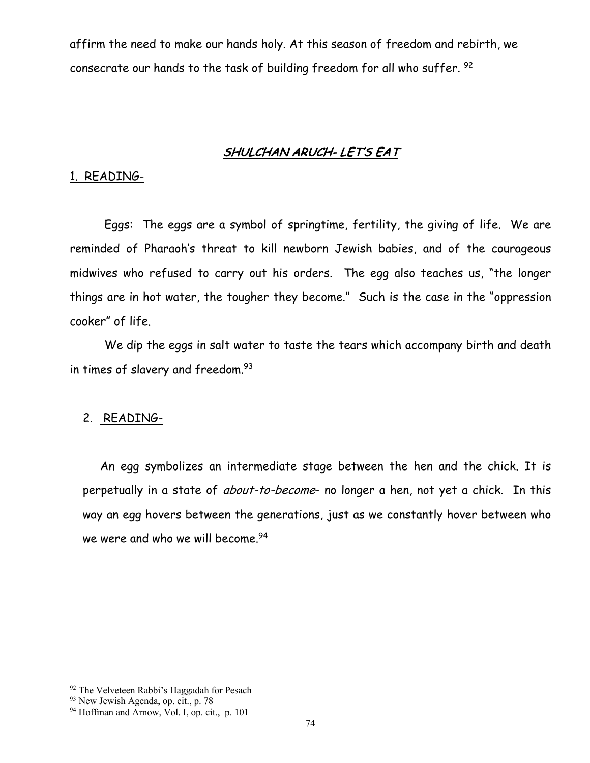affirm the need to make our hands holy. At this season of freedom and rebirth, we consecrate our hands to the task of building freedom for all who suffer. <sup>92</sup>

# SHULCHAN ARUCH-LETS EAT

#### 1. READING-

Eggs: The eggs are a symbol of springtime, fertility, the giving of life. We are reminded of Pharaoh's threat to kill newborn Jewish babies, and of the courageous midwives who refused to carry out his orders. The egg also teaches us, "the longer things are in hot water, the tougher they become." Such is the case in the "oppression cooker" of life.

We dip the eggs in salt water to taste the tears which accompany birth and death in times of slavery and freedom.<sup>93</sup>

### 2. READING-

An egg symbolizes an intermediate stage between the hen and the chick. It is perpetually in a state of *about-to-become*- no longer a hen, not yet a chick. In this way an egg hovers between the generations, just as we constantly hover between who we were and who we will become.<sup>94</sup>

<sup>&</sup>lt;sup>92</sup> The Velveteen Rabbi's Haggadah for Pesach

<sup>93</sup> New Jewish Agenda, op. cit., p. 78

 $94$  Hoffman and Arnow, Vol. I, op. cit., p. 101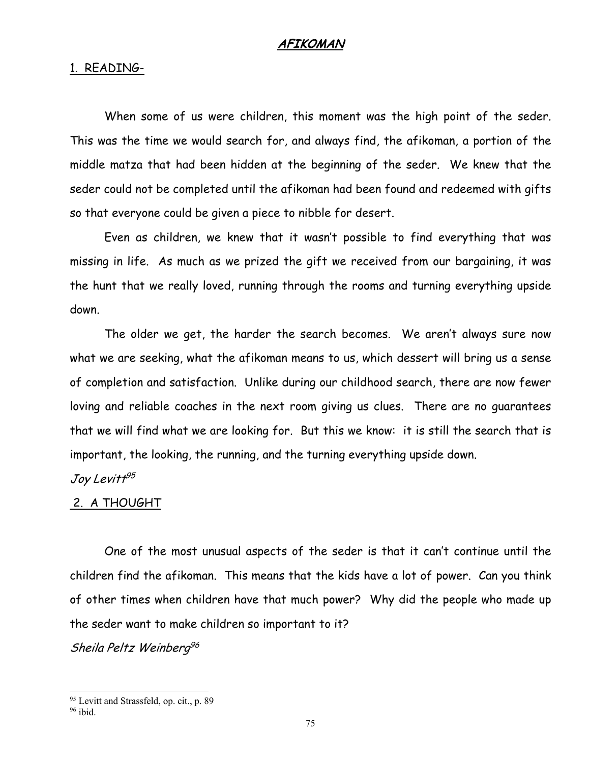### AFIKOMAN

#### 1. READING-

When some of us were children, this moment was the high point of the seder. This was the time we would search for, and always find, the afikoman, a portion of the middle matza that had been hidden at the beginning of the seder. We knew that the seder could not be completed until the afikoman had been found and redeemed with gifts so that everyone could be given a piece to nibble for desert.

Even as children, we knew that it wasn't possible to find everything that was missing in life. As much as we prized the gift we received from our bargaining, it was the hunt that we really loved, running through the rooms and turning everything upside down.

The older we get, the harder the search becomes. We aren't always sure now what we are seeking, what the afikoman means to us, which dessert will bring us a sense of completion and satisfaction. Unlike during our childhood search, there are now fewer loving and reliable coaches in the next room giving us clues. There are no guarantees that we will find what we are looking for. But this we know: it is still the search that is important, the looking, the running, and the turning everything upside down.

# Joy Levitt<sup>95</sup>

# 2. A THOUGHT

One of the most unusual aspects of the seder is that it can't continue until the children find the afikoman. This means that the kids have a lot of power. Can you think of other times when children have that much power? Why did the people who made up the seder want to make children so important to it?

Sheila Peltz Weinberg<sup>96</sup>

<sup>&</sup>lt;sup>95</sup> Levitt and Strassfeld, op. cit., p. 89 <sup>96</sup> ibid.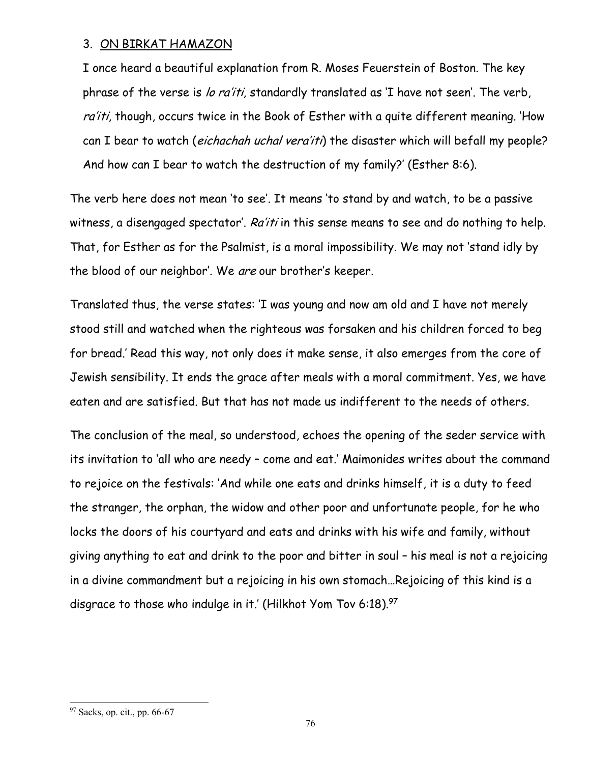# 3. ON BIRKAT HAMAZON

I once heard a beautiful explanation from R. Moses Feuerstein of Boston. The key phrase of the verse is lo ra'iti, standardly translated as 'I have not seen'. The verb, ra'iti, though, occurs twice in the Book of Esther with a quite different meaning. 'How can I bear to watch (eichachah uchal vera'iti) the disaster which will befall my people? And how can I bear to watch the destruction of my family?' (Esther 8:6).

The verb here does not mean 'to see'. It means 'to stand by and watch, to be a passive witness, a disengaged spectator'. Ra'iti in this sense means to see and do nothing to help. That, for Esther as for the Psalmist, is a moral impossibility. We may not 'stand idly by the blood of our neighbor'. We are our brother's keeper.

Translated thus, the verse states: 'I was young and now am old and I have not merely stood still and watched when the righteous was forsaken and his children forced to beg for bread.' Read this way, not only does it make sense, it also emerges from the core of Jewish sensibility. It ends the grace after meals with a moral commitment. Yes, we have eaten and are satisfied. But that has not made us indifferent to the needs of others.

The conclusion of the meal, so understood, echoes the opening of the seder service with its invitation to 'all who are needy – come and eat.' Maimonides writes about the command to rejoice on the festivals: 'And while one eats and drinks himself, it is a duty to feed the stranger, the orphan, the widow and other poor and unfortunate people, for he who locks the doors of his courtyard and eats and drinks with his wife and family, without giving anything to eat and drink to the poor and bitter in soul – his meal is not a rejoicing in a divine commandment but a rejoicing in his own stomach…Rejoicing of this kind is a disgrace to those who indulge in it.' (Hilkhot Yom Tov 6:18).<sup>97</sup>

 $97$  Sacks, op. cit., pp. 66-67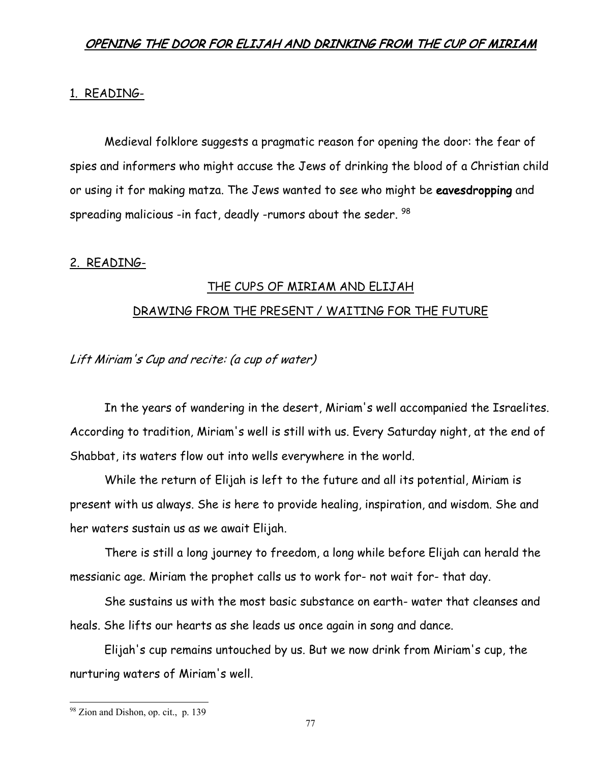# OPENING THE DOOR FOR ELIJAH AND DRINKING FROM THE CUP OF MIRIAM

## 1. READING-

Medieval folklore suggests a pragmatic reason for opening the door: the fear of spies and informers who might accuse the Jews of drinking the blood of a Christian child or using it for making matza. The Jews wanted to see who might be eavesdropping and spreading malicious -in fact, deadly -rumors about the seder. <sup>98</sup>

### 2. READING-

# THE CUPS OF MIRIAM AND ELIJAH DRAWING FROM THE PRESENT / WAITING FOR THE FUTURE

# Lift Miriam's Cup and recite: (a cup of water)

In the years of wandering in the desert, Miriam's well accompanied the Israelites. According to tradition, Miriam's well is still with us. Every Saturday night, at the end of Shabbat, its waters flow out into wells everywhere in the world.

While the return of Elijah is left to the future and all its potential, Miriam is present with us always. She is here to provide healing, inspiration, and wisdom. She and her waters sustain us as we await Elijah.

There is still a long journey to freedom, a long while before Elijah can herald the messianic age. Miriam the prophet calls us to work for- not wait for- that day.

She sustains us with the most basic substance on earth- water that cleanses and heals. She lifts our hearts as she leads us once again in song and dance.

Elijah's cup remains untouched by us. But we now drink from Miriam's cup, the nurturing waters of Miriam's well.

<sup>&</sup>lt;sup>98</sup> Zion and Dishon, op. cit., p. 139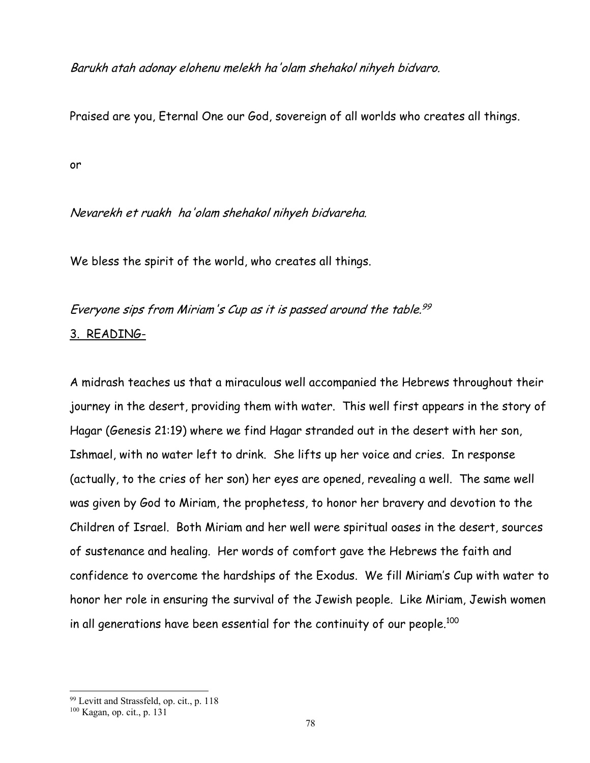### Barukh atah adonay elohenu melekh ha'olam shehakol nihyeh bidvaro.

Praised are you, Eternal One our God, sovereign of all worlds who creates all things.

or

Nevarekh et ruakh ha'olam shehakol nihyeh bidvareha.

We bless the spirit of the world, who creates all things.

# Everyone sips from Miriam's Cup as it is passed around the table.<sup>99</sup>

# 3. READING-

A midrash teaches us that a miraculous well accompanied the Hebrews throughout their journey in the desert, providing them with water. This well first appears in the story of Hagar (Genesis 21:19) where we find Hagar stranded out in the desert with her son, Ishmael, with no water left to drink. She lifts up her voice and cries. In response (actually, to the cries of her son) her eyes are opened, revealing a well. The same well was given by God to Miriam, the prophetess, to honor her bravery and devotion to the Children of Israel. Both Miriam and her well were spiritual oases in the desert, sources of sustenance and healing. Her words of comfort gave the Hebrews the faith and confidence to overcome the hardships of the Exodus. We fill Miriam's Cup with water to honor her role in ensuring the survival of the Jewish people. Like Miriam, Jewish women in all generations have been essential for the continuity of our people.<sup>100</sup>

<sup>&</sup>lt;sup>99</sup> Levitt and Strassfeld, op. cit., p. 118

<sup>100</sup> Kagan, op. cit., p. 131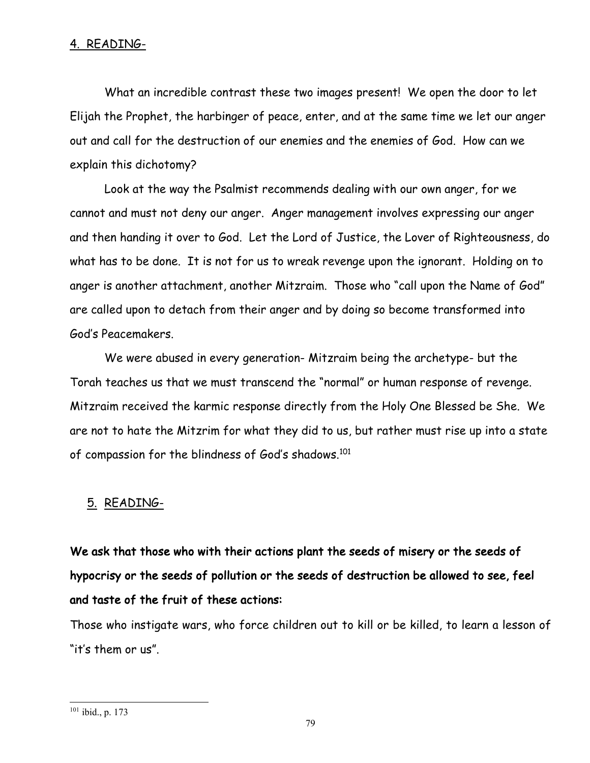### 4. READING-

What an incredible contrast these two images present! We open the door to let Elijah the Prophet, the harbinger of peace, enter, and at the same time we let our anger out and call for the destruction of our enemies and the enemies of God. How can we explain this dichotomy?

Look at the way the Psalmist recommends dealing with our own anger, for we cannot and must not deny our anger. Anger management involves expressing our anger and then handing it over to God. Let the Lord of Justice, the Lover of Righteousness, do what has to be done. It is not for us to wreak revenge upon the ignorant. Holding on to anger is another attachment, another Mitzraim. Those who "call upon the Name of God" are called upon to detach from their anger and by doing so become transformed into God's Peacemakers.

We were abused in every generation- Mitzraim being the archetype- but the Torah teaches us that we must transcend the "normal" or human response of revenge. Mitzraim received the karmic response directly from the Holy One Blessed be She. We are not to hate the Mitzrim for what they did to us, but rather must rise up into a state of compassion for the blindness of God's shadows.<sup>101</sup>

# 5. READING-

# We ask that those who with their actions plant the seeds of misery or the seeds of hypocrisy or the seeds of pollution or the seeds of destruction be allowed to see, feel and taste of the fruit of these actions:

Those who instigate wars, who force children out to kill or be killed, to learn a lesson of "it's them or us".

<sup>101</sup> ibid., p. 173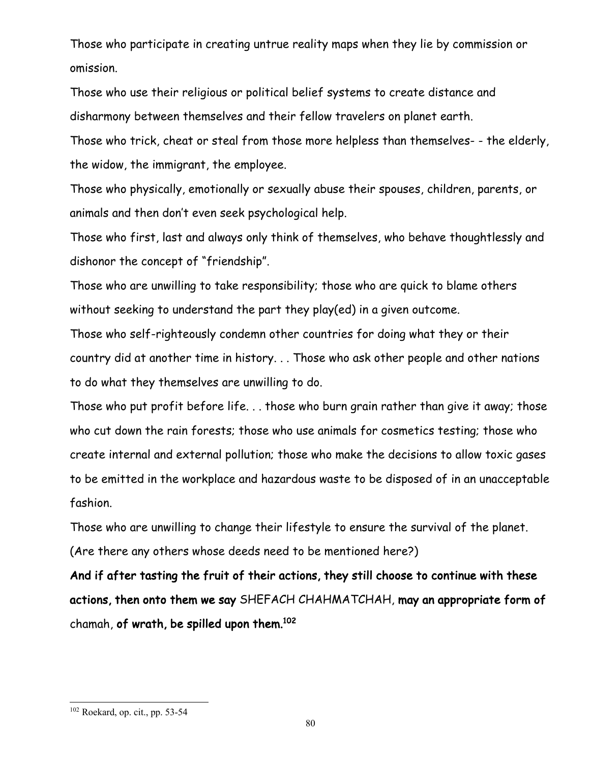Those who participate in creating untrue reality maps when they lie by commission or omission.

Those who use their religious or political belief systems to create distance and disharmony between themselves and their fellow travelers on planet earth.

Those who trick, cheat or steal from those more helpless than themselves- - the elderly, the widow, the immigrant, the employee.

Those who physically, emotionally or sexually abuse their spouses, children, parents, or animals and then don't even seek psychological help.

Those who first, last and always only think of themselves, who behave thoughtlessly and dishonor the concept of "friendship".

Those who are unwilling to take responsibility; those who are quick to blame others without seeking to understand the part they play(ed) in a given outcome.

Those who self-righteously condemn other countries for doing what they or their country did at another time in history. . . Those who ask other people and other nations to do what they themselves are unwilling to do.

Those who put profit before life. . . those who burn grain rather than give it away; those who cut down the rain forests; those who use animals for cosmetics testing; those who create internal and external pollution; those who make the decisions to allow toxic gases to be emitted in the workplace and hazardous waste to be disposed of in an unacceptable fashion.

Those who are unwilling to change their lifestyle to ensure the survival of the planet.

(Are there any others whose deeds need to be mentioned here?)

And if after tasting the fruit of their actions, they still choose to continue with these actions, then onto them we say SHEFACH CHAHMATCHAH, may an appropriate form of chamah, of wrath, be spilled upon them.102

<sup>102</sup> Roekard, op. cit., pp. 53-54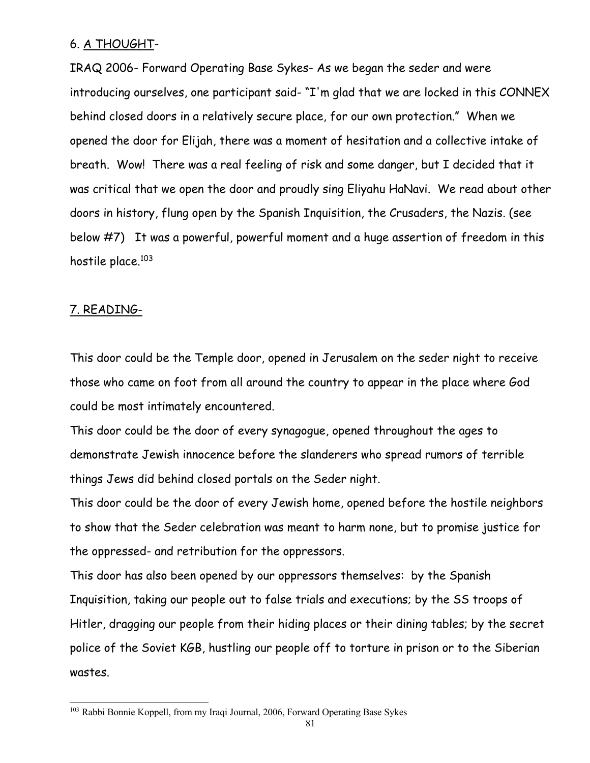# 6. A THOUGHT-

IRAQ 2006- Forward Operating Base Sykes- As we began the seder and were introducing ourselves, one participant said- "I'm glad that we are locked in this CONNEX behind closed doors in a relatively secure place, for our own protection." When we opened the door for Elijah, there was a moment of hesitation and a collective intake of breath. Wow! There was a real feeling of risk and some danger, but I decided that it was critical that we open the door and proudly sing Eliyahu HaNavi. We read about other doors in history, flung open by the Spanish Inquisition, the Crusaders, the Nazis. (see below #7) It was a powerful, powerful moment and a huge assertion of freedom in this hostile place.<sup>103</sup>

# 7. READING-

This door could be the Temple door, opened in Jerusalem on the seder night to receive those who came on foot from all around the country to appear in the place where God could be most intimately encountered.

This door could be the door of every synagogue, opened throughout the ages to demonstrate Jewish innocence before the slanderers who spread rumors of terrible things Jews did behind closed portals on the Seder night.

This door could be the door of every Jewish home, opened before the hostile neighbors to show that the Seder celebration was meant to harm none, but to promise justice for the oppressed- and retribution for the oppressors.

This door has also been opened by our oppressors themselves: by the Spanish Inquisition, taking our people out to false trials and executions; by the SS troops of Hitler, dragging our people from their hiding places or their dining tables; by the secret police of the Soviet KGB, hustling our people off to torture in prison or to the Siberian wastes.

<sup>103</sup> Rabbi Bonnie Koppell, from my Iraqi Journal, 2006, Forward Operating Base Sykes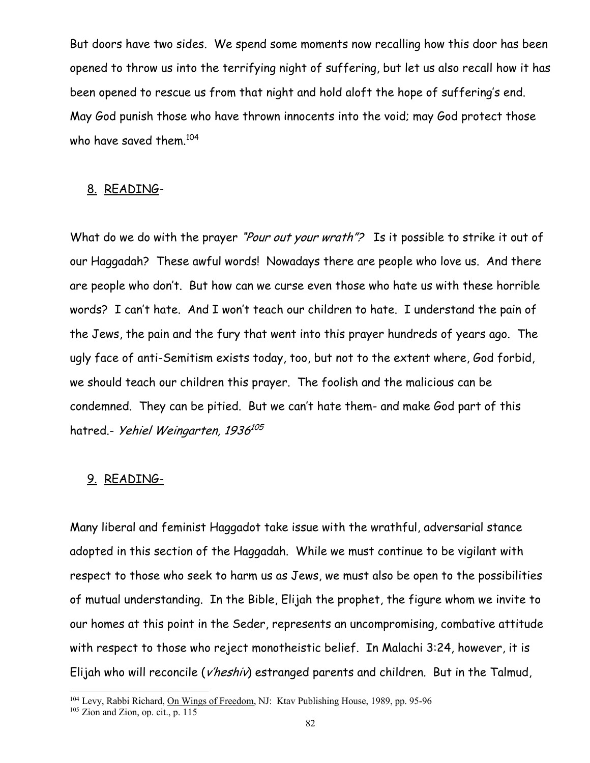But doors have two sides. We spend some moments now recalling how this door has been opened to throw us into the terrifying night of suffering, but let us also recall how it has been opened to rescue us from that night and hold aloft the hope of suffering's end. May God punish those who have thrown innocents into the void; may God protect those who have saved them.<sup>104</sup>

### 8. READING-

What do we do with the prayer "Pour out your wrath"? Is it possible to strike it out of our Haggadah? These awful words! Nowadays there are people who love us. And there are people who don't. But how can we curse even those who hate us with these horrible words? I can't hate. And I won't teach our children to hate. I understand the pain of the Jews, the pain and the fury that went into this prayer hundreds of years ago. The ugly face of anti-Semitism exists today, too, but not to the extent where, God forbid, we should teach our children this prayer. The foolish and the malicious can be condemned. They can be pitied. But we can't hate them- and make God part of this hatred.- Yehiel Weingarten, 1936<sup>105</sup>

### 9. READING-

Many liberal and feminist Haggadot take issue with the wrathful, adversarial stance adopted in this section of the Haggadah. While we must continue to be vigilant with respect to those who seek to harm us as Jews, we must also be open to the possibilities of mutual understanding. In the Bible, Elijah the prophet, the figure whom we invite to our homes at this point in the Seder, represents an uncompromising, combative attitude with respect to those who reject monotheistic belief. In Malachi 3:24, however, it is Elijah who will reconcile (v'heshiv) estranged parents and children. But in the Talmud,

<sup>104</sup> Levy, Rabbi Richard, On Wings of Freedom, NJ: Ktav Publishing House, 1989, pp. 95-96

 $105$  Zion and Zion, op. cit., p. 115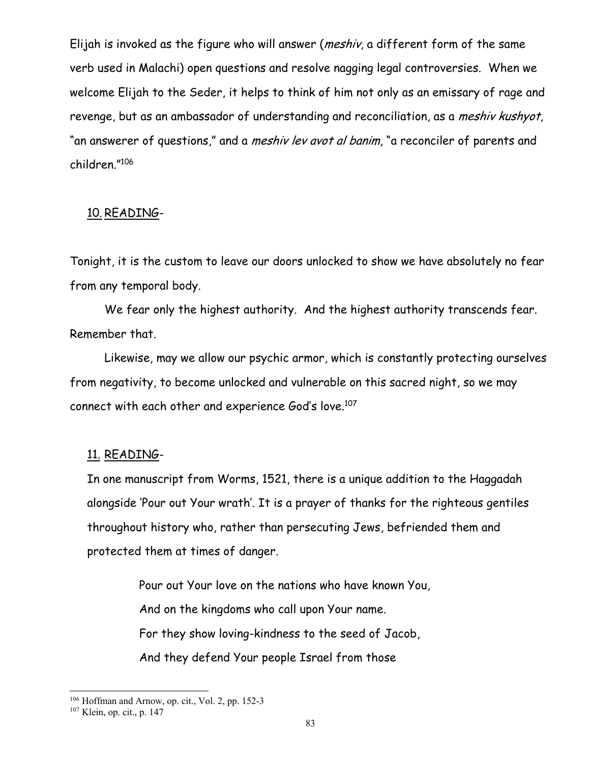Elijah is invoked as the figure who will answer (meshiv, a different form of the same verb used in Malachi) open questions and resolve nagging legal controversies. When we welcome Elijah to the Seder, it helps to think of him not only as an emissary of rage and revenge, but as an ambassador of understanding and reconciliation, as a *meshiv kushyot*, "an answerer of questions," and a *meshiv lev avot al banim*, "a reconciler of parents and children."106

### 10. READING-

Tonight, it is the custom to leave our doors unlocked to show we have absolutely no fear from any temporal body.

We fear only the highest authority. And the highest authority transcends fear. Remember that.

Likewise, may we allow our psychic armor, which is constantly protecting ourselves from negativity, to become unlocked and vulnerable on this sacred night, so we may connect with each other and experience God's love.107

### 11. READING-

In one manuscript from Worms, 1521, there is a unique addition to the Haggadah alongside 'Pour out Your wrath'. It is a prayer of thanks for the righteous gentiles throughout history who, rather than persecuting Jews, befriended them and protected them at times of danger.

> Pour out Your love on the nations who have known You, And on the kingdoms who call upon Your name. For they show loving-kindness to the seed of Jacob, And they defend Your people Israel from those

<sup>106</sup> Hoffman and Arnow, op. cit., Vol. 2, pp. 152-3

<sup>107</sup> Klein, op. cit., p. 147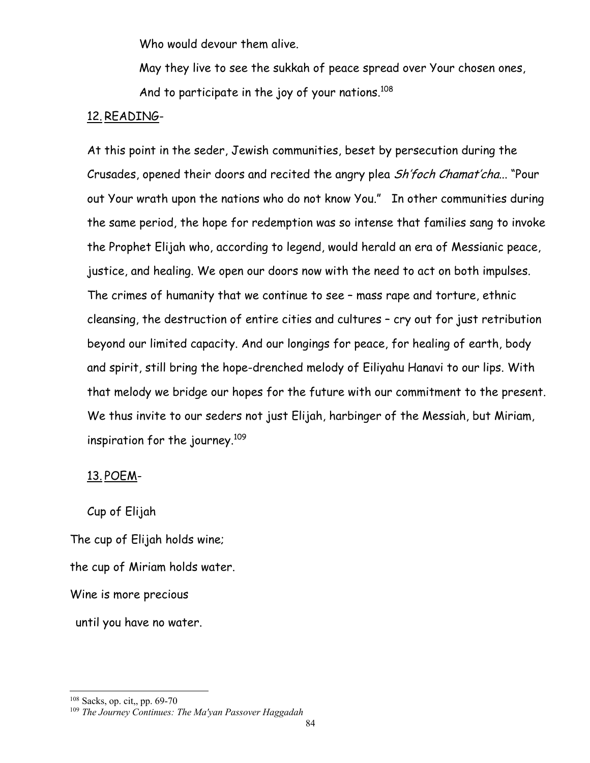Who would devour them alive.

May they live to see the sukkah of peace spread over Your chosen ones, And to participate in the joy of your nations.<sup>108</sup>

### 12. READING-

At this point in the seder, Jewish communities, beset by persecution during the Crusades, opened their doors and recited the angry plea Sh'foch Chamat'cha... "Pour out Your wrath upon the nations who do not know You." In other communities during the same period, the hope for redemption was so intense that families sang to invoke the Prophet Elijah who, according to legend, would herald an era of Messianic peace, justice, and healing. We open our doors now with the need to act on both impulses. The crimes of humanity that we continue to see – mass rape and torture, ethnic cleansing, the destruction of entire cities and cultures – cry out for just retribution beyond our limited capacity. And our longings for peace, for healing of earth, body and spirit, still bring the hope-drenched melody of Eiliyahu Hanavi to our lips. With that melody we bridge our hopes for the future with our commitment to the present. We thus invite to our seders not just Elijah, harbinger of the Messiah, but Miriam, inspiration for the journey.<sup>109</sup>

# 13. POEM-

Cup of Elijah

The cup of Elijah holds wine;

the cup of Miriam holds water.

Wine is more precious

until you have no water.

<sup>108</sup> Sacks, op. cit,, pp. 69-70

<sup>109</sup> *The Journey Continues: The Ma'yan Passover Haggadah*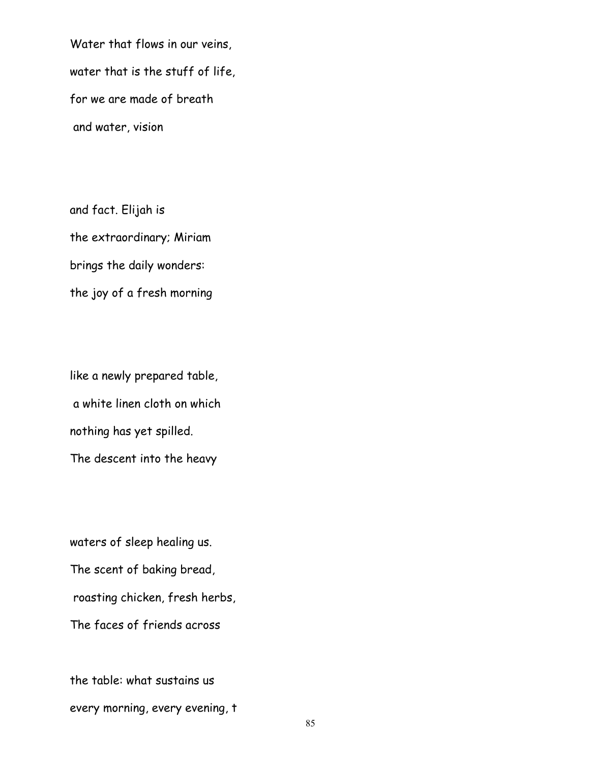Water that flows in our veins, water that is the stuff of life, for we are made of breath and water, vision

and fact. Elijah is the extraordinary; Miriam brings the daily wonders: the joy of a fresh morning

like a newly prepared table, a white linen cloth on which nothing has yet spilled. The descent into the heavy

waters of sleep healing us. The scent of baking bread, roasting chicken, fresh herbs, The faces of friends across

the table: what sustains us every morning, every evening, t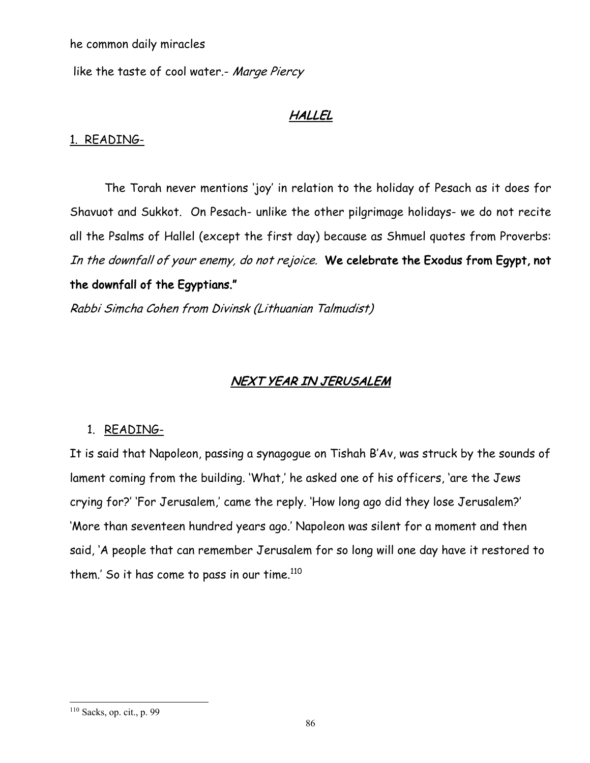he common daily miracles

like the taste of cool water.- Marge Piercy

# HALLEL

### 1. READING-

The Torah never mentions 'joy' in relation to the holiday of Pesach as it does for Shavuot and Sukkot. On Pesach- unlike the other pilgrimage holidays- we do not recite all the Psalms of Hallel (except the first day) because as Shmuel quotes from Proverbs: In the downfall of your enemy, do not rejoice. We celebrate the Exodus from Egypt, not the downfall of the Egyptians."

Rabbi Simcha Cohen from Divinsk (Lithuanian Talmudist)

# NEXT YEAR IN JERUSALEM

# 1. READING-

It is said that Napoleon, passing a synagogue on Tishah B'Av, was struck by the sounds of lament coming from the building. 'What,' he asked one of his officers, 'are the Jews crying for?' 'For Jerusalem,' came the reply. 'How long ago did they lose Jerusalem?' 'More than seventeen hundred years ago.' Napoleon was silent for a moment and then said, 'A people that can remember Jerusalem for so long will one day have it restored to them.' So it has come to pass in our time.<sup>110</sup>

<sup>110</sup> Sacks, op. cit., p. 99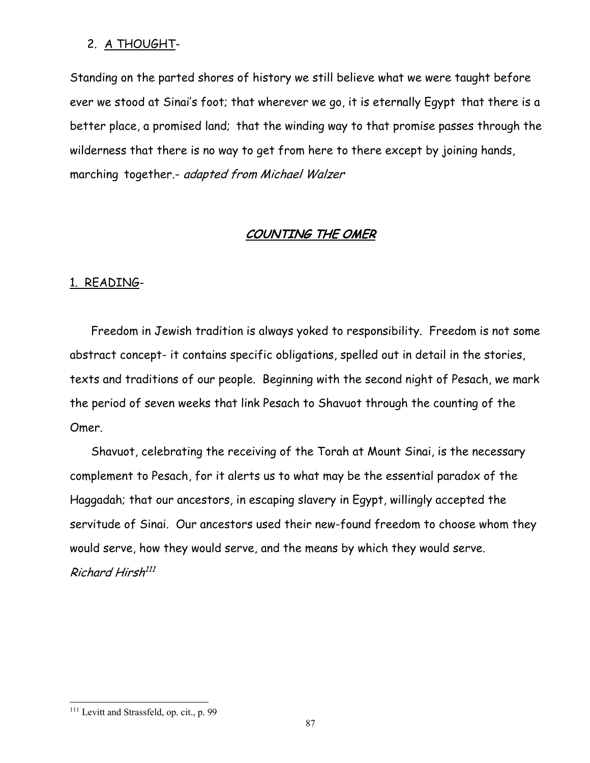# 2. A THOUGHT-

Standing on the parted shores of history we still believe what we were taught before ever we stood at Sinai's foot; that wherever we go, it is eternally Egypt that there is a better place, a promised land; that the winding way to that promise passes through the wilderness that there is no way to get from here to there except by joining hands, marching together.- adapted from Michael Walzer

# COUNTING THE OMER

# 1. READING-

Freedom in Jewish tradition is always yoked to responsibility. Freedom is not some abstract concept- it contains specific obligations, spelled out in detail in the stories, texts and traditions of our people. Beginning with the second night of Pesach, we mark the period of seven weeks that link Pesach to Shavuot through the counting of the Omer.

Shavuot, celebrating the receiving of the Torah at Mount Sinai, is the necessary complement to Pesach, for it alerts us to what may be the essential paradox of the Haggadah; that our ancestors, in escaping slavery in Egypt, willingly accepted the servitude of Sinai. Our ancestors used their new-found freedom to choose whom they would serve, how they would serve, and the means by which they would serve. Richard Hirsh<sup>111</sup>

<sup>&</sup>lt;sup>111</sup> Levitt and Strassfeld, op. cit., p. 99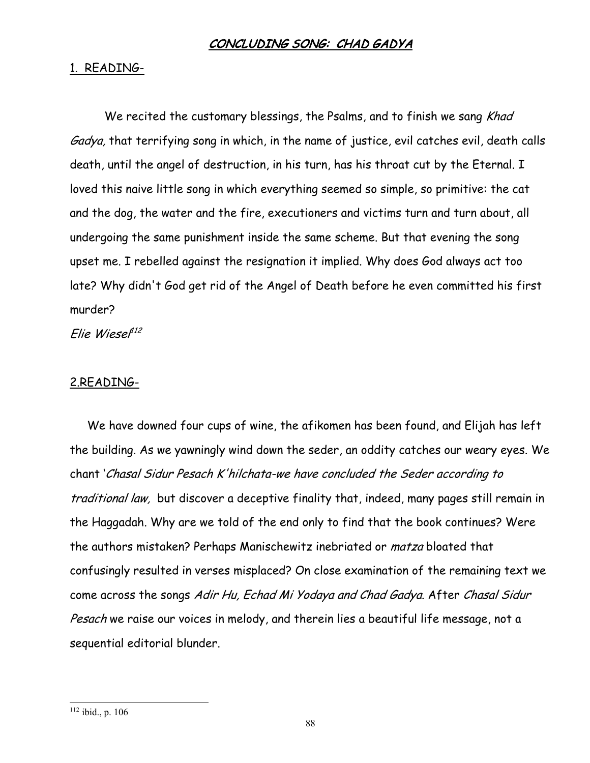# CONCLUDING SONG: CHAD GADYA

### 1. READING-

We recited the customary blessings, the Psalms, and to finish we sang Khad Gadya, that terrifying song in which, in the name of justice, evil catches evil, death calls death, until the angel of destruction, in his turn, has his throat cut by the Eternal. I loved this naive little song in which everything seemed so simple, so primitive: the cat and the dog, the water and the fire, executioners and victims turn and turn about, all undergoing the same punishment inside the same scheme. But that evening the song upset me. I rebelled against the resignation it implied. Why does God always act too late? Why didn't God get rid of the Angel of Death before he even committed his first murder?

Elie Wiesel<sup>112</sup>

### 2.READING-

We have downed four cups of wine, the afikomen has been found, and Elijah has left the building. As we yawningly wind down the seder, an oddity catches our weary eyes. We chant 'Chasal Sidur Pesach K'hilchata-we have concluded the Seder according to traditional law, but discover a deceptive finality that, indeed, many pages still remain in the Haggadah. Why are we told of the end only to find that the book continues? Were the authors mistaken? Perhaps Manischewitz inebriated or matza bloated that confusingly resulted in verses misplaced? On close examination of the remaining text we come across the songs Adir Hu, Echad Mi Yodaya and Chad Gadya. After Chasal Sidur Pesach we raise our voices in melody, and therein lies a beautiful life message, not a sequential editorial blunder.

 $112$  ibid., p. 106